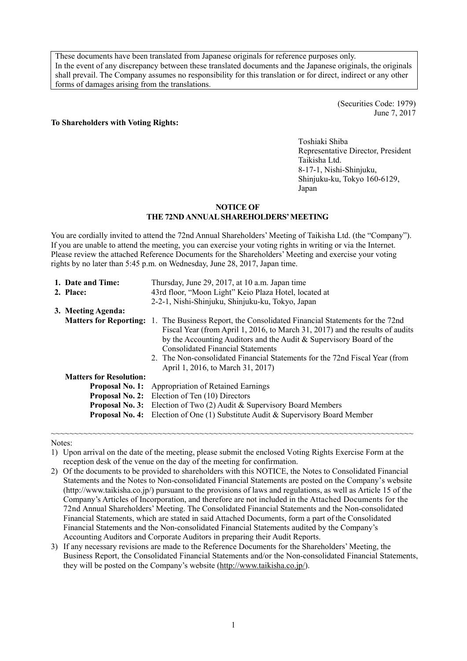These documents have been translated from Japanese originals for reference purposes only. In the event of any discrepancy between these translated documents and the Japanese originals, the originals shall prevail. The Company assumes no responsibility for this translation or for direct, indirect or any other forms of damages arising from the translations.

#### **To Shareholders with Voting Rights:**

 (Securities Code: 1979) June 7, 2017

Toshiaki Shiba Representative Director, President Taikisha Ltd. 8-17-1, Nishi-Shinjuku, Shinjuku-ku, Tokyo 160-6129, Japan

#### **NOTICE OF THE 72ND ANNUAL SHAREHOLDERS' MEETING**

You are cordially invited to attend the 72nd Annual Shareholders' Meeting of Taikisha Ltd. (the "Company"). If you are unable to attend the meeting, you can exercise your voting rights in writing or via the Internet. Please review the attached Reference Documents for the Shareholders' Meeting and exercise your voting rights by no later than 5:45 p.m. on Wednesday, June 28, 2017, Japan time.

| Thursday, June 29, 2017, at 10 a.m. Japan time                                                                                                                                                                                                                                                                       |
|----------------------------------------------------------------------------------------------------------------------------------------------------------------------------------------------------------------------------------------------------------------------------------------------------------------------|
| 43rd floor, "Moon Light" Keio Plaza Hotel, located at                                                                                                                                                                                                                                                                |
| 2-2-1, Nishi-Shinjuku, Shinjuku-ku, Tokyo, Japan                                                                                                                                                                                                                                                                     |
|                                                                                                                                                                                                                                                                                                                      |
| <b>Matters for Reporting:</b> 1. The Business Report, the Consolidated Financial Statements for the 72nd                                                                                                                                                                                                             |
| Fiscal Year (from April 1, 2016, to March 31, 2017) and the results of audits<br>by the Accounting Auditors and the Audit & Supervisory Board of the<br><b>Consolidated Financial Statements</b><br>2. The Non-consolidated Financial Statements for the 72nd Fiscal Year (from<br>April 1, 2016, to March 31, 2017) |
|                                                                                                                                                                                                                                                                                                                      |
| <b>Proposal No. 1:</b> Appropriation of Retained Earnings                                                                                                                                                                                                                                                            |
| <b>Proposal No. 2:</b> Election of Ten (10) Directors                                                                                                                                                                                                                                                                |
| Election of Two (2) Audit & Supervisory Board Members<br><b>Proposal No. 3:</b>                                                                                                                                                                                                                                      |
| Election of One $(1)$ Substitute Audit & Supervisory Board Member                                                                                                                                                                                                                                                    |
|                                                                                                                                                                                                                                                                                                                      |

Notes:

1) Upon arrival on the date of the meeting, please submit the enclosed Voting Rights Exercise Form at the reception desk of the venue on the day of the meeting for confirmation.

~~~~~~~~~~~~~~~~~~~~~~~~~~~~~~~~~~~~~~~~~~~~~~~~~~~~~~~~~~~~~~~~~~~~~~~~~~~~~~

- 2) Of the documents to be provided to shareholders with this NOTICE, the Notes to Consolidated Financial Statements and the Notes to Non-consolidated Financial Statements are posted on the Company's website (http://www.taikisha.co.jp/) pursuant to the provisions of laws and regulations, as well as Article 15 of the Company's Articles of Incorporation, and therefore are not included in the Attached Documents for the 72nd Annual Shareholders' Meeting. The Consolidated Financial Statements and the Non-consolidated Financial Statements, which are stated in said Attached Documents, form a part of the Consolidated Financial Statements and the Non-consolidated Financial Statements audited by the Company's Accounting Auditors and Corporate Auditors in preparing their Audit Reports.
- 3) If any necessary revisions are made to the Reference Documents for the Shareholders' Meeting, the Business Report, the Consolidated Financial Statements and/or the Non-consolidated Financial Statements, they will be posted on the Company's website (http://www.taikisha.co.jp/).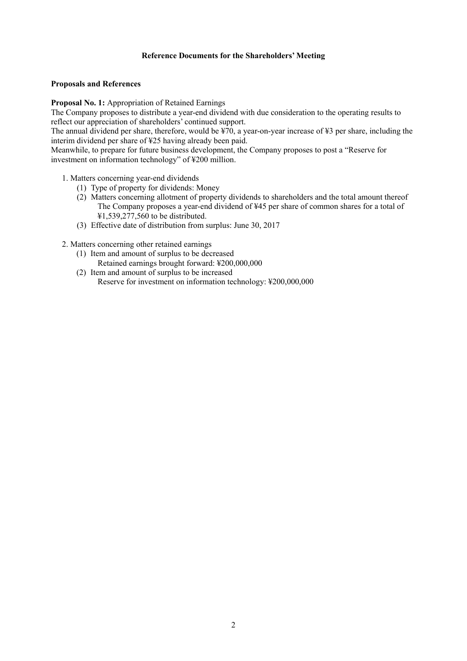# **Reference Documents for the Shareholders' Meeting**

## **Proposals and References**

**Proposal No. 1:** Appropriation of Retained Earnings

The Company proposes to distribute a year-end dividend with due consideration to the operating results to reflect our appreciation of shareholders' continued support.

The annual dividend per share, therefore, would be ¥70, a year-on-year increase of ¥3 per share, including the interim dividend per share of ¥25 having already been paid.

Meanwhile, to prepare for future business development, the Company proposes to post a "Reserve for investment on information technology" of ¥200 million.

- 1. Matters concerning year-end dividends
	- (1) Type of property for dividends: Money
	- (2) Matters concerning allotment of property dividends to shareholders and the total amount thereof The Company proposes a year-end dividend of ¥45 per share of common shares for a total of ¥1,539,277,560 to be distributed.
	- (3) Effective date of distribution from surplus: June 30, 2017

2. Matters concerning other retained earnings

- (1) Item and amount of surplus to be decreased Retained earnings brought forward: ¥200,000,000
- (2) Item and amount of surplus to be increased Reserve for investment on information technology: ¥200,000,000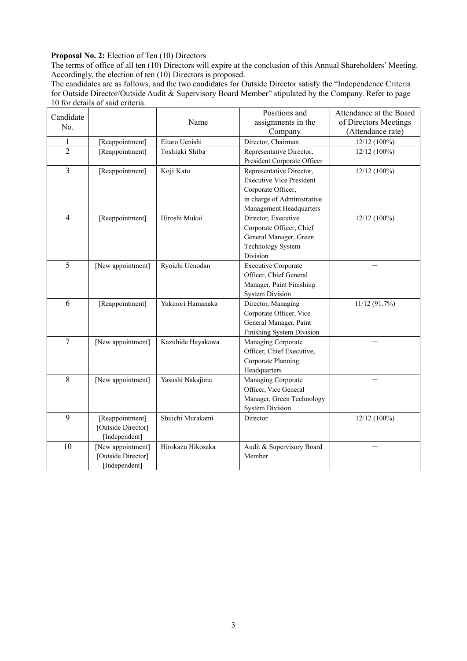# Proposal No. 2: Election of Ten (10) Directors

The terms of office of all ten (10) Directors will expire at the conclusion of this Annual Shareholders' Meeting. Accordingly, the election of ten (10) Directors is proposed.

The candidates are as follows, and the two candidates for Outside Director satisfy the "Independence Criteria for Outside Director/Outside Audit & Supervisory Board Member" stipulated by the Company. Refer to page 10 for details of said criteria.

| Candidate      |                    |                   | Positions and                   | Attendance at the Board |
|----------------|--------------------|-------------------|---------------------------------|-------------------------|
| No.            |                    | Name              | assignments in the              | of Directors Meetings   |
|                |                    |                   | Company                         | (Attendance rate)       |
| $\mathbf{1}$   | [Reappointment]    | Eitaro Uenishi    | Director, Chairman              | 12/12 (100%)            |
| $\overline{2}$ | [Reappointment]    | Toshiaki Shiba    | Representative Director,        | 12/12 (100%)            |
|                |                    |                   | President Corporate Officer     |                         |
| $\overline{3}$ | [Reappointment]    | Koji Kato         | Representative Director,        | 12/12 (100%)            |
|                |                    |                   | <b>Executive Vice President</b> |                         |
|                |                    |                   | Corporate Officer,              |                         |
|                |                    |                   | in charge of Administrative     |                         |
|                |                    |                   | Management Headquarters         |                         |
| $\overline{4}$ | [Reappointment]    | Hiroshi Mukai     | Director, Executive             | 12/12 (100%)            |
|                |                    |                   | Corporate Officer, Chief        |                         |
|                |                    |                   | General Manager, Green          |                         |
|                |                    |                   | <b>Technology System</b>        |                         |
|                |                    |                   | Division                        |                         |
| $\overline{5}$ | [New appointment]  | Ryoichi Uenodan   | <b>Executive Corporate</b>      |                         |
|                |                    |                   | Officer, Chief General          |                         |
|                |                    |                   | Manager, Paint Finishing        |                         |
|                |                    |                   | <b>System Division</b>          |                         |
| 6              | [Reappointment]    | Yukinori Hamanaka | Director, Managing              | 11/12(91.7%)            |
|                |                    |                   | Corporate Officer, Vice         |                         |
|                |                    |                   | General Manager, Paint          |                         |
|                |                    |                   | Finishing System Division       |                         |
| $\tau$         | [New appointment]  | Kazuhide Hayakawa | Managing Corporate              |                         |
|                |                    |                   | Officer, Chief Executive,       |                         |
|                |                    |                   | Corporate Planning              |                         |
|                |                    |                   | Headquarters                    |                         |
| 8              | [New appointment]  | Yasushi Nakajima  | Managing Corporate              |                         |
|                |                    |                   | Officer, Vice General           |                         |
|                |                    |                   | Manager, Green Technology       |                         |
|                |                    |                   | <b>System Division</b>          |                         |
| 9              | [Reappointment]    | Shuichi Murakami  | Director                        | 12/12 (100%)            |
|                | [Outside Director] |                   |                                 |                         |
|                | [Independent]      |                   |                                 |                         |
| 10             | [New appointment]  | Hirokazu Hikosaka | Audit & Supervisory Board       |                         |
|                | [Outside Director] |                   | Member                          |                         |
|                | [Independent]      |                   |                                 |                         |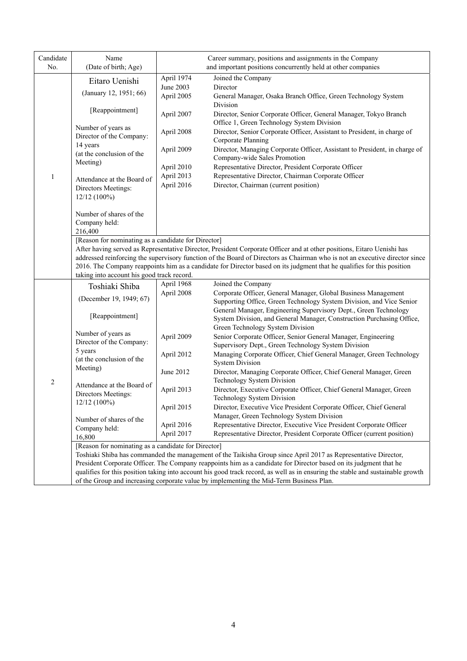| Candidate<br>No. | Name<br>(Date of birth; Age)                                                                                                                                                                                                                         | Career summary, positions and assignments in the Company<br>and important positions concurrently held at other companies |                                                                                                                                                                                                                                                                                                                                                                                 |  |  |
|------------------|------------------------------------------------------------------------------------------------------------------------------------------------------------------------------------------------------------------------------------------------------|--------------------------------------------------------------------------------------------------------------------------|---------------------------------------------------------------------------------------------------------------------------------------------------------------------------------------------------------------------------------------------------------------------------------------------------------------------------------------------------------------------------------|--|--|
|                  |                                                                                                                                                                                                                                                      | April 1974                                                                                                               | Joined the Company                                                                                                                                                                                                                                                                                                                                                              |  |  |
|                  | Eitaro Uenishi                                                                                                                                                                                                                                       | June 2003                                                                                                                | Director                                                                                                                                                                                                                                                                                                                                                                        |  |  |
|                  | (January 12, 1951; 66)                                                                                                                                                                                                                               | April 2005                                                                                                               | General Manager, Osaka Branch Office, Green Technology System                                                                                                                                                                                                                                                                                                                   |  |  |
|                  | [Reappointment]                                                                                                                                                                                                                                      | April 2007                                                                                                               | Division<br>Director, Senior Corporate Officer, General Manager, Tokyo Branch                                                                                                                                                                                                                                                                                                   |  |  |
|                  | Number of years as<br>Director of the Company:<br>14 years                                                                                                                                                                                           | April 2008<br>April 2009                                                                                                 | Office 1, Green Technology System Division<br>Director, Senior Corporate Officer, Assistant to President, in charge of<br>Corporate Planning<br>Director, Managing Corporate Officer, Assistant to President, in charge of                                                                                                                                                      |  |  |
|                  | (at the conclusion of the<br>Meeting)                                                                                                                                                                                                                |                                                                                                                          | Company-wide Sales Promotion                                                                                                                                                                                                                                                                                                                                                    |  |  |
|                  |                                                                                                                                                                                                                                                      | April 2010                                                                                                               | Representative Director, President Corporate Officer                                                                                                                                                                                                                                                                                                                            |  |  |
| $\mathbf{1}$     | Attendance at the Board of<br>Directors Meetings:<br>12/12 (100%)                                                                                                                                                                                    | April 2013<br>April 2016                                                                                                 | Representative Director, Chairman Corporate Officer<br>Director, Chairman (current position)                                                                                                                                                                                                                                                                                    |  |  |
|                  | Number of shares of the<br>Company held:<br>216,400                                                                                                                                                                                                  |                                                                                                                          |                                                                                                                                                                                                                                                                                                                                                                                 |  |  |
|                  | [Reason for nominating as a candidate for Director]<br>taking into account his good track record.                                                                                                                                                    |                                                                                                                          | After having served as Representative Director, President Corporate Officer and at other positions, Eitaro Uenishi has<br>addressed reinforcing the supervisory function of the Board of Directors as Chairman who is not an executive director since<br>2016. The Company reappoints him as a candidate for Director based on its judgment that he qualifies for this position |  |  |
|                  | Toshiaki Shiba                                                                                                                                                                                                                                       | April 1968                                                                                                               | Joined the Company                                                                                                                                                                                                                                                                                                                                                              |  |  |
|                  |                                                                                                                                                                                                                                                      | April 2008                                                                                                               | Corporate Officer, General Manager, Global Business Management                                                                                                                                                                                                                                                                                                                  |  |  |
|                  | (December 19, 1949; 67)                                                                                                                                                                                                                              |                                                                                                                          | Supporting Office, Green Technology System Division, and Vice Senior                                                                                                                                                                                                                                                                                                            |  |  |
|                  | [Reappointment]                                                                                                                                                                                                                                      |                                                                                                                          | General Manager, Engineering Supervisory Dept., Green Technology<br>System Division, and General Manager, Construction Purchasing Office,                                                                                                                                                                                                                                       |  |  |
|                  | Number of years as                                                                                                                                                                                                                                   |                                                                                                                          | Green Technology System Division                                                                                                                                                                                                                                                                                                                                                |  |  |
|                  | Director of the Company:                                                                                                                                                                                                                             | April 2009                                                                                                               | Senior Corporate Officer, Senior General Manager, Engineering                                                                                                                                                                                                                                                                                                                   |  |  |
|                  | 5 years                                                                                                                                                                                                                                              | April 2012                                                                                                               | Supervisory Dept., Green Technology System Division<br>Managing Corporate Officer, Chief General Manager, Green Technology                                                                                                                                                                                                                                                      |  |  |
|                  | (at the conclusion of the                                                                                                                                                                                                                            |                                                                                                                          | <b>System Division</b>                                                                                                                                                                                                                                                                                                                                                          |  |  |
|                  | Meeting)                                                                                                                                                                                                                                             | June 2012                                                                                                                | Director, Managing Corporate Officer, Chief General Manager, Green                                                                                                                                                                                                                                                                                                              |  |  |
| $\overline{2}$   |                                                                                                                                                                                                                                                      |                                                                                                                          | Technology System Division                                                                                                                                                                                                                                                                                                                                                      |  |  |
|                  | Attendance at the Board of<br>Directors Meetings:                                                                                                                                                                                                    | April 2013                                                                                                               | Director, Executive Corporate Officer, Chief General Manager, Green                                                                                                                                                                                                                                                                                                             |  |  |
|                  | $12/12(100\%)$                                                                                                                                                                                                                                       |                                                                                                                          | Technology System Division                                                                                                                                                                                                                                                                                                                                                      |  |  |
|                  |                                                                                                                                                                                                                                                      | April 2015                                                                                                               | Director, Executive Vice President Corporate Officer, Chief General                                                                                                                                                                                                                                                                                                             |  |  |
|                  | Number of shares of the                                                                                                                                                                                                                              |                                                                                                                          | Manager, Green Technology System Division                                                                                                                                                                                                                                                                                                                                       |  |  |
|                  | Company held:                                                                                                                                                                                                                                        | April 2016<br>April 2017                                                                                                 | Representative Director, Executive Vice President Corporate Officer<br>Representative Director, President Corporate Officer (current position)                                                                                                                                                                                                                                  |  |  |
|                  | 16,800                                                                                                                                                                                                                                               |                                                                                                                          |                                                                                                                                                                                                                                                                                                                                                                                 |  |  |
|                  | [Reason for nominating as a candidate for Director]                                                                                                                                                                                                  |                                                                                                                          |                                                                                                                                                                                                                                                                                                                                                                                 |  |  |
|                  |                                                                                                                                                                                                                                                      |                                                                                                                          | Toshiaki Shiba has commanded the management of the Taikisha Group since April 2017 as Representative Director,                                                                                                                                                                                                                                                                  |  |  |
|                  | President Corporate Officer. The Company reappoints him as a candidate for Director based on its judgment that he<br>qualifies for this position taking into account his good track record, as well as in ensuring the stable and sustainable growth |                                                                                                                          |                                                                                                                                                                                                                                                                                                                                                                                 |  |  |
|                  |                                                                                                                                                                                                                                                      |                                                                                                                          | of the Group and increasing corporate value by implementing the Mid-Term Business Plan.                                                                                                                                                                                                                                                                                         |  |  |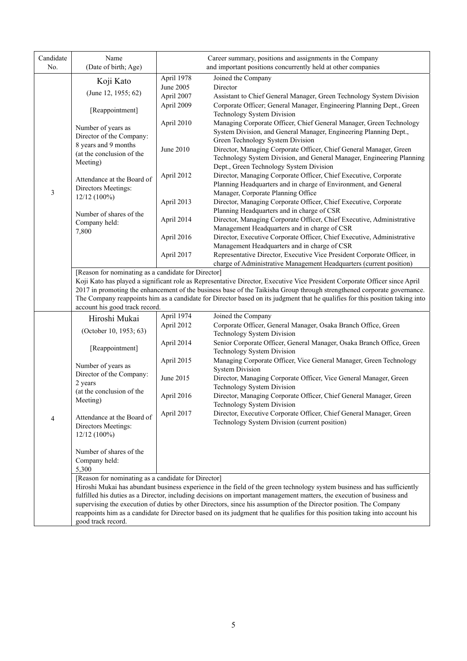| Candidate<br>No. | Name<br>(Date of birth; Age)                                                                                                                                                      | Career summary, positions and assignments in the Company<br>and important positions concurrently held at other companies |                                                                                                                                                                                                                                              |  |  |  |
|------------------|-----------------------------------------------------------------------------------------------------------------------------------------------------------------------------------|--------------------------------------------------------------------------------------------------------------------------|----------------------------------------------------------------------------------------------------------------------------------------------------------------------------------------------------------------------------------------------|--|--|--|
|                  | Koji Kato                                                                                                                                                                         | April 1978                                                                                                               | Joined the Company                                                                                                                                                                                                                           |  |  |  |
|                  |                                                                                                                                                                                   | June 2005                                                                                                                | Director                                                                                                                                                                                                                                     |  |  |  |
|                  | (June 12, 1955; 62)                                                                                                                                                               | April 2007                                                                                                               | Assistant to Chief General Manager, Green Technology System Division                                                                                                                                                                         |  |  |  |
|                  |                                                                                                                                                                                   | April 2009                                                                                                               | Corporate Officer; General Manager, Engineering Planning Dept., Green                                                                                                                                                                        |  |  |  |
|                  | [Reappointment]                                                                                                                                                                   |                                                                                                                          | Technology System Division                                                                                                                                                                                                                   |  |  |  |
|                  | Number of years as                                                                                                                                                                | April 2010                                                                                                               | Managing Corporate Officer, Chief General Manager, Green Technology                                                                                                                                                                          |  |  |  |
|                  | Director of the Company:                                                                                                                                                          |                                                                                                                          | System Division, and General Manager, Engineering Planning Dept.,                                                                                                                                                                            |  |  |  |
|                  | 8 years and 9 months                                                                                                                                                              |                                                                                                                          | Green Technology System Division                                                                                                                                                                                                             |  |  |  |
|                  | (at the conclusion of the                                                                                                                                                         | June 2010                                                                                                                | Director, Managing Corporate Officer, Chief General Manager, Green                                                                                                                                                                           |  |  |  |
|                  | Meeting)                                                                                                                                                                          |                                                                                                                          | Technology System Division, and General Manager, Engineering Planning<br>Dept., Green Technology System Division                                                                                                                             |  |  |  |
|                  |                                                                                                                                                                                   | April 2012                                                                                                               | Director, Managing Corporate Officer, Chief Executive, Corporate                                                                                                                                                                             |  |  |  |
|                  | Attendance at the Board of                                                                                                                                                        |                                                                                                                          | Planning Headquarters and in charge of Environment, and General                                                                                                                                                                              |  |  |  |
| 3                | Directors Meetings:                                                                                                                                                               |                                                                                                                          | Manager, Corporate Planning Office                                                                                                                                                                                                           |  |  |  |
|                  | 12/12 (100%)                                                                                                                                                                      | April 2013                                                                                                               | Director, Managing Corporate Officer, Chief Executive, Corporate                                                                                                                                                                             |  |  |  |
|                  | Number of shares of the                                                                                                                                                           |                                                                                                                          | Planning Headquarters and in charge of CSR                                                                                                                                                                                                   |  |  |  |
|                  | Company held:                                                                                                                                                                     | April 2014                                                                                                               | Director, Managing Corporate Officer, Chief Executive, Administrative                                                                                                                                                                        |  |  |  |
|                  | 7,800                                                                                                                                                                             |                                                                                                                          | Management Headquarters and in charge of CSR                                                                                                                                                                                                 |  |  |  |
|                  |                                                                                                                                                                                   | April 2016                                                                                                               | Director, Executive Corporate Officer, Chief Executive, Administrative                                                                                                                                                                       |  |  |  |
|                  |                                                                                                                                                                                   |                                                                                                                          | Management Headquarters and in charge of CSR                                                                                                                                                                                                 |  |  |  |
|                  |                                                                                                                                                                                   | April 2017                                                                                                               | Representative Director, Executive Vice President Corporate Officer, in                                                                                                                                                                      |  |  |  |
|                  | charge of Administrative Management Headquarters (current position)                                                                                                               |                                                                                                                          |                                                                                                                                                                                                                                              |  |  |  |
|                  | [Reason for nominating as a candidate for Director]<br>Koji Kato has played a significant role as Representative Director, Executive Vice President Corporate Officer since April |                                                                                                                          |                                                                                                                                                                                                                                              |  |  |  |
|                  |                                                                                                                                                                                   |                                                                                                                          | 2017 in promoting the enhancement of the business base of the Taikisha Group through strengthened corporate governance.                                                                                                                      |  |  |  |
|                  |                                                                                                                                                                                   |                                                                                                                          | The Company reappoints him as a candidate for Director based on its judgment that he qualifies for this position taking into                                                                                                                 |  |  |  |
|                  | account his good track record.                                                                                                                                                    |                                                                                                                          |                                                                                                                                                                                                                                              |  |  |  |
|                  | Hiroshi Mukai                                                                                                                                                                     | April 1974                                                                                                               | Joined the Company                                                                                                                                                                                                                           |  |  |  |
|                  | (October 10, 1953; 63)                                                                                                                                                            | April 2012                                                                                                               | Corporate Officer, General Manager, Osaka Branch Office, Green                                                                                                                                                                               |  |  |  |
|                  |                                                                                                                                                                                   |                                                                                                                          | Technology System Division                                                                                                                                                                                                                   |  |  |  |
|                  | [Reappointment]                                                                                                                                                                   | April 2014                                                                                                               | Senior Corporate Officer, General Manager, Osaka Branch Office, Green                                                                                                                                                                        |  |  |  |
|                  |                                                                                                                                                                                   |                                                                                                                          | Technology System Division                                                                                                                                                                                                                   |  |  |  |
|                  | Number of years as                                                                                                                                                                | April 2015                                                                                                               | Managing Corporate Officer, Vice General Manager, Green Technology<br><b>System Division</b>                                                                                                                                                 |  |  |  |
|                  | Director of the Company:                                                                                                                                                          | June 2015                                                                                                                | Director, Managing Corporate Officer, Vice General Manager, Green                                                                                                                                                                            |  |  |  |
|                  | 2 years                                                                                                                                                                           |                                                                                                                          | Technology System Division                                                                                                                                                                                                                   |  |  |  |
|                  | (at the conclusion of the                                                                                                                                                         | April 2016                                                                                                               | Director, Managing Corporate Officer, Chief General Manager, Green                                                                                                                                                                           |  |  |  |
|                  | Meeting)                                                                                                                                                                          |                                                                                                                          | Technology System Division                                                                                                                                                                                                                   |  |  |  |
|                  | Attendance at the Board of                                                                                                                                                        | April 2017                                                                                                               | Director, Executive Corporate Officer, Chief General Manager, Green                                                                                                                                                                          |  |  |  |
| $\overline{4}$   | Directors Meetings:                                                                                                                                                               |                                                                                                                          | Technology System Division (current position)                                                                                                                                                                                                |  |  |  |
|                  | $12/12(100\%)$                                                                                                                                                                    |                                                                                                                          |                                                                                                                                                                                                                                              |  |  |  |
|                  |                                                                                                                                                                                   |                                                                                                                          |                                                                                                                                                                                                                                              |  |  |  |
|                  | Number of shares of the                                                                                                                                                           |                                                                                                                          |                                                                                                                                                                                                                                              |  |  |  |
|                  | Company held:                                                                                                                                                                     |                                                                                                                          |                                                                                                                                                                                                                                              |  |  |  |
|                  | 5,300                                                                                                                                                                             |                                                                                                                          |                                                                                                                                                                                                                                              |  |  |  |
|                  | [Reason for nominating as a candidate for Director]                                                                                                                               |                                                                                                                          |                                                                                                                                                                                                                                              |  |  |  |
|                  |                                                                                                                                                                                   |                                                                                                                          | Hiroshi Mukai has abundant business experience in the field of the green technology system business and has sufficiently                                                                                                                     |  |  |  |
|                  |                                                                                                                                                                                   |                                                                                                                          | fulfilled his duties as a Director, including decisions on important management matters, the execution of business and<br>supervising the execution of duties by other Directors, since his assumption of the Director position. The Company |  |  |  |
|                  |                                                                                                                                                                                   |                                                                                                                          | reappoints him as a candidate for Director based on its judgment that he qualifies for this position taking into account his                                                                                                                 |  |  |  |
|                  | good track record.                                                                                                                                                                |                                                                                                                          |                                                                                                                                                                                                                                              |  |  |  |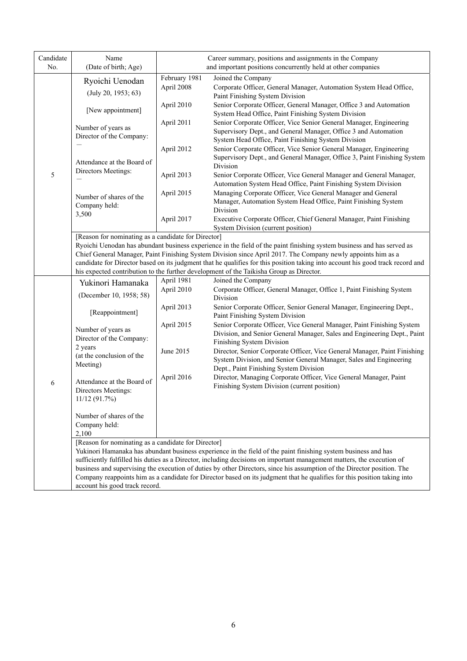| Candidate<br>No. | Name<br>(Date of birth; Age)                                                                                                                                                                                                                                                                                                                                                                                                                                                                                               | Career summary, positions and assignments in the Company<br>and important positions concurrently held at other companies |                                                                                                                                                                                                                                                                                                                                                                                                                                                                                                 |  |  |
|------------------|----------------------------------------------------------------------------------------------------------------------------------------------------------------------------------------------------------------------------------------------------------------------------------------------------------------------------------------------------------------------------------------------------------------------------------------------------------------------------------------------------------------------------|--------------------------------------------------------------------------------------------------------------------------|-------------------------------------------------------------------------------------------------------------------------------------------------------------------------------------------------------------------------------------------------------------------------------------------------------------------------------------------------------------------------------------------------------------------------------------------------------------------------------------------------|--|--|
|                  | Ryoichi Uenodan<br>(July 20, 1953; 63)                                                                                                                                                                                                                                                                                                                                                                                                                                                                                     | February 1981<br>April 2008                                                                                              | Joined the Company<br>Corporate Officer, General Manager, Automation System Head Office,<br>Paint Finishing System Division                                                                                                                                                                                                                                                                                                                                                                     |  |  |
|                  | [New appointment]                                                                                                                                                                                                                                                                                                                                                                                                                                                                                                          | April 2010                                                                                                               | Senior Corporate Officer, General Manager, Office 3 and Automation<br>System Head Office, Paint Finishing System Division                                                                                                                                                                                                                                                                                                                                                                       |  |  |
|                  | Number of years as<br>Director of the Company:                                                                                                                                                                                                                                                                                                                                                                                                                                                                             | April 2011                                                                                                               | Senior Corporate Officer, Vice Senior General Manager, Engineering<br>Supervisory Dept., and General Manager, Office 3 and Automation<br>System Head Office, Paint Finishing System Division                                                                                                                                                                                                                                                                                                    |  |  |
|                  | Attendance at the Board of                                                                                                                                                                                                                                                                                                                                                                                                                                                                                                 | April 2012                                                                                                               | Senior Corporate Officer, Vice Senior General Manager, Engineering<br>Supervisory Dept., and General Manager, Office 3, Paint Finishing System<br>Division                                                                                                                                                                                                                                                                                                                                      |  |  |
| 5                | Directors Meetings:                                                                                                                                                                                                                                                                                                                                                                                                                                                                                                        | April 2013                                                                                                               | Senior Corporate Officer, Vice General Manager and General Manager,<br>Automation System Head Office, Paint Finishing System Division                                                                                                                                                                                                                                                                                                                                                           |  |  |
|                  | Number of shares of the<br>Company held:                                                                                                                                                                                                                                                                                                                                                                                                                                                                                   | April 2015                                                                                                               | Managing Corporate Officer, Vice General Manager and General<br>Manager, Automation System Head Office, Paint Finishing System<br>Division                                                                                                                                                                                                                                                                                                                                                      |  |  |
|                  | 3,500                                                                                                                                                                                                                                                                                                                                                                                                                                                                                                                      | April 2017                                                                                                               | Executive Corporate Officer, Chief General Manager, Paint Finishing<br>System Division (current position)                                                                                                                                                                                                                                                                                                                                                                                       |  |  |
|                  | [Reason for nominating as a candidate for Director]<br>Ryoichi Uenodan has abundant business experience in the field of the paint finishing system business and has served as<br>Chief General Manager, Paint Finishing System Division since April 2017. The Company newly appoints him as a<br>candidate for Director based on its judgment that he qualifies for this position taking into account his good track record and<br>his expected contribution to the further development of the Taikisha Group as Director. |                                                                                                                          |                                                                                                                                                                                                                                                                                                                                                                                                                                                                                                 |  |  |
|                  | Yukinori Hamanaka                                                                                                                                                                                                                                                                                                                                                                                                                                                                                                          | April 1981                                                                                                               | Joined the Company                                                                                                                                                                                                                                                                                                                                                                                                                                                                              |  |  |
|                  | (December 10, 1958; 58)                                                                                                                                                                                                                                                                                                                                                                                                                                                                                                    | April 2010                                                                                                               | Corporate Officer, General Manager, Office 1, Paint Finishing System<br>Division                                                                                                                                                                                                                                                                                                                                                                                                                |  |  |
|                  | [Reappointment]                                                                                                                                                                                                                                                                                                                                                                                                                                                                                                            | April 2013                                                                                                               | Senior Corporate Officer, Senior General Manager, Engineering Dept.,<br>Paint Finishing System Division                                                                                                                                                                                                                                                                                                                                                                                         |  |  |
|                  | Number of years as<br>Director of the Company:                                                                                                                                                                                                                                                                                                                                                                                                                                                                             | April 2015                                                                                                               | Senior Corporate Officer, Vice General Manager, Paint Finishing System<br>Division, and Senior General Manager, Sales and Engineering Dept., Paint<br>Finishing System Division                                                                                                                                                                                                                                                                                                                 |  |  |
|                  | 2 years<br>(at the conclusion of the<br>Meeting)                                                                                                                                                                                                                                                                                                                                                                                                                                                                           | June 2015                                                                                                                | Director, Senior Corporate Officer, Vice General Manager, Paint Finishing<br>System Division, and Senior General Manager, Sales and Engineering<br>Dept., Paint Finishing System Division                                                                                                                                                                                                                                                                                                       |  |  |
| 6                | Attendance at the Board of<br>Directors Meetings:<br>11/12 (91.7%)                                                                                                                                                                                                                                                                                                                                                                                                                                                         | April 2016                                                                                                               | Director, Managing Corporate Officer, Vice General Manager, Paint<br>Finishing System Division (current position)                                                                                                                                                                                                                                                                                                                                                                               |  |  |
|                  | Number of shares of the<br>Company held:<br>2,100                                                                                                                                                                                                                                                                                                                                                                                                                                                                          |                                                                                                                          |                                                                                                                                                                                                                                                                                                                                                                                                                                                                                                 |  |  |
|                  | [Reason for nominating as a candidate for Director]<br>account his good track record.                                                                                                                                                                                                                                                                                                                                                                                                                                      |                                                                                                                          | Yukinori Hamanaka has abundant business experience in the field of the paint finishing system business and has<br>sufficiently fulfilled his duties as a Director, including decisions on important management matters, the execution of<br>business and supervising the execution of duties by other Directors, since his assumption of the Director position. The<br>Company reappoints him as a candidate for Director based on its judgment that he qualifies for this position taking into |  |  |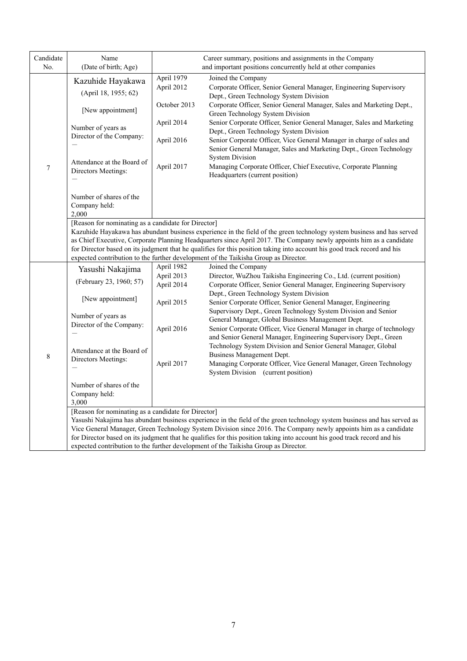| Candidate<br>No. | Name<br>(Date of birth; Age)                                                                                                                                                                                                                                                                                                                                                                                                                                                                                            | Career summary, positions and assignments in the Company<br>and important positions concurrently held at other companies |                                                                                                                                                                                                                                              |  |  |  |
|------------------|-------------------------------------------------------------------------------------------------------------------------------------------------------------------------------------------------------------------------------------------------------------------------------------------------------------------------------------------------------------------------------------------------------------------------------------------------------------------------------------------------------------------------|--------------------------------------------------------------------------------------------------------------------------|----------------------------------------------------------------------------------------------------------------------------------------------------------------------------------------------------------------------------------------------|--|--|--|
|                  | Kazuhide Hayakawa<br>(April 18, 1955; 62)                                                                                                                                                                                                                                                                                                                                                                                                                                                                               | April 1979<br>April 2012                                                                                                 | Joined the Company<br>Corporate Officer, Senior General Manager, Engineering Supervisory<br>Dept., Green Technology System Division                                                                                                          |  |  |  |
|                  | [New appointment]                                                                                                                                                                                                                                                                                                                                                                                                                                                                                                       | October 2013                                                                                                             | Corporate Officer, Senior General Manager, Sales and Marketing Dept.,<br>Green Technology System Division                                                                                                                                    |  |  |  |
|                  | Number of years as<br>Director of the Company:                                                                                                                                                                                                                                                                                                                                                                                                                                                                          | April 2014                                                                                                               | Senior Corporate Officer, Senior General Manager, Sales and Marketing<br>Dept., Green Technology System Division                                                                                                                             |  |  |  |
|                  |                                                                                                                                                                                                                                                                                                                                                                                                                                                                                                                         | April 2016                                                                                                               | Senior Corporate Officer, Vice General Manager in charge of sales and<br>Senior General Manager, Sales and Marketing Dept., Green Technology<br><b>System Division</b>                                                                       |  |  |  |
| $\boldsymbol{7}$ | Attendance at the Board of<br>Directors Meetings:                                                                                                                                                                                                                                                                                                                                                                                                                                                                       | April 2017                                                                                                               | Managing Corporate Officer, Chief Executive, Corporate Planning<br>Headquarters (current position)                                                                                                                                           |  |  |  |
|                  | Number of shares of the<br>Company held:<br>2,000                                                                                                                                                                                                                                                                                                                                                                                                                                                                       |                                                                                                                          |                                                                                                                                                                                                                                              |  |  |  |
|                  | [Reason for nominating as a candidate for Director]<br>Kazuhide Hayakawa has abundant business experience in the field of the green technology system business and has served<br>as Chief Executive, Corporate Planning Headquarters since April 2017. The Company newly appoints him as a candidate<br>for Director based on its judgment that he qualifies for this position taking into account his good track record and his<br>expected contribution to the further development of the Taikisha Group as Director. |                                                                                                                          |                                                                                                                                                                                                                                              |  |  |  |
|                  | Yasushi Nakajima                                                                                                                                                                                                                                                                                                                                                                                                                                                                                                        | April 1982                                                                                                               | Joined the Company                                                                                                                                                                                                                           |  |  |  |
|                  | (February 23, 1960; 57)                                                                                                                                                                                                                                                                                                                                                                                                                                                                                                 | April 2013                                                                                                               | Director, WuZhou Taikisha Engineering Co., Ltd. (current position)                                                                                                                                                                           |  |  |  |
|                  |                                                                                                                                                                                                                                                                                                                                                                                                                                                                                                                         | April 2014                                                                                                               | Corporate Officer, Senior General Manager, Engineering Supervisory                                                                                                                                                                           |  |  |  |
|                  | [New appointment]                                                                                                                                                                                                                                                                                                                                                                                                                                                                                                       |                                                                                                                          | Dept., Green Technology System Division                                                                                                                                                                                                      |  |  |  |
|                  | Number of years as                                                                                                                                                                                                                                                                                                                                                                                                                                                                                                      | April 2015                                                                                                               | Senior Corporate Officer, Senior General Manager, Engineering<br>Supervisory Dept., Green Technology System Division and Senior<br>General Manager, Global Business Management Dept.                                                         |  |  |  |
|                  | Director of the Company:                                                                                                                                                                                                                                                                                                                                                                                                                                                                                                | April 2016                                                                                                               | Senior Corporate Officer, Vice General Manager in charge of technology<br>and Senior General Manager, Engineering Supervisory Dept., Green                                                                                                   |  |  |  |
| $\,$ 8 $\,$      | Attendance at the Board of                                                                                                                                                                                                                                                                                                                                                                                                                                                                                              |                                                                                                                          | Technology System Division and Senior General Manager, Global<br>Business Management Dept.                                                                                                                                                   |  |  |  |
|                  | Directors Meetings:                                                                                                                                                                                                                                                                                                                                                                                                                                                                                                     | April 2017                                                                                                               | Managing Corporate Officer, Vice General Manager, Green Technology<br>System Division (current position)                                                                                                                                     |  |  |  |
|                  | Number of shares of the                                                                                                                                                                                                                                                                                                                                                                                                                                                                                                 |                                                                                                                          |                                                                                                                                                                                                                                              |  |  |  |
|                  | Company held:<br>3,000                                                                                                                                                                                                                                                                                                                                                                                                                                                                                                  |                                                                                                                          |                                                                                                                                                                                                                                              |  |  |  |
|                  | [Reason for nominating as a candidate for Director]                                                                                                                                                                                                                                                                                                                                                                                                                                                                     |                                                                                                                          |                                                                                                                                                                                                                                              |  |  |  |
|                  |                                                                                                                                                                                                                                                                                                                                                                                                                                                                                                                         |                                                                                                                          | Yasushi Nakajima has abundant business experience in the field of the green technology system business and has served as<br>Vice General Manager, Green Technology System Division since 2016. The Company newly appoints him as a candidate |  |  |  |
|                  |                                                                                                                                                                                                                                                                                                                                                                                                                                                                                                                         |                                                                                                                          | for Director based on its judgment that he qualifies for this position taking into account his good track record and his                                                                                                                     |  |  |  |
|                  |                                                                                                                                                                                                                                                                                                                                                                                                                                                                                                                         |                                                                                                                          | expected contribution to the further development of the Taikisha Group as Director.                                                                                                                                                          |  |  |  |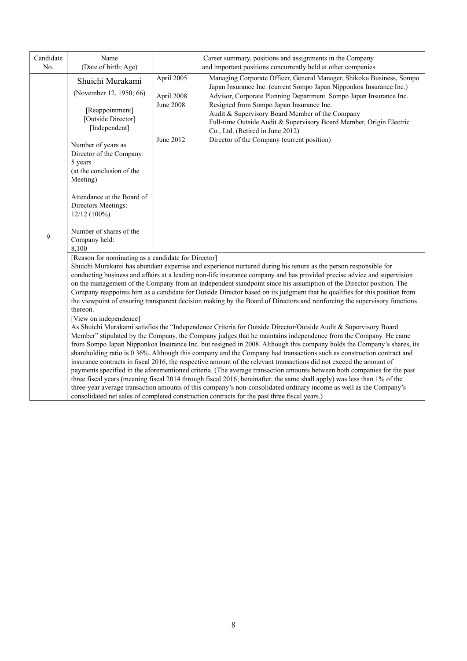| Candidate<br>No. | Name<br>(Date of birth; Age)                                                                                                                                                                                                                                                                                                                  | Career summary, positions and assignments in the Company<br>and important positions concurrently held at other companies                                                                                                                                                                                                                                                                                                                                                                                                                                                                                                                                                                                                                                                                                                                                                                                                                                                                                                                                                                                                                                                                                                                                                                                                                                            |  |  |  |  |
|------------------|-----------------------------------------------------------------------------------------------------------------------------------------------------------------------------------------------------------------------------------------------------------------------------------------------------------------------------------------------|---------------------------------------------------------------------------------------------------------------------------------------------------------------------------------------------------------------------------------------------------------------------------------------------------------------------------------------------------------------------------------------------------------------------------------------------------------------------------------------------------------------------------------------------------------------------------------------------------------------------------------------------------------------------------------------------------------------------------------------------------------------------------------------------------------------------------------------------------------------------------------------------------------------------------------------------------------------------------------------------------------------------------------------------------------------------------------------------------------------------------------------------------------------------------------------------------------------------------------------------------------------------------------------------------------------------------------------------------------------------|--|--|--|--|
| 9                | Shuichi Murakami<br>(November 12, 1950; 66)<br>[Reappointment]<br>[Outside Director]<br>[Independent]<br>Number of years as<br>Director of the Company:<br>5 years<br>(at the conclusion of the<br>Meeting)<br>Attendance at the Board of<br>Directors Meetings:<br>12/12 (100%)<br>Number of shares of the<br>Company held:<br>8,100         | April 2005<br>Managing Corporate Officer, General Manager, Shikoku Business, Sompo<br>Japan Insurance Inc. (current Sompo Japan Nipponkoa Insurance Inc.)<br>April 2008<br>Advisor, Corporate Planning Department. Sompo Japan Insurance Inc.<br><b>June 2008</b><br>Resigned from Sompo Japan Insurance Inc.<br>Audit & Supervisory Board Member of the Company<br>Full-time Outside Audit & Supervisory Board Member, Origin Electric<br>Co., Ltd. (Retired in June 2012)<br>Director of the Company (current position)<br>June 2012                                                                                                                                                                                                                                                                                                                                                                                                                                                                                                                                                                                                                                                                                                                                                                                                                              |  |  |  |  |
|                  | [Reason for nominating as a candidate for Director]<br>thereon.<br>[View on independence]                                                                                                                                                                                                                                                     | Shuichi Murakami has abundant expertise and experience nurtured during his tenure as the person responsible for<br>conducting business and affairs at a leading non-life insurance company and has provided precise advice and supervision<br>on the management of the Company from an independent standpoint since his assumption of the Director position. The<br>Company reappoints him as a candidate for Outside Director based on its judgment that he qualifies for this position from<br>the viewpoint of ensuring transparent decision making by the Board of Directors and reinforcing the supervisory functions<br>As Shuichi Murakami satisfies the "Independence Criteria for Outside Director/Outside Audit & Supervisory Board<br>Member" stipulated by the Company, the Company judges that he maintains independence from the Company. He came<br>from Sompo Japan Nipponkoa Insurance Inc. but resigned in 2008. Although this company holds the Company's shares, its<br>shareholding ratio is 0.36%. Although this company and the Company had transactions such as construction contract and<br>insurance contracts in fiscal 2016, the respective amount of the relevant transactions did not exceed the amount of<br>payments specified in the aforementioned criteria. (The average transaction amounts between both companies for the past |  |  |  |  |
|                  | three fiscal years (meaning fiscal 2014 through fiscal 2016; hereinafter, the same shall apply) was less than 1% of the<br>three-year average transaction amounts of this company's non-consolidated ordinary income as well as the Company's<br>consolidated net sales of completed construction contracts for the past three fiscal years.) |                                                                                                                                                                                                                                                                                                                                                                                                                                                                                                                                                                                                                                                                                                                                                                                                                                                                                                                                                                                                                                                                                                                                                                                                                                                                                                                                                                     |  |  |  |  |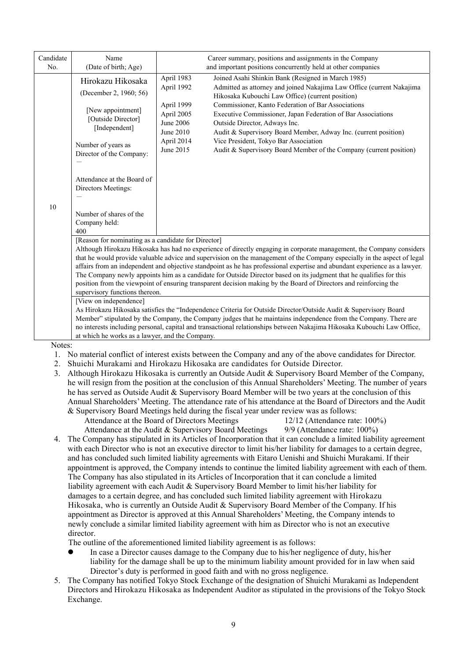| Name                                                                                                                                                      | Career summary, positions and assignments in the Company                                                                                                                                                                                                                                                                                                                                                                                                                                                                                                                                                                                                                                                                                                                                                                                                                                                                                                                                                                                                                                                                                                                                                                                                |
|-----------------------------------------------------------------------------------------------------------------------------------------------------------|---------------------------------------------------------------------------------------------------------------------------------------------------------------------------------------------------------------------------------------------------------------------------------------------------------------------------------------------------------------------------------------------------------------------------------------------------------------------------------------------------------------------------------------------------------------------------------------------------------------------------------------------------------------------------------------------------------------------------------------------------------------------------------------------------------------------------------------------------------------------------------------------------------------------------------------------------------------------------------------------------------------------------------------------------------------------------------------------------------------------------------------------------------------------------------------------------------------------------------------------------------|
| Hirokazu Hikosaka<br>(December 2, 1960; 56)<br>[New appointment]<br>[Outside Director]<br>[Independent]<br>Number of years as<br>Director of the Company: | and important positions concurrently held at other companies<br>Joined Asahi Shinkin Bank (Resigned in March 1985)<br>April 1983<br>April 1992<br>Admitted as attorney and joined Nakajima Law Office (current Nakajima<br>Hikosaka Kubouchi Law Office) (current position)<br>Commissioner, Kanto Federation of Bar Associations<br>April 1999<br>April 2005<br>Executive Commissioner, Japan Federation of Bar Associations<br>June 2006<br>Outside Director, Adways Inc.<br>June 2010<br>Audit & Supervisory Board Member, Adway Inc. (current position)<br>Vice President, Tokyo Bar Association<br>April 2014<br>June 2015<br>Audit & Supervisory Board Member of the Company (current position)                                                                                                                                                                                                                                                                                                                                                                                                                                                                                                                                                   |
| Attendance at the Board of<br>Directors Meetings:                                                                                                         |                                                                                                                                                                                                                                                                                                                                                                                                                                                                                                                                                                                                                                                                                                                                                                                                                                                                                                                                                                                                                                                                                                                                                                                                                                                         |
| Number of shares of the<br>Company held:<br>400                                                                                                           |                                                                                                                                                                                                                                                                                                                                                                                                                                                                                                                                                                                                                                                                                                                                                                                                                                                                                                                                                                                                                                                                                                                                                                                                                                                         |
| [Reason for nominating as a candidate for Director]                                                                                                       | Although Hirokazu Hikosaka has had no experience of directly engaging in corporate management, the Company considers<br>that he would provide valuable advice and supervision on the management of the Company especially in the aspect of legal<br>affairs from an independent and objective standpoint as he has professional expertise and abundant experience as a lawyer.<br>The Company newly appoints him as a candidate for Outside Director based on its judgment that he qualifies for this<br>position from the viewpoint of ensuring transparent decision making by the Board of Directors and reinforcing the                                                                                                                                                                                                                                                                                                                                                                                                                                                                                                                                                                                                                              |
| [View on independence]                                                                                                                                    | As Hirokazu Hikosaka satisfies the "Independence Criteria for Outside Director/Outside Audit & Supervisory Board<br>Member" stipulated by the Company, the Company judges that he maintains independence from the Company. There are<br>no interests including personal, capital and transactional relationships between Nakajima Hikosaka Kubouchi Law Office,                                                                                                                                                                                                                                                                                                                                                                                                                                                                                                                                                                                                                                                                                                                                                                                                                                                                                         |
| Notes:                                                                                                                                                    | 1. No material conflict of interest exists between the Company and any of the above candidates for Director.<br>Shuichi Murakami and Hirokazu Hikosaka are candidates for Outside Director.<br>Although Hirokazu Hikosaka is currently an Outside Audit & Supervisory Board Member of the Company,<br>he will resign from the position at the conclusion of this Annual Shareholders' Meeting. The number of years<br>he has served as Outside Audit & Supervisory Board Member will be two years at the conclusion of this<br>Annual Shareholders' Meeting. The attendance rate of his attendance at the Board of Directors and the Audit<br>& Supervisory Board Meetings held during the fiscal year under review was as follows:<br>Attendance at the Board of Directors Meetings<br>$12/12$ (Attendance rate: 100%)<br>Attendance at the Audit & Supervisory Board Meetings<br>9/9 (Attendance rate: 100%)                                                                                                                                                                                                                                                                                                                                          |
| director.<br>liability for the damage shall be up to the minimum liability amount provided for in law when said                                           | The Company has stipulated in its Articles of Incorporation that it can conclude a limited liability agreement<br>with each Director who is not an executive director to limit his/her liability for damages to a certain degree,<br>and has concluded such limited liability agreements with Eitaro Uenishi and Shuichi Murakami. If their<br>appointment is approved, the Company intends to continue the limited liability agreement with each of them.<br>The Company has also stipulated in its Articles of Incorporation that it can conclude a limited<br>liability agreement with each Audit & Supervisory Board Member to limit his/her liability for<br>damages to a certain degree, and has concluded such limited liability agreement with Hirokazu<br>Hikosaka, who is currently an Outside Audit & Supervisory Board Member of the Company. If his<br>appointment as Director is approved at this Annual Shareholders' Meeting, the Company intends to<br>newly conclude a similar limited liability agreement with him as Director who is not an executive<br>The outline of the aforementioned limited liability agreement is as follows:<br>In case a Director causes damage to the Company due to his/her negligence of duty, his/her |
|                                                                                                                                                           | (Date of birth; Age)<br>supervisory functions thereon.<br>at which he works as a lawyer, and the Company.                                                                                                                                                                                                                                                                                                                                                                                                                                                                                                                                                                                                                                                                                                                                                                                                                                                                                                                                                                                                                                                                                                                                               |

5. The Company has notified Tokyo Stock Exchange of the designation of Shuichi Murakami as Independent Directors and Hirokazu Hikosaka as Independent Auditor as stipulated in the provisions of the Tokyo Stock Exchange.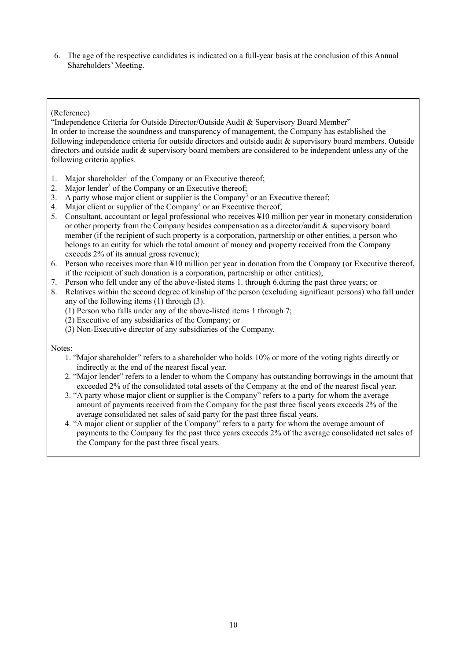6. The age of the respective candidates is indicated on a full-year basis at the conclusion of this Annual Shareholders' Meeting.

# (Reference)

"Independence Criteria for Outside Director/Outside Audit & Supervisory Board Member" In order to increase the soundness and transparency of management, the Company has established the following independence criteria for outside directors and outside audit & supervisory board members. Outside directors and outside audit & supervisory board members are considered to be independent unless any of the following criteria applies.

- 1. Major shareholder<sup>1</sup> of the Company or an Executive thereof;
- 2. Major lender<sup>2</sup> of the Company or an Executive thereof;
- 3. A party whose major client or supplier is the Company<sup>3</sup> or an Executive thereof;
- 4. Major client or supplier of the Company<sup>4</sup> or an Executive thereof;
- 5. Consultant, accountant or legal professional who receives ¥10 million per year in monetary consideration or other property from the Company besides compensation as a director/audit & supervisory board member (if the recipient of such property is a corporation, partnership or other entities, a person who belongs to an entity for which the total amount of money and property received from the Company exceeds 2% of its annual gross revenue);
- 6. Person who receives more than ¥10 million per year in donation from the Company (or Executive thereof, if the recipient of such donation is a corporation, partnership or other entities);
- 7. Person who fell under any of the above-listed items 1. through 6.during the past three years; or
- 8. Relatives within the second degree of kinship of the person (excluding significant persons) who fall under any of the following items (1) through (3).
	- (1) Person who falls under any of the above-listed items 1 through 7;
	- (2) Executive of any subsidiaries of the Company; or
	- (3) Non-Executive director of any subsidiaries of the Company.

Notes:

- 1. "Major shareholder" refers to a shareholder who holds 10% or more of the voting rights directly or indirectly at the end of the nearest fiscal year.
- 2. "Major lender" refers to a lender to whom the Company has outstanding borrowings in the amount that exceeded 2% of the consolidated total assets of the Company at the end of the nearest fiscal year.
- 3. "A party whose major client or supplier is the Company" refers to a party for whom the average amount of payments received from the Company for the past three fiscal years exceeds 2% of the average consolidated net sales of said party for the past three fiscal years.
- 4. "A major client or supplier of the Company" refers to a party for whom the average amount of payments to the Company for the past three years exceeds 2% of the average consolidated net sales of the Company for the past three fiscal years.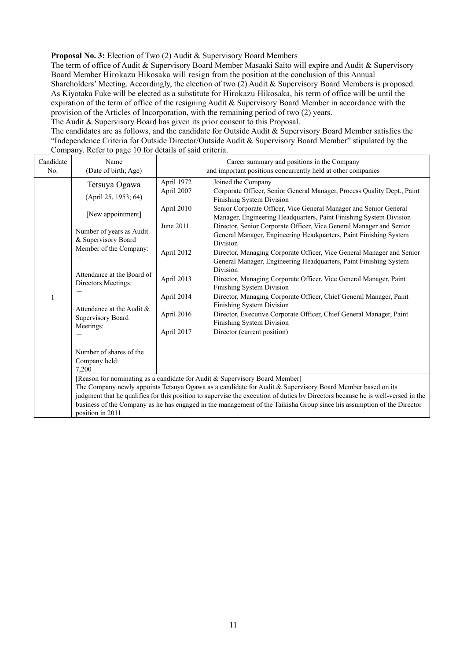**Proposal No. 3:** Election of Two (2) Audit & Supervisory Board Members

The term of office of Audit & Supervisory Board Member Masaaki Saito will expire and Audit & Supervisory Board Member Hirokazu Hikosaka will resign from the position at the conclusion of this Annual Shareholders' Meeting. Accordingly, the election of two (2) Audit & Supervisory Board Members is proposed. As Kiyotaka Fuke will be elected as a substitute for Hirokazu Hikosaka, his term of office will be until the expiration of the term of office of the resigning Audit & Supervisory Board Member in accordance with the provision of the Articles of Incorporation, with the remaining period of two (2) years.

The Audit & Supervisory Board has given its prior consent to this Proposal.

The candidates are as follows, and the candidate for Outside Audit & Supervisory Board Member satisfies the "Independence Criteria for Outside Director/Outside Audit & Supervisory Board Member" stipulated by the Company. Refer to page 10 for details of said criteria.

| Candidate | Name                                                                                                                                        | Career summary and positions in the Company |                                                                                                                                                             |  |  |  |
|-----------|---------------------------------------------------------------------------------------------------------------------------------------------|---------------------------------------------|-------------------------------------------------------------------------------------------------------------------------------------------------------------|--|--|--|
| No.       | (Date of birth; Age)                                                                                                                        |                                             | and important positions concurrently held at other companies                                                                                                |  |  |  |
|           | Tetsuya Ogawa                                                                                                                               | April 1972                                  | Joined the Company                                                                                                                                          |  |  |  |
|           | (April 25, 1953; 64)                                                                                                                        | April 2007                                  | Corporate Officer, Senior General Manager, Process Quality Dept., Paint<br>Finishing System Division                                                        |  |  |  |
|           | [New appointment]                                                                                                                           | April 2010                                  | Senior Corporate Officer, Vice General Manager and Senior General<br>Manager, Engineering Headquarters, Paint Finishing System Division                     |  |  |  |
|           | Number of years as Audit<br>& Supervisory Board                                                                                             | June 2011                                   | Director, Senior Corporate Officer, Vice General Manager and Senior<br>General Manager, Engineering Headquarters, Paint Finishing System<br><b>Division</b> |  |  |  |
|           | Member of the Company:                                                                                                                      | April 2012                                  | Director, Managing Corporate Officer, Vice General Manager and Senior<br>General Manager, Engineering Headquarters, Paint Finishing System                  |  |  |  |
|           | Attendance at the Board of<br>Directors Meetings:                                                                                           | April 2013                                  | Division<br>Director, Managing Corporate Officer, Vice General Manager, Paint<br>Finishing System Division                                                  |  |  |  |
|           | Attendance at the Audit &<br>Supervisory Board                                                                                              | April 2014                                  | Director, Managing Corporate Officer, Chief General Manager, Paint<br>Finishing System Division                                                             |  |  |  |
|           |                                                                                                                                             | April 2016                                  | Director, Executive Corporate Officer, Chief General Manager, Paint<br>Finishing System Division                                                            |  |  |  |
|           | Meetings:                                                                                                                                   | April 2017                                  | Director (current position)                                                                                                                                 |  |  |  |
|           | Number of shares of the<br>Company held:<br>7,200                                                                                           |                                             |                                                                                                                                                             |  |  |  |
|           |                                                                                                                                             |                                             | [Reason for nominating as a candidate for Audit & Supervisory Board Member]                                                                                 |  |  |  |
|           | The Company newly appoints Tetsuya Ogawa as a candidate for Audit & Supervisory Board Member based on its                                   |                                             |                                                                                                                                                             |  |  |  |
|           |                                                                                                                                             |                                             | judgment that he qualifies for this position to supervise the execution of duties by Directors because he is well-versed in the                             |  |  |  |
|           | business of the Company as he has engaged in the management of the Taikisha Group since his assumption of the Director<br>position in 2011. |                                             |                                                                                                                                                             |  |  |  |
|           |                                                                                                                                             |                                             |                                                                                                                                                             |  |  |  |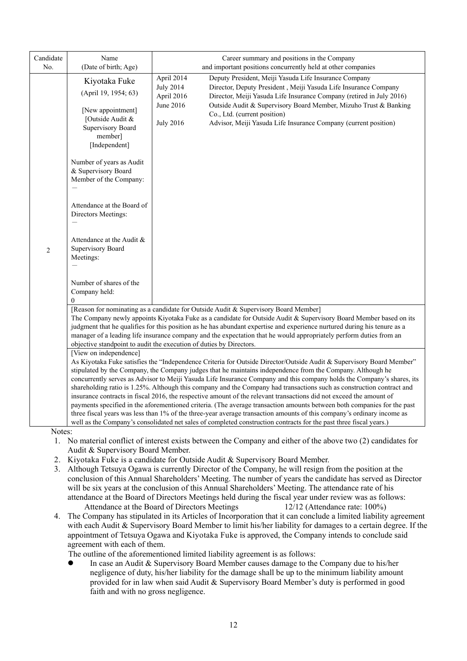| Candidate             | Name                                                                                                                                                                                                                                                                                                                                                     | Career summary and positions in the Company                                                                                                                                                                                                                                                                                                                                                                                                                                                                                                                                                                                                                                                                                                                                                                                                                                                                                                                                             |
|-----------------------|----------------------------------------------------------------------------------------------------------------------------------------------------------------------------------------------------------------------------------------------------------------------------------------------------------------------------------------------------------|-----------------------------------------------------------------------------------------------------------------------------------------------------------------------------------------------------------------------------------------------------------------------------------------------------------------------------------------------------------------------------------------------------------------------------------------------------------------------------------------------------------------------------------------------------------------------------------------------------------------------------------------------------------------------------------------------------------------------------------------------------------------------------------------------------------------------------------------------------------------------------------------------------------------------------------------------------------------------------------------|
| No.<br>$\overline{2}$ | (Date of birth; Age)<br>Kiyotaka Fuke<br>(April 19, 1954; 63)<br>[New appointment]<br>[Outside Audit &<br>Supervisory Board<br>member]<br>[Independent]<br>Number of years as Audit<br>& Supervisory Board<br>Member of the Company:<br>Attendance at the Board of<br>Directors Meetings:<br>Attendance at the Audit &<br>Supervisory Board<br>Meetings: | and important positions concurrently held at other companies<br>April 2014<br>Deputy President, Meiji Yasuda Life Insurance Company<br><b>July 2014</b><br>Director, Deputy President, Meiji Yasuda Life Insurance Company<br>April 2016<br>Director, Meiji Yasuda Life Insurance Company (retired in July 2016)<br>June 2016<br>Outside Audit & Supervisory Board Member, Mizuho Trust & Banking<br>Co., Ltd. (current position)<br><b>July 2016</b><br>Advisor, Meiji Yasuda Life Insurance Company (current position)                                                                                                                                                                                                                                                                                                                                                                                                                                                                |
|                       | Number of shares of the<br>Company held:<br>$\Omega$                                                                                                                                                                                                                                                                                                     |                                                                                                                                                                                                                                                                                                                                                                                                                                                                                                                                                                                                                                                                                                                                                                                                                                                                                                                                                                                         |
|                       |                                                                                                                                                                                                                                                                                                                                                          | [Reason for nominating as a candidate for Outside Audit & Supervisory Board Member]<br>The Company newly appoints Kiyotaka Fuke as a candidate for Outside Audit & Supervisory Board Member based on its<br>judgment that he qualifies for this position as he has abundant expertise and experience nurtured during his tenure as a<br>manager of a leading life insurance company and the expectation that he would appropriately perform duties from an<br>objective standpoint to audit the execution of duties by Directors.                                                                                                                                                                                                                                                                                                                                                                                                                                                       |
|                       | [View on independence]                                                                                                                                                                                                                                                                                                                                   | As Kiyotaka Fuke satisfies the "Independence Criteria for Outside Director/Outside Audit & Supervisory Board Member"<br>stipulated by the Company, the Company judges that he maintains independence from the Company. Although he<br>concurrently serves as Advisor to Meiji Yasuda Life Insurance Company and this company holds the Company's shares, its<br>shareholding ratio is 1.25%. Although this company and the Company had transactions such as construction contract and<br>insurance contracts in fiscal 2016, the respective amount of the relevant transactions did not exceed the amount of<br>payments specified in the aforementioned criteria. (The average transaction amounts between both companies for the past<br>three fiscal years was less than 1% of the three-year average transaction amounts of this company's ordinary income as<br>well as the Company's consolidated net sales of completed construction contracts for the past three fiscal years.) |
| Notes:                |                                                                                                                                                                                                                                                                                                                                                          |                                                                                                                                                                                                                                                                                                                                                                                                                                                                                                                                                                                                                                                                                                                                                                                                                                                                                                                                                                                         |

- 1. No material conflict of interest exists between the Company and either of the above two (2) candidates for Audit & Supervisory Board Member.
- 2. Kiyotaka Fuke is a candidate for Outside Audit & Supervisory Board Member.
- 3. Although Tetsuya Ogawa is currently Director of the Company, he will resign from the position at the conclusion of this Annual Shareholders' Meeting. The number of years the candidate has served as Director will be six years at the conclusion of this Annual Shareholders' Meeting. The attendance rate of his attendance at the Board of Directors Meetings held during the fiscal year under review was as follows: Attendance at the Board of Directors Meetings 12/12 (Attendance rate: 100%)
- 4. The Company has stipulated in its Articles of Incorporation that it can conclude a limited liability agreement with each Audit & Supervisory Board Member to limit his/her liability for damages to a certain degree. If the appointment of Tetsuya Ogawa and Kiyotaka Fuke is approved, the Company intends to conclude said agreement with each of them.

The outline of the aforementioned limited liability agreement is as follows:

 In case an Audit & Supervisory Board Member causes damage to the Company due to his/her negligence of duty, his/her liability for the damage shall be up to the minimum liability amount provided for in law when said Audit & Supervisory Board Member's duty is performed in good faith and with no gross negligence.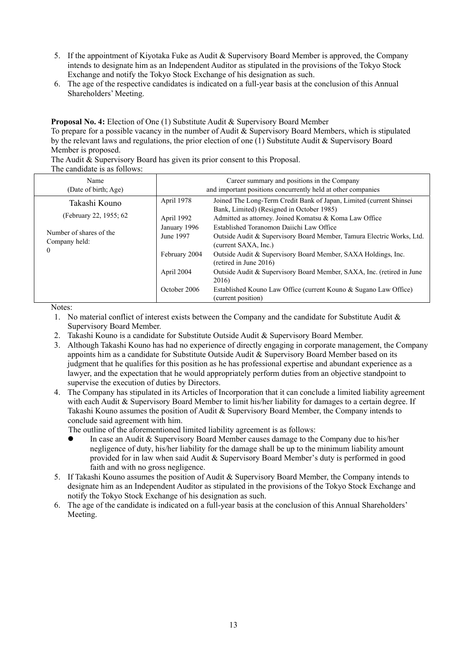- 5. If the appointment of Kiyotaka Fuke as Audit & Supervisory Board Member is approved, the Company intends to designate him as an Independent Auditor as stipulated in the provisions of the Tokyo Stock Exchange and notify the Tokyo Stock Exchange of his designation as such.
- 6. The age of the respective candidates is indicated on a full-year basis at the conclusion of this Annual Shareholders' Meeting.

**Proposal No. 4:** Election of One (1) Substitute Audit & Supervisory Board Member To prepare for a possible vacancy in the number of Audit & Supervisory Board Members, which is stipulated

by the relevant laws and regulations, the prior election of one (1) Substitute Audit & Supervisory Board Member is proposed.

The Audit & Supervisory Board has given its prior consent to this Proposal.

The candidate is as follows:

| Name<br>(Date of birth; Age)                         |                           | Career summary and positions in the Company<br>and important positions concurrently held at other companies                               |  |  |  |
|------------------------------------------------------|---------------------------|-------------------------------------------------------------------------------------------------------------------------------------------|--|--|--|
| Takashi Kouno                                        | April 1978                | Joined The Long-Term Credit Bank of Japan, Limited (current Shinsei)<br>Bank, Limited) (Resigned in October 1985)                         |  |  |  |
| (February 22, 1955; 62                               | April 1992                | Admitted as attorney. Joined Komatsu & Koma Law Office                                                                                    |  |  |  |
| Number of shares of the<br>Company held:<br>$\theta$ | January 1996<br>June 1997 | Established Toranomon Daiichi Law Office<br>Outside Audit & Supervisory Board Member, Tamura Electric Works, Ltd.<br>(current SAXA, Inc.) |  |  |  |
|                                                      | February 2004             | Outside Audit & Supervisory Board Member, SAXA Holdings, Inc.<br>(retired in June $2016$ )                                                |  |  |  |
|                                                      | April 2004                | Outside Audit & Supervisory Board Member, SAXA, Inc. (retired in June<br>2016)                                                            |  |  |  |
|                                                      | October 2006              | Established Kouno Law Office (current Kouno & Sugano Law Office)<br>(current position)                                                    |  |  |  |

Notes:

- 1. No material conflict of interest exists between the Company and the candidate for Substitute Audit & Supervisory Board Member.
- 2. Takashi Kouno is a candidate for Substitute Outside Audit & Supervisory Board Member.
- 3. Although Takashi Kouno has had no experience of directly engaging in corporate management, the Company appoints him as a candidate for Substitute Outside Audit & Supervisory Board Member based on its judgment that he qualifies for this position as he has professional expertise and abundant experience as a lawyer, and the expectation that he would appropriately perform duties from an objective standpoint to supervise the execution of duties by Directors.
- 4. The Company has stipulated in its Articles of Incorporation that it can conclude a limited liability agreement with each Audit & Supervisory Board Member to limit his/her liability for damages to a certain degree. If Takashi Kouno assumes the position of Audit & Supervisory Board Member, the Company intends to conclude said agreement with him.

The outline of the aforementioned limited liability agreement is as follows:

- In case an Audit & Supervisory Board Member causes damage to the Company due to his/her negligence of duty, his/her liability for the damage shall be up to the minimum liability amount provided for in law when said Audit & Supervisory Board Member's duty is performed in good faith and with no gross negligence.
- 5. If Takashi Kouno assumes the position of Audit & Supervisory Board Member, the Company intends to designate him as an Independent Auditor as stipulated in the provisions of the Tokyo Stock Exchange and notify the Tokyo Stock Exchange of his designation as such.
- 6. The age of the candidate is indicated on a full-year basis at the conclusion of this Annual Shareholders' Meeting.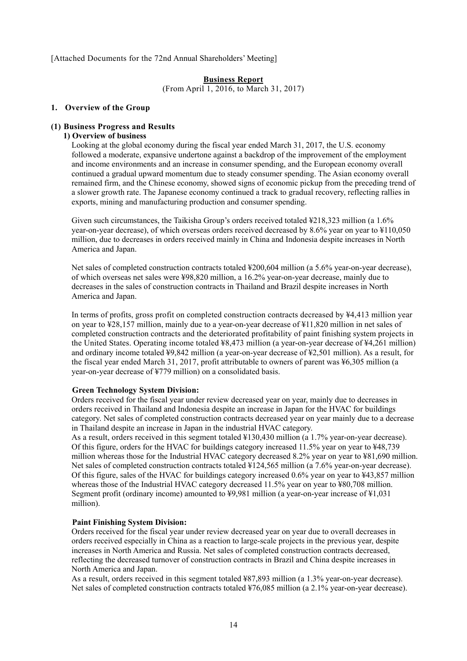[Attached Documents for the 72nd Annual Shareholders' Meeting]

# **Business Report**

(From April 1, 2016, to March 31, 2017)

#### **1. Overview of the Group**

#### **(1) Business Progress and Results**

# **1) Overview of business**

Looking at the global economy during the fiscal year ended March 31, 2017, the U.S. economy followed a moderate, expansive undertone against a backdrop of the improvement of the employment and income environments and an increase in consumer spending, and the European economy overall continued a gradual upward momentum due to steady consumer spending. The Asian economy overall remained firm, and the Chinese economy, showed signs of economic pickup from the preceding trend of a slower growth rate. The Japanese economy continued a track to gradual recovery, reflecting rallies in exports, mining and manufacturing production and consumer spending.

Given such circumstances, the Taikisha Group's orders received totaled ¥218,323 million (a 1.6% year-on-year decrease), of which overseas orders received decreased by 8.6% year on year to ¥110,050 million, due to decreases in orders received mainly in China and Indonesia despite increases in North America and Japan.

Net sales of completed construction contracts totaled ¥200,604 million (a 5.6% year-on-year decrease), of which overseas net sales were ¥98,820 million, a 16.2% year-on-year decrease, mainly due to decreases in the sales of construction contracts in Thailand and Brazil despite increases in North America and Japan.

In terms of profits, gross profit on completed construction contracts decreased by ¥4,413 million year on year to ¥28,157 million, mainly due to a year-on-year decrease of ¥11,820 million in net sales of completed construction contracts and the deteriorated profitability of paint finishing system projects in the United States. Operating income totaled ¥8,473 million (a year-on-year decrease of ¥4,261 million) and ordinary income totaled ¥9,842 million (a year-on-year decrease of ¥2,501 million). As a result, for the fiscal year ended March 31, 2017, profit attributable to owners of parent was ¥6,305 million (a year-on-year decrease of ¥779 million) on a consolidated basis.

#### **Green Technology System Division:**

Orders received for the fiscal year under review decreased year on year, mainly due to decreases in orders received in Thailand and Indonesia despite an increase in Japan for the HVAC for buildings category. Net sales of completed construction contracts decreased year on year mainly due to a decrease in Thailand despite an increase in Japan in the industrial HVAC category.

As a result, orders received in this segment totaled ¥130,430 million (a 1.7% year-on-year decrease). Of this figure, orders for the HVAC for buildings category increased 11.5% year on year to ¥48,739 million whereas those for the Industrial HVAC category decreased 8.2% year on year to ¥81,690 million. Net sales of completed construction contracts totaled ¥124,565 million (a 7.6% year-on-year decrease). Of this figure, sales of the HVAC for buildings category increased 0.6% year on year to ¥43,857 million whereas those of the Industrial HVAC category decreased 11.5% year on year to ¥80,708 million. Segment profit (ordinary income) amounted to ¥9,981 million (a year-on-year increase of ¥1,031 million).

#### **Paint Finishing System Division:**

Orders received for the fiscal year under review decreased year on year due to overall decreases in orders received especially in China as a reaction to large-scale projects in the previous year, despite increases in North America and Russia. Net sales of completed construction contracts decreased, reflecting the decreased turnover of construction contracts in Brazil and China despite increases in North America and Japan.

As a result, orders received in this segment totaled ¥87,893 million (a 1.3% year-on-year decrease). Net sales of completed construction contracts totaled ¥76,085 million (a 2.1% year-on-year decrease).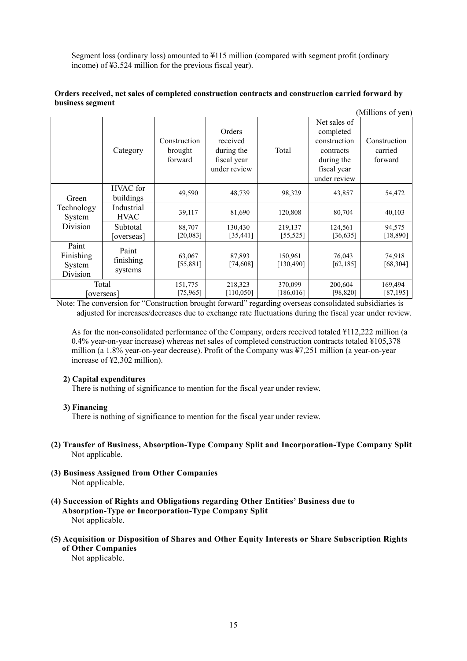Segment loss (ordinary loss) amounted to ¥115 million (compared with segment profit (ordinary income) of ¥3,524 million for the previous fiscal year).

#### **Orders received, net sales of completed construction contracts and construction carried forward by business segment**   $\alpha$  cut  $\alpha$  y

|                                          |                               |                                    |                                                                 |                       |                                                                                                     | (ivilihons of yen)                 |
|------------------------------------------|-------------------------------|------------------------------------|-----------------------------------------------------------------|-----------------------|-----------------------------------------------------------------------------------------------------|------------------------------------|
|                                          | Category                      | Construction<br>brought<br>forward | Orders<br>received<br>during the<br>fiscal year<br>under review | Total                 | Net sales of<br>completed<br>construction<br>contracts<br>during the<br>fiscal year<br>under review | Construction<br>carried<br>forward |
| Green                                    | HVAC for<br>buildings         | 49,590                             | 48,739                                                          | 98,329                | 43,857                                                                                              | 54,472                             |
| Technology<br>System<br>Division         | Industrial<br><b>HVAC</b>     | 39,117                             | 81,690                                                          | 120,808               | 80,704                                                                                              | 40,103                             |
|                                          | Subtotal<br>[overseas]        | 88,707<br>[20,083]                 | 130,430<br>[35, 441]                                            | 219,137<br>[55, 525]  | 124,561<br>[36, 635]                                                                                | 94,575<br>[18, 890]                |
| Paint<br>Finishing<br>System<br>Division | Paint<br>finishing<br>systems | 63,067<br>[55,881]                 | 87,893<br>[74,608]                                              | 150,961<br>[130, 490] | 76,043<br>[62, 185]                                                                                 | 74,918<br>[68, 304]                |
|                                          | Total<br>[overseas]           | 151,775<br>[75, 965]               | 218,323<br>[110, 050]                                           | 370,099<br>[186, 016] | 200,604<br>[98, 820]                                                                                | 169,494<br>[87, 195]               |

Note: The conversion for "Construction brought forward" regarding overseas consolidated subsidiaries is adjusted for increases/decreases due to exchange rate fluctuations during the fiscal year under review.

As for the non-consolidated performance of the Company, orders received totaled ¥112,222 million (a 0.4% year-on-year increase) whereas net sales of completed construction contracts totaled ¥105,378 million (a 1.8% year-on-year decrease). Profit of the Company was ¥7,251 million (a year-on-year increase of ¥2,302 million).

#### **2) Capital expenditures**

There is nothing of significance to mention for the fiscal year under review.

#### **3) Financing**

There is nothing of significance to mention for the fiscal year under review.

- **(2) Transfer of Business, Absorption-Type Company Split and Incorporation-Type Company Split**  Not applicable.
- **(3) Business Assigned from Other Companies**  Not applicable.
- **(4) Succession of Rights and Obligations regarding Other Entities' Business due to Absorption-Type or Incorporation-Type Company Split**  Not applicable.
- **(5) Acquisition or Disposition of Shares and Other Equity Interests or Share Subscription Rights of Other Companies**

Not applicable.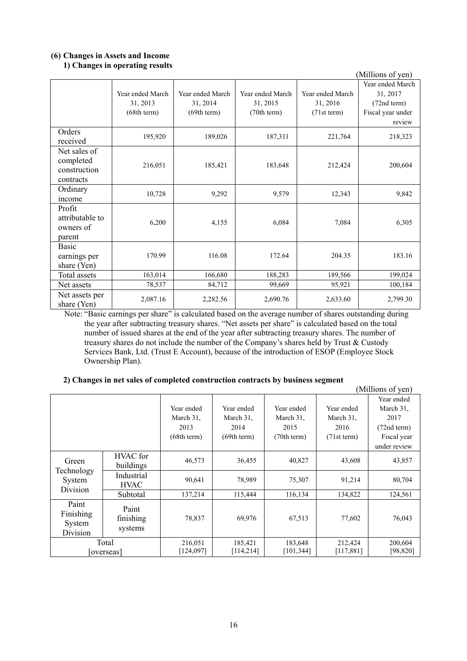#### **(6) Changes in Assets and Income 1) Changes in operating results**

|                               |                  |                  |                  |                  | (Millions of yen) |
|-------------------------------|------------------|------------------|------------------|------------------|-------------------|
|                               |                  |                  |                  |                  | Year ended March  |
|                               | Year ended March | Year ended March | Year ended March | Year ended March | 31, 2017          |
|                               | 31, 2013         | 31, 2014         | 31, 2015         | 31, 2016         | (72nd term)       |
|                               | (68th term)      | (69th term)      | (70th term)      | (71st term)      | Fiscal year under |
|                               |                  |                  |                  |                  | review            |
| Orders<br>received            | 195,920          | 189,026          | 187,311          | 221,764          | 218,323           |
| Net sales of                  |                  |                  |                  |                  |                   |
| completed                     |                  |                  |                  |                  |                   |
| construction                  | 216,051          | 185,421          | 183,648          | 212,424          | 200,604           |
| contracts                     |                  |                  |                  |                  |                   |
| Ordinary                      | 10,728           | 9,292            | 9,579            | 12,343           | 9,842             |
| income                        |                  |                  |                  |                  |                   |
| Profit                        |                  |                  |                  |                  |                   |
| attributable to               | 6,200            | 4,155            | 6,084            | 7,084            | 6,305             |
| owners of                     |                  |                  |                  |                  |                   |
| parent                        |                  |                  |                  |                  |                   |
| Basic                         |                  |                  |                  |                  |                   |
| earnings per                  | 170.99           | 116.08           | 172.64           | 204.35           | 183.16            |
| share (Yen)<br>Total assets   |                  |                  |                  |                  | 199,024           |
|                               | 163,014          | 166,680          | 188,283          | 189,566          |                   |
| Net assets                    | 78,537           | 84,712           | 99,669           | 95,921           | 100,184           |
| Net assets per<br>share (Yen) | 2,087.16         | 2,282.56         | 2,690.76         | 2,633.60         | 2,799.30          |

Note: "Basic earnings per share" is calculated based on the average number of shares outstanding during the year after subtracting treasury shares. "Net assets per share" is calculated based on the total number of issued shares at the end of the year after subtracting treasury shares. The number of treasury shares do not include the number of the Company's shares held by Trust & Custody Services Bank, Ltd. (Trust E Account), because of the introduction of ESOP (Employee Stock Ownership Plan).

# **2) Changes in net sales of completed construction contracts by business segment**

|                                          |                               |                      |                       |                      |                      | (Millions of yen)    |
|------------------------------------------|-------------------------------|----------------------|-----------------------|----------------------|----------------------|----------------------|
|                                          |                               |                      |                       |                      |                      | Year ended           |
|                                          |                               | Year ended           | Year ended            | Year ended           | Year ended           | March 31,            |
|                                          |                               | March 31,            | March 31,             | March 31,            | March 31,            | 2017                 |
|                                          |                               | 2013                 | 2014                  | 2015                 | 2016                 | (72nd term)          |
|                                          |                               | (68th term)          | (69th term)           | (70th term)          | (71st term)          | Fiscal year          |
|                                          |                               |                      |                       |                      |                      | under review         |
| Green                                    | HVAC for<br>buildings         | 46,573               | 36,455                | 40,827               | 43,608               | 43,857               |
| Technology<br>System<br>Division         | Industrial<br><b>HVAC</b>     | 90,641               | 78,989                | 75,307               | 91,214               | 80,704               |
|                                          | Subtotal                      | 137,214              | 115,444               | 116,134              | 134,822              | 124,561              |
| Paint<br>Finishing<br>System<br>Division | Paint<br>finishing<br>systems | 78,837               | 69,976                | 67,513               | 77,602               | 76,043               |
|                                          | Total<br>overseas             | 216,051<br>[124,097] | 185,421<br>[114, 214] | 183,648<br>[101,344] | 212,424<br>[117,881] | 200,604<br>[98, 820] |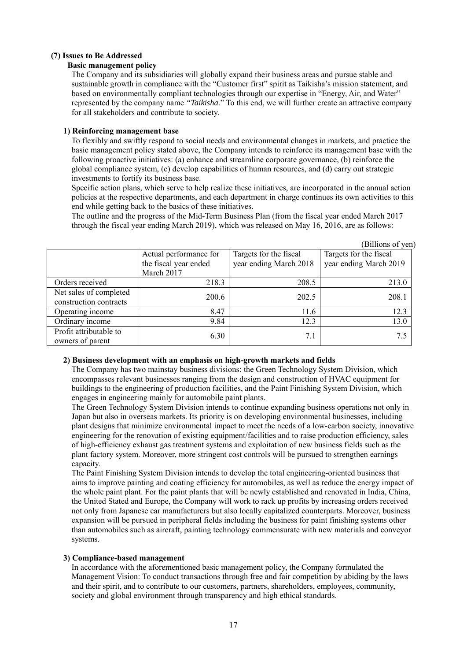# **(7) Issues to Be Addressed**

# **Basic management policy**

The Company and its subsidiaries will globally expand their business areas and pursue stable and sustainable growth in compliance with the "Customer first" spirit as Taikisha's mission statement, and based on environmentally compliant technologies through our expertise in "Energy, Air, and Water" represented by the company name *"Taikisha.*" To this end, we will further create an attractive company for all stakeholders and contribute to society.

#### **1) Reinforcing management base**

To flexibly and swiftly respond to social needs and environmental changes in markets, and practice the basic management policy stated above, the Company intends to reinforce its management base with the following proactive initiatives: (a) enhance and streamline corporate governance, (b) reinforce the global compliance system, (c) develop capabilities of human resources, and (d) carry out strategic investments to fortify its business base.

Specific action plans, which serve to help realize these initiatives, are incorporated in the annual action policies at the respective departments, and each department in charge continues its own activities to this end while getting back to the basics of these initiatives.

|                        |                        |                        | (Billions of yen)      |
|------------------------|------------------------|------------------------|------------------------|
|                        | Actual performance for | Targets for the fiscal | Targets for the fiscal |
|                        | the fiscal year ended  | year ending March 2018 | year ending March 2019 |
|                        | March 2017             |                        |                        |
| Orders received        | 218.3                  | 208.5                  | 213.0                  |
| Net sales of completed | 200.6                  | 202.5                  | 208.1                  |
| construction contracts |                        |                        |                        |
| Operating income       | 8.47                   | 11.6                   | 12.3                   |
| Ordinary income        | 9.84                   | 12.3                   | 13.0                   |
| Profit attributable to | 6.30                   | 7.1                    | 7.5                    |
| owners of parent       |                        |                        |                        |

The outline and the progress of the Mid-Term Business Plan (from the fiscal year ended March 2017 through the fiscal year ending March 2019), which was released on May 16, 2016, are as follows:

# **2) Business development with an emphasis on high-growth markets and fields**

The Company has two mainstay business divisions: the Green Technology System Division, which encompasses relevant businesses ranging from the design and construction of HVAC equipment for buildings to the engineering of production facilities, and the Paint Finishing System Division, which engages in engineering mainly for automobile paint plants.

The Green Technology System Division intends to continue expanding business operations not only in Japan but also in overseas markets. Its priority is on developing environmental businesses, including plant designs that minimize environmental impact to meet the needs of a low-carbon society, innovative engineering for the renovation of existing equipment/facilities and to raise production efficiency, sales of high-efficiency exhaust gas treatment systems and exploitation of new business fields such as the plant factory system. Moreover, more stringent cost controls will be pursued to strengthen earnings capacity.

The Paint Finishing System Division intends to develop the total engineering-oriented business that aims to improve painting and coating efficiency for automobiles, as well as reduce the energy impact of the whole paint plant. For the paint plants that will be newly established and renovated in India, China, the United Stated and Europe, the Company will work to rack up profits by increasing orders received not only from Japanese car manufacturers but also locally capitalized counterparts. Moreover, business expansion will be pursued in peripheral fields including the business for paint finishing systems other than automobiles such as aircraft, painting technology commensurate with new materials and conveyor systems.

# **3) Compliance-based management**

In accordance with the aforementioned basic management policy, the Company formulated the Management Vision: To conduct transactions through free and fair competition by abiding by the laws and their spirit, and to contribute to our customers, partners, shareholders, employees, community, society and global environment through transparency and high ethical standards.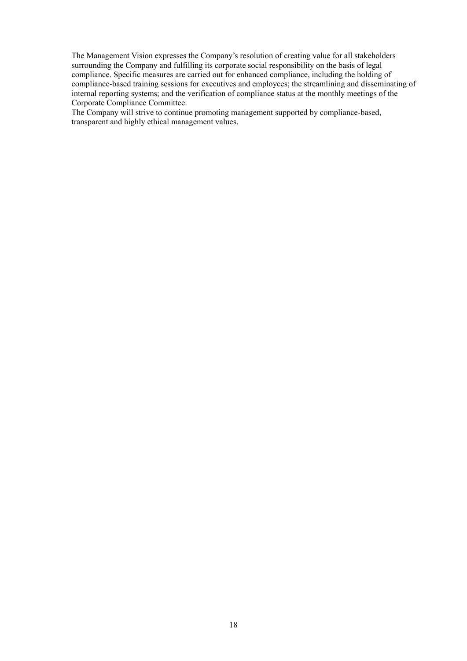The Management Vision expresses the Company's resolution of creating value for all stakeholders surrounding the Company and fulfilling its corporate social responsibility on the basis of legal compliance. Specific measures are carried out for enhanced compliance, including the holding of compliance-based training sessions for executives and employees; the streamlining and disseminating of internal reporting systems; and the verification of compliance status at the monthly meetings of the Corporate Compliance Committee.

The Company will strive to continue promoting management supported by compliance-based, transparent and highly ethical management values.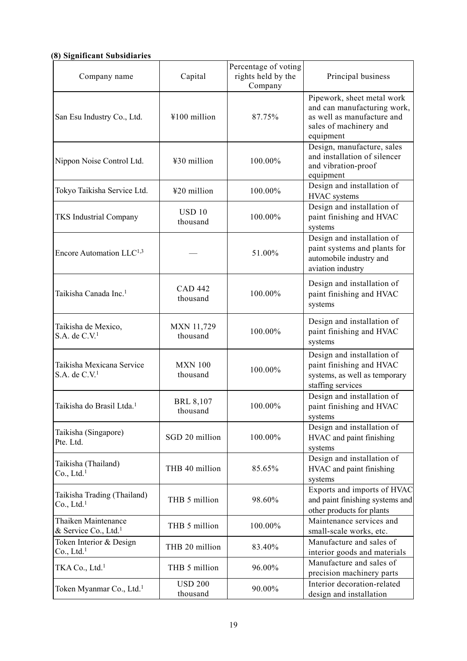# **(8) Significant Subsidiaries**

| 8) Significant Subsidiaries                             |                               |                                                       |                                                                                                                                |
|---------------------------------------------------------|-------------------------------|-------------------------------------------------------|--------------------------------------------------------------------------------------------------------------------------------|
| Company name                                            | Capital                       | Percentage of voting<br>rights held by the<br>Company | Principal business                                                                                                             |
| San Esu Industry Co., Ltd.                              | ¥100 million                  | 87.75%                                                | Pipework, sheet metal work<br>and can manufacturing work,<br>as well as manufacture and<br>sales of machinery and<br>equipment |
| Nippon Noise Control Ltd.                               | ¥30 million                   | 100.00%                                               | Design, manufacture, sales<br>and installation of silencer<br>and vibration-proof<br>equipment                                 |
| Tokyo Taikisha Service Ltd.                             | ¥20 million                   | 100.00%                                               | Design and installation of<br>HVAC systems                                                                                     |
| <b>TKS</b> Industrial Company                           | USD <sub>10</sub><br>thousand | 100.00%                                               | Design and installation of<br>paint finishing and HVAC<br>systems                                                              |
| Encore Automation LLC <sup>1,3</sup>                    |                               | 51.00%                                                | Design and installation of<br>paint systems and plants for<br>automobile industry and<br>aviation industry                     |
| Taikisha Canada Inc. <sup>1</sup>                       | <b>CAD 442</b><br>thousand    | 100.00%                                               | Design and installation of<br>paint finishing and HVAC<br>systems                                                              |
| Taikisha de Mexico,<br>$S.A.$ de $C.V.1$                | <b>MXN 11,729</b><br>thousand | 100.00%                                               | Design and installation of<br>paint finishing and HVAC<br>systems                                                              |
| Taikisha Mexicana Service<br>$S.A.$ de $C.V.1$          | <b>MXN 100</b><br>thousand    | 100.00%                                               | Design and installation of<br>paint finishing and HVAC<br>systems, as well as temporary<br>staffing services                   |
| Taikisha do Brasil Ltda. <sup>1</sup>                   | <b>BRL 8,107</b><br>thousand  | 100.00%                                               | Design and installation of<br>paint finishing and HVAC<br>systems                                                              |
| Taikisha (Singapore)<br>Pte. Ltd.                       | SGD 20 million                | 100.00%                                               | Design and installation of<br>HVAC and paint finishing<br>systems                                                              |
| Taikisha (Thailand)<br>Co., Ltd. <sup>1</sup>           | THB 40 million                | 85.65%                                                | Design and installation of<br>HVAC and paint finishing<br>systems                                                              |
| Taikisha Trading (Thailand)<br>Co., Ltd. <sup>1</sup>   | THB 5 million                 | 98.60%                                                | Exports and imports of HVAC<br>and paint finishing systems and<br>other products for plants                                    |
| Thaiken Maintenance<br>& Service Co., Ltd. <sup>1</sup> | THB 5 million                 | 100.00%                                               | Maintenance services and<br>small-scale works, etc.                                                                            |
| Token Interior & Design<br>Co., Ltd. <sup>1</sup>       | THB 20 million                | 83.40%                                                | Manufacture and sales of<br>interior goods and materials                                                                       |
| TKA Co., Ltd. <sup>1</sup>                              | THB 5 million                 | 96.00%                                                | Manufacture and sales of<br>precision machinery parts                                                                          |
| Token Myanmar Co., Ltd. <sup>1</sup>                    | <b>USD 200</b><br>thousand    | 90.00%                                                | Interior decoration-related<br>design and installation                                                                         |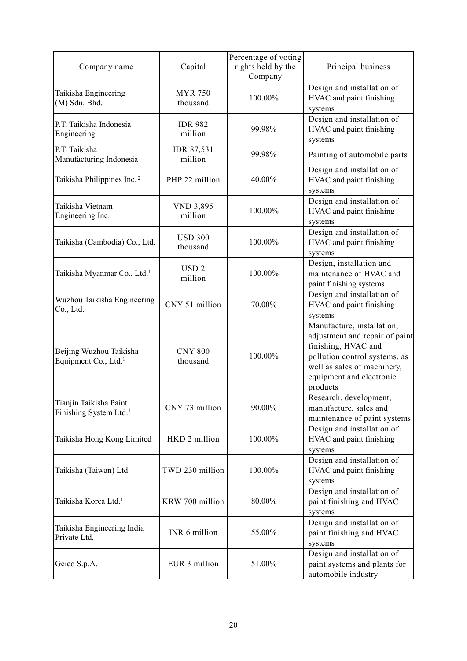| Company name                                                 | Capital                     | Percentage of voting<br>rights held by the<br>Company | Principal business                                                                                                                                                                          |
|--------------------------------------------------------------|-----------------------------|-------------------------------------------------------|---------------------------------------------------------------------------------------------------------------------------------------------------------------------------------------------|
| Taikisha Engineering<br>(M) Sdn. Bhd.                        | <b>MYR 750</b><br>thousand  | 100.00%                                               | Design and installation of<br>HVAC and paint finishing<br>systems                                                                                                                           |
| P.T. Taikisha Indonesia<br>Engineering                       | <b>IDR 982</b><br>million   | 99.98%                                                | Design and installation of<br>HVAC and paint finishing<br>systems                                                                                                                           |
| P.T. Taikisha<br>Manufacturing Indonesia                     | IDR 87,531<br>million       | 99.98%                                                | Painting of automobile parts                                                                                                                                                                |
| Taikisha Philippines Inc. <sup>2</sup>                       | PHP 22 million              | 40.00%                                                | Design and installation of<br>HVAC and paint finishing<br>systems                                                                                                                           |
| Taikisha Vietnam<br>Engineering Inc.                         | <b>VND 3,895</b><br>million | 100.00%                                               | Design and installation of<br>HVAC and paint finishing<br>systems                                                                                                                           |
| Taikisha (Cambodia) Co., Ltd.                                | <b>USD 300</b><br>thousand  | 100.00%                                               | Design and installation of<br>HVAC and paint finishing<br>systems                                                                                                                           |
| Taikisha Myanmar Co., Ltd. <sup>1</sup>                      | USD <sub>2</sub><br>million | 100.00%                                               | Design, installation and<br>maintenance of HVAC and<br>paint finishing systems                                                                                                              |
| Wuzhou Taikisha Engineering<br>Co., Ltd.                     | CNY 51 million              | 70.00%                                                | Design and installation of<br>HVAC and paint finishing<br>systems                                                                                                                           |
| Beijing Wuzhou Taikisha<br>Equipment Co., Ltd. <sup>1</sup>  | <b>CNY 800</b><br>thousand  | 100.00%                                               | Manufacture, installation,<br>adjustment and repair of paint<br>finishing, HVAC and<br>pollution control systems, as<br>well as sales of machinery,<br>equipment and electronic<br>products |
| Tianjin Taikisha Paint<br>Finishing System Ltd. <sup>1</sup> | CNY 73 million              | 90.00%                                                | Research, development,<br>manufacture, sales and<br>maintenance of paint systems                                                                                                            |
| Taikisha Hong Kong Limited                                   | HKD 2 million               | 100.00%                                               | Design and installation of<br>HVAC and paint finishing<br>systems                                                                                                                           |
| Taikisha (Taiwan) Ltd.                                       | TWD 230 million             | 100.00%                                               | Design and installation of<br>HVAC and paint finishing<br>systems                                                                                                                           |
| Taikisha Korea Ltd. <sup>1</sup>                             | KRW 700 million             | 80.00%                                                | Design and installation of<br>paint finishing and HVAC<br>systems                                                                                                                           |
| Taikisha Engineering India<br>Private Ltd.                   | INR 6 million               | 55.00%                                                | Design and installation of<br>paint finishing and HVAC<br>systems                                                                                                                           |
| Geico S.p.A.                                                 | EUR 3 million               | 51.00%                                                | Design and installation of<br>paint systems and plants for<br>automobile industry                                                                                                           |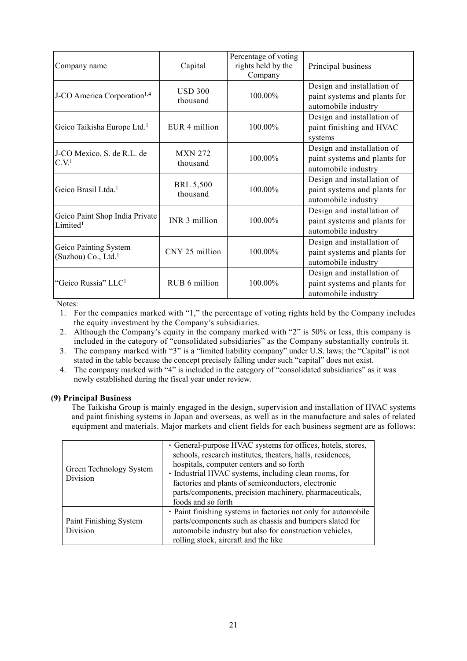| Company name                                             | Capital                      | Percentage of voting<br>rights held by the<br>Company | Principal business                                                                |
|----------------------------------------------------------|------------------------------|-------------------------------------------------------|-----------------------------------------------------------------------------------|
| J-CO America Corporation <sup>1,4</sup>                  | USD 300<br>thousand          | $100.00\%$                                            | Design and installation of<br>paint systems and plants for<br>automobile industry |
| Geico Taikisha Europe Ltd. <sup>1</sup>                  | EUR 4 million                | 100.00%                                               | Design and installation of<br>paint finishing and HVAC<br>systems                 |
| J-CO Mexico, S. de R.L. de<br>C.V. <sup>1</sup>          | <b>MXN 272</b><br>thousand   | 100.00%                                               | Design and installation of<br>paint systems and plants for<br>automobile industry |
| Geico Brasil Ltda. <sup>1</sup>                          | <b>BRL 5,500</b><br>thousand | 100.00%                                               | Design and installation of<br>paint systems and plants for<br>automobile industry |
| Geico Paint Shop India Private<br>Limited <sup>1</sup>   | INR 3 million                | 100.00%                                               | Design and installation of<br>paint systems and plants for<br>automobile industry |
| Geico Painting System<br>(Suzhou) Co., Ltd. <sup>1</sup> | CNY 25 million               | 100.00%                                               | Design and installation of<br>paint systems and plants for<br>automobile industry |
| "Geico Russia" LLC <sup>1</sup>                          | RUB 6 million                | 100.00%                                               | Design and installation of<br>paint systems and plants for<br>automobile industry |

Notes:

1. For the companies marked with "1," the percentage of voting rights held by the Company includes the equity investment by the Company's subsidiaries.

- 2. Although the Company's equity in the company marked with "2" is 50% or less, this company is included in the category of "consolidated subsidiaries" as the Company substantially controls it.
- 3. The company marked with "3" is a "limited liability company" under U.S. laws; the "Capital" is not stated in the table because the concept precisely falling under such "capital" does not exist.
- 4. The company marked with "4" is included in the category of "consolidated subsidiaries" as it was newly established during the fiscal year under review.

# **(9) Principal Business**

The Taikisha Group is mainly engaged in the design, supervision and installation of HVAC systems and paint finishing systems in Japan and overseas, as well as in the manufacture and sales of related equipment and materials. Major markets and client fields for each business segment are as follows:

| Green Technology System<br>Division | • General-purpose HVAC systems for offices, hotels, stores,<br>schools, research institutes, theaters, halls, residences,<br>hospitals, computer centers and so forth<br>· Industrial HVAC systems, including clean rooms, for<br>factories and plants of semiconductors, electronic<br>parts/components, precision machinery, pharmaceuticals,<br>foods and so forth |
|-------------------------------------|-----------------------------------------------------------------------------------------------------------------------------------------------------------------------------------------------------------------------------------------------------------------------------------------------------------------------------------------------------------------------|
| Paint Finishing System<br>Division  | • Paint finishing systems in factories not only for automobile<br>parts/components such as chassis and bumpers slated for<br>automobile industry but also for construction vehicles,<br>rolling stock, aircraft and the like                                                                                                                                          |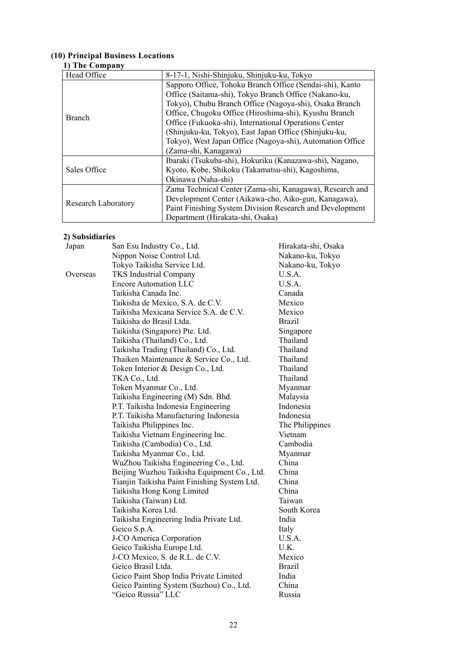#### **(10) Principal Business Locations**

# **1) The Company**

| Head Office         | 8-17-1, Nishi-Shinjuku, Shinjuku-ku, Tokyo                |
|---------------------|-----------------------------------------------------------|
|                     | Sapporo Office, Tohoku Branch Office (Sendai-shi), Kanto  |
|                     | Office (Saitama-shi), Tokyo Branch Office (Nakano-ku,     |
|                     | Tokyo), Chubu Branch Office (Nagoya-shi), Osaka Branch    |
| <b>Branch</b>       | Office, Chugoku Office (Hiroshima-shi), Kyushu Branch     |
|                     | Office (Fukuoka-shi), International Operations Center     |
|                     | (Shinjuku-ku, Tokyo), East Japan Office (Shinjuku-ku,     |
|                     | Tokyo), West Japan Office (Nagoya-shi), Automation Office |
|                     | (Zama-shi, Kanagawa)                                      |
|                     | Ibaraki (Tsukuba-shi), Hokuriku (Kanazawa-shi), Nagano,   |
| Sales Office        | Kyoto, Kobe, Shikoku (Takamatsu-shi), Kagoshima,          |
|                     | Okinawa (Naha-shi)                                        |
|                     | Zama Technical Center (Zama-shi, Kanagawa), Research and  |
|                     | Development Center (Aikawa-cho, Aiko-gun, Kanagawa),      |
| Research Laboratory | Paint Finishing System Division Research and Development  |
|                     | Department (Hirakata-shi, Osaka)                          |

# **2) Subsidiaries**

| Japan    | San Esu Industry Co., Ltd.                   | Hirakata-shi, Osaka |
|----------|----------------------------------------------|---------------------|
|          | Nippon Noise Control Ltd.                    | Nakano-ku, Tokyo    |
|          | Tokyo Taikisha Service Ltd.                  | Nakano-ku, Tokyo    |
| Overseas | <b>TKS Industrial Company</b>                | U.S.A.              |
|          | <b>Encore Automation LLC</b>                 | U.S.A.              |
|          | Taikisha Canada Inc.                         | Canada              |
|          | Taikisha de Mexico, S.A. de C.V.             | Mexico              |
|          | Taikisha Mexicana Service S.A. de C.V.       | Mexico              |
|          | Taikisha do Brasil Ltda.                     | <b>Brazil</b>       |
|          | Taikisha (Singapore) Pte. Ltd.               | Singapore           |
|          | Taikisha (Thailand) Co., Ltd.                | Thailand            |
|          | Taikisha Trading (Thailand) Co., Ltd.        | Thailand            |
|          | Thaiken Maintenance & Service Co., Ltd.      | Thailand            |
|          | Token Interior & Design Co., Ltd.            | Thailand            |
|          | TKA Co., Ltd.                                | Thailand            |
|          | Token Myanmar Co., Ltd.                      | Myanmar             |
|          | Taikisha Engineering (M) Sdn. Bhd.           | Malaysia            |
|          | P.T. Taikisha Indonesia Engineering          | Indonesia           |
|          | P.T. Taikisha Manufacturing Indonesia        | Indonesia           |
|          | Taikisha Philippines Inc.                    | The Philippines     |
|          | Taikisha Vietnam Engineering Inc.            | Vietnam             |
|          | Taikisha (Cambodia) Co., Ltd.                | Cambodia            |
|          | Taikisha Myanmar Co., Ltd.                   | Myanmar             |
|          | WuZhou Taikisha Engineering Co., Ltd.        | China               |
|          | Beijing Wuzhou Taikisha Equipment Co., Ltd.  | China               |
|          | Tianjin Taikisha Paint Finishing System Ltd. | China               |
|          | Taikisha Hong Kong Limited                   | China               |
|          | Taikisha (Taiwan) Ltd.                       | Taiwan              |
|          | Taikisha Korea Ltd.                          | South Korea         |
|          | Taikisha Engineering India Private Ltd.      | India               |
|          | Geico S.p.A.                                 | Italy               |
|          | J-CO America Corporation                     | U.S.A.              |
|          | Geico Taikisha Europe Ltd.                   | U.K.                |
|          | J-CO Mexico, S. de R.L. de C.V.              | Mexico              |
|          | Geico Brasil Ltda.                           | <b>Brazil</b>       |
|          | Geico Paint Shop India Private Limited       | India               |
|          | Geico Painting System (Suzhou) Co., Ltd.     | China               |
|          | "Geico Russia" LLC                           | Russia              |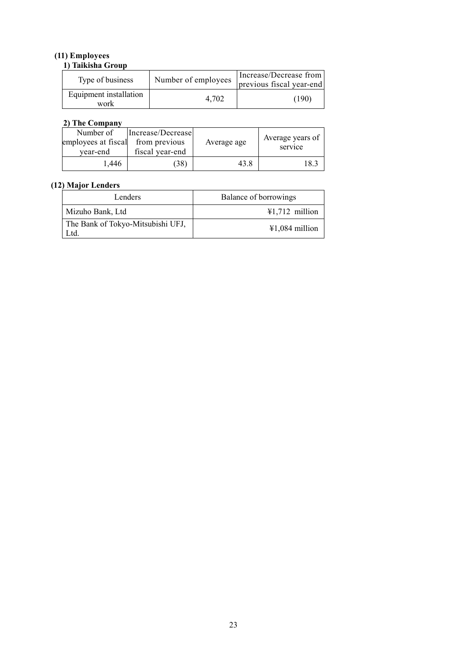# **(11) Employees**

| 1) Taikisha Group              |                     |                                                    |  |  |
|--------------------------------|---------------------|----------------------------------------------------|--|--|
| Type of business               | Number of employees | Increase/Decrease from<br>previous fiscal year-end |  |  |
| Equipment installation<br>work | 4.702               | (190)                                              |  |  |

# **2) The Company**

| Number of<br>employees at fiscal<br>vear-end | Increase/Decrease<br>from previous<br>fiscal year-end | Average age | Average years of<br>service |
|----------------------------------------------|-------------------------------------------------------|-------------|-----------------------------|
| 1.446                                        | 38)                                                   | 43.8        | 18.3                        |

# **(12) Major Lenders**

| Lenders                                   | Balance of borrowings    |
|-------------------------------------------|--------------------------|
| Mizuho Bank, Ltd                          | $\text{\#1,712}$ million |
| The Bank of Tokyo-Mitsubishi UFJ,<br>_td. | $\text{\#1,084}$ million |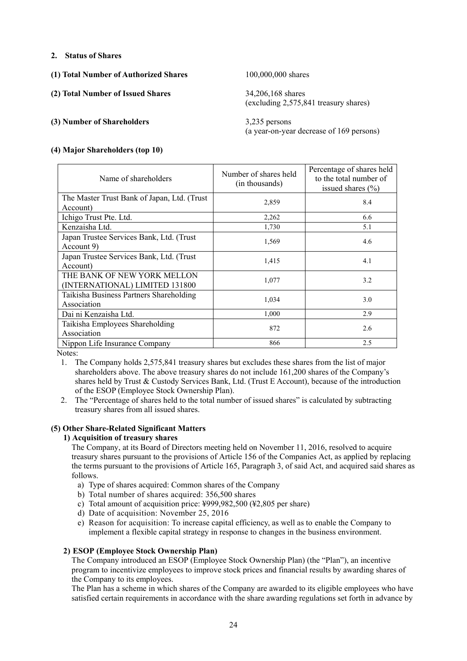# **2. Status of Shares**

- **(1) Total Number of Authorized Shares** 100,000,000 shares
- **(2) Total Number of Issued Shares** 34,206,168 shares

# **(3) Number of Shareholders** 3,235 persons

(excluding 2,575,841 treasury shares)

(a year-on-year decrease of 169 persons)

# **(4) Major Shareholders (top 10)**

| Name of shareholders                        | Number of shares held<br>(in thousands) | Percentage of shares held<br>to the total number of<br>issued shares $(\% )$ |
|---------------------------------------------|-----------------------------------------|------------------------------------------------------------------------------|
| The Master Trust Bank of Japan, Ltd. (Trust | 2,859                                   | 8.4                                                                          |
| Account)                                    |                                         |                                                                              |
| Ichigo Trust Pte. Ltd.                      | 2,262                                   | 6.6                                                                          |
| Kenzaisha Ltd.                              | 1,730                                   | 5.1                                                                          |
| Japan Trustee Services Bank, Ltd. (Trust    | 1,569                                   | 4.6                                                                          |
| Account 9)                                  |                                         |                                                                              |
| Japan Trustee Services Bank, Ltd. (Trust    | 1,415                                   | 4.1                                                                          |
| Account)                                    |                                         |                                                                              |
| THE BANK OF NEW YORK MELLON                 | 1,077                                   | 3.2                                                                          |
| (INTERNATIONAL) LIMITED 131800              |                                         |                                                                              |
| Taikisha Business Partners Shareholding     | 1,034                                   | 3.0                                                                          |
| Association                                 |                                         |                                                                              |
| Dai ni Kenzaisha Ltd.                       | 1,000                                   | 2.9                                                                          |
| Taikisha Employees Shareholding             | 872                                     | 2.6                                                                          |
| Association                                 |                                         |                                                                              |
| Nippon Life Insurance Company               | 866                                     | 2.5                                                                          |

Notes:

- 1. The Company holds 2,575,841 treasury shares but excludes these shares from the list of major shareholders above. The above treasury shares do not include 161,200 shares of the Company's shares held by Trust & Custody Services Bank, Ltd. (Trust E Account), because of the introduction of the ESOP (Employee Stock Ownership Plan).
- 2. The "Percentage of shares held to the total number of issued shares" is calculated by subtracting treasury shares from all issued shares.

# **(5) Other Share-Related Significant Matters**

# **1) Acquisition of treasury shares**

The Company, at its Board of Directors meeting held on November 11, 2016, resolved to acquire treasury shares pursuant to the provisions of Article 156 of the Companies Act, as applied by replacing the terms pursuant to the provisions of Article 165, Paragraph 3, of said Act, and acquired said shares as follows.

- a) Type of shares acquired: Common shares of the Company
- b) Total number of shares acquired: 356,500 shares
- c) Total amount of acquisition price: ¥999,982,500 (¥2,805 per share)
- d) Date of acquisition: November 25, 2016
- e) Reason for acquisition: To increase capital efficiency, as well as to enable the Company to implement a flexible capital strategy in response to changes in the business environment.

# **2) ESOP (Employee Stock Ownership Plan)**

The Company introduced an ESOP (Employee Stock Ownership Plan) (the "Plan"), an incentive program to incentivize employees to improve stock prices and financial results by awarding shares of the Company to its employees.

The Plan has a scheme in which shares of the Company are awarded to its eligible employees who have satisfied certain requirements in accordance with the share awarding regulations set forth in advance by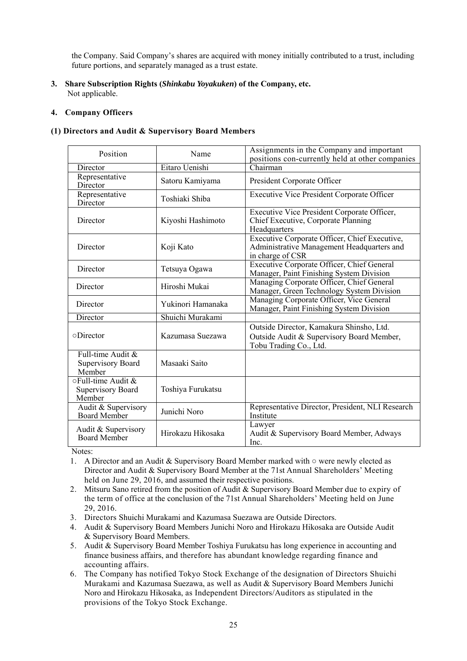the Company. Said Company's shares are acquired with money initially contributed to a trust, including future portions, and separately managed as a trust estate.

**3. Share Subscription Rights (***Shinkabu Yoyakuken***) of the Company, etc.**  Not applicable.

# **4. Company Officers**

## **(1) Directors and Audit & Supervisory Board Members**

| Position                                                 | Name              | Assignments in the Company and important<br>positions con-currently held at other companies                     |  |  |
|----------------------------------------------------------|-------------------|-----------------------------------------------------------------------------------------------------------------|--|--|
| Director                                                 | Eitaro Uenishi    | Chairman                                                                                                        |  |  |
| Representative<br>Director                               | Satoru Kamiyama   | President Corporate Officer                                                                                     |  |  |
| Representative<br>Director                               | Toshiaki Shiba    | <b>Executive Vice President Corporate Officer</b>                                                               |  |  |
| Director                                                 | Kiyoshi Hashimoto | Executive Vice President Corporate Officer,<br>Chief Executive, Corporate Planning<br>Headquarters              |  |  |
| Director                                                 | Koji Kato         | Executive Corporate Officer, Chief Executive,<br>Administrative Management Headquarters and<br>in charge of CSR |  |  |
| Director                                                 | Tetsuya Ogawa     | Executive Corporate Officer, Chief General<br>Manager, Paint Finishing System Division                          |  |  |
| Director                                                 | Hiroshi Mukai     | Managing Corporate Officer, Chief General<br>Manager, Green Technology System Division                          |  |  |
| Director                                                 | Yukinori Hamanaka | Managing Corporate Officer, Vice General<br>Manager, Paint Finishing System Division                            |  |  |
| Director                                                 | Shuichi Murakami  |                                                                                                                 |  |  |
| $\circ$ Director                                         | Kazumasa Suezawa  | Outside Director, Kamakura Shinsho, Ltd.<br>Outside Audit & Supervisory Board Member,<br>Tobu Trading Co., Ltd. |  |  |
| Full-time Audit &<br><b>Supervisory Board</b><br>Member  | Masaaki Saito     |                                                                                                                 |  |  |
| $\circ$ Full-time Audit &<br>Supervisory Board<br>Member | Toshiya Furukatsu |                                                                                                                 |  |  |
| Audit & Supervisory<br><b>Board Member</b>               | Junichi Noro      | Representative Director, President, NLI Research<br>Institute                                                   |  |  |
| Audit & Supervisory<br>Board Member                      | Hirokazu Hikosaka | Lawyer<br>Audit & Supervisory Board Member, Adways<br>Inc.                                                      |  |  |

Notes:

- 1. A Director and an Audit & Supervisory Board Member marked with were newly elected as Director and Audit & Supervisory Board Member at the 71st Annual Shareholders' Meeting held on June 29, 2016, and assumed their respective positions.
- 2. Mitsuru Sano retired from the position of Audit & Supervisory Board Member due to expiry of the term of office at the conclusion of the 71st Annual Shareholders' Meeting held on June 29, 2016.
- 3. Directors Shuichi Murakami and Kazumasa Suezawa are Outside Directors.
- 4. Audit & Supervisory Board Members Junichi Noro and Hirokazu Hikosaka are Outside Audit & Supervisory Board Members.
- 5. Audit & Supervisory Board Member Toshiya Furukatsu has long experience in accounting and finance business affairs, and therefore has abundant knowledge regarding finance and accounting affairs.
- 6. The Company has notified Tokyo Stock Exchange of the designation of Directors Shuichi Murakami and Kazumasa Suezawa, as well as Audit & Supervisory Board Members Junichi Noro and Hirokazu Hikosaka, as Independent Directors/Auditors as stipulated in the provisions of the Tokyo Stock Exchange.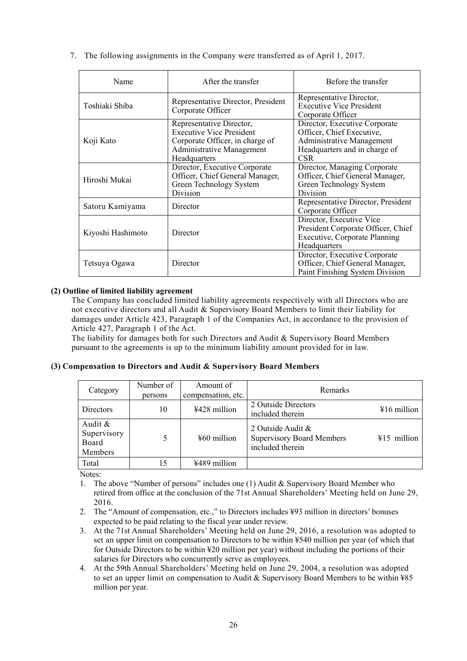| Name              | After the transfer                                                                                                                          | Before the transfer                                                                                                                    |
|-------------------|---------------------------------------------------------------------------------------------------------------------------------------------|----------------------------------------------------------------------------------------------------------------------------------------|
| Toshiaki Shiba    | Representative Director, President<br>Corporate Officer                                                                                     | Representative Director,<br><b>Executive Vice President</b><br>Corporate Officer                                                       |
| Koji Kato         | Representative Director,<br><b>Executive Vice President</b><br>Corporate Officer, in charge of<br>Administrative Management<br>Headquarters | Director, Executive Corporate<br>Officer, Chief Executive,<br>Administrative Management<br>Headquarters and in charge of<br><b>CSR</b> |
| Hiroshi Mukai     | Director, Executive Corporate<br>Officer, Chief General Manager,<br>Green Technology System<br>Division                                     | Director, Managing Corporate<br>Officer, Chief General Manager,<br>Green Technology System<br>Division                                 |
| Satoru Kamiyama   | Director                                                                                                                                    | Representative Director, President<br>Corporate Officer                                                                                |
| Kiyoshi Hashimoto | Director                                                                                                                                    | Director, Executive Vice<br>President Corporate Officer, Chief<br><b>Executive, Corporate Planning</b><br>Headquarters                 |
| Tetsuya Ogawa     | Director                                                                                                                                    | Director, Executive Corporate<br>Officer, Chief General Manager,<br>Paint Finishing System Division                                    |

7. The following assignments in the Company were transferred as of April 1, 2017.

# **(2) Outline of limited liability agreement**

The Company has concluded limited liability agreements respectively with all Directors who are not executive directors and all Audit & Supervisory Board Members to limit their liability for damages under Article 423, Paragraph 1 of the Companies Act, in accordance to the provision of Article 427, Paragraph 1 of the Act.

The liability for damages both for such Directors and Audit & Supervisory Board Members pursuant to the agreements is up to the minimum liability amount provided for in law.

# **(3) Compensation to Directors and Audit & Supervisory Board Members**

| Category                                   | Number of<br>persons | Amount of<br>compensation, etc. | <b>Remarks</b>                                                                             |
|--------------------------------------------|----------------------|---------------------------------|--------------------------------------------------------------------------------------------|
| Directors                                  | 10                   | ¥428 million                    | 2 Outside Directors<br>$\text{\#16}$ million<br>included therein                           |
| Audit &<br>Supervisory<br>Board<br>Members | 5                    | $460$ million                   | 2 Outside Audit &<br><b>Supervisory Board Members</b><br>$415$ million<br>included therein |
| Total                                      | 15                   | ¥489 million                    |                                                                                            |

Notes:

1. The above "Number of persons" includes one (1) Audit & Supervisory Board Member who retired from office at the conclusion of the 71st Annual Shareholders' Meeting held on June 29, 2016.

- 2. The "Amount of compensation, etc.," to Directors includes ¥93 million in directors' bonuses expected to be paid relating to the fiscal year under review.
- 3. At the 71st Annual Shareholders' Meeting held on June 29, 2016, a resolution was adopted to set an upper limit on compensation to Directors to be within ¥540 million per year (of which that for Outside Directors to be within ¥20 million per year) without including the portions of their salaries for Directors who concurrently serve as employees.
- 4. At the 59th Annual Shareholders' Meeting held on June 29, 2004, a resolution was adopted to set an upper limit on compensation to Audit & Supervisory Board Members to be within ¥85 million per year.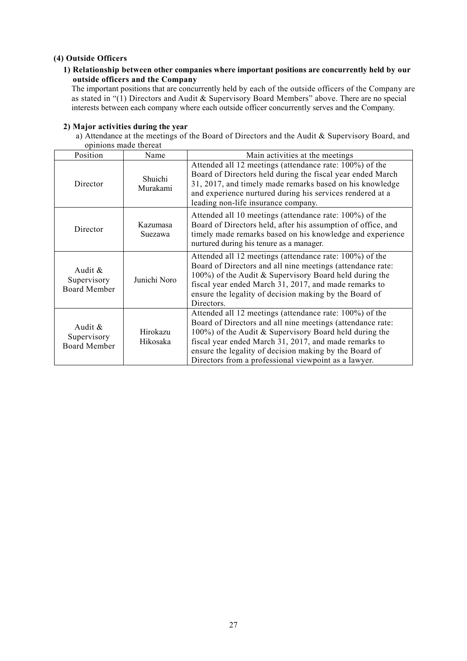# **(4) Outside Officers**

# **1) Relationship between other companies where important positions are concurrently held by our outside officers and the Company**

The important positions that are concurrently held by each of the outside officers of the Company are as stated in "(1) Directors and Audit & Supervisory Board Members" above. There are no special interests between each company where each outside officer concurrently serves and the Company.

|                                               | opinions made thereat |                                                                                                                                                                                                                                                                                                                                                            |
|-----------------------------------------------|-----------------------|------------------------------------------------------------------------------------------------------------------------------------------------------------------------------------------------------------------------------------------------------------------------------------------------------------------------------------------------------------|
| Position                                      | Name                  | Main activities at the meetings                                                                                                                                                                                                                                                                                                                            |
| Director                                      | Shuichi<br>Murakami   | Attended all 12 meetings (attendance rate: 100%) of the<br>Board of Directors held during the fiscal year ended March<br>31, 2017, and timely made remarks based on his knowledge<br>and experience nurtured during his services rendered at a<br>leading non-life insurance company.                                                                      |
| Director                                      | Kazumasa<br>Suezawa   | Attended all 10 meetings (attendance rate: 100%) of the<br>Board of Directors held, after his assumption of office, and<br>timely made remarks based on his knowledge and experience<br>nurtured during his tenure as a manager.                                                                                                                           |
| Audit &<br>Supervisory<br><b>Board Member</b> | Junichi Noro          | Attended all 12 meetings (attendance rate: 100%) of the<br>Board of Directors and all nine meetings (attendance rate:<br>100%) of the Audit & Supervisory Board held during the<br>fiscal year ended March 31, 2017, and made remarks to<br>ensure the legality of decision making by the Board of<br>Directors.                                           |
| Audit $\&$<br>Supervisory<br>Board Member     | Hirokazu<br>Hikosaka  | Attended all 12 meetings (attendance rate: 100%) of the<br>Board of Directors and all nine meetings (attendance rate:<br>100%) of the Audit & Supervisory Board held during the<br>fiscal year ended March 31, 2017, and made remarks to<br>ensure the legality of decision making by the Board of<br>Directors from a professional viewpoint as a lawyer. |

#### **2) Major activities during the year**

a) Attendance at the meetings of the Board of Directors and the Audit & Supervisory Board, and opinions made thereat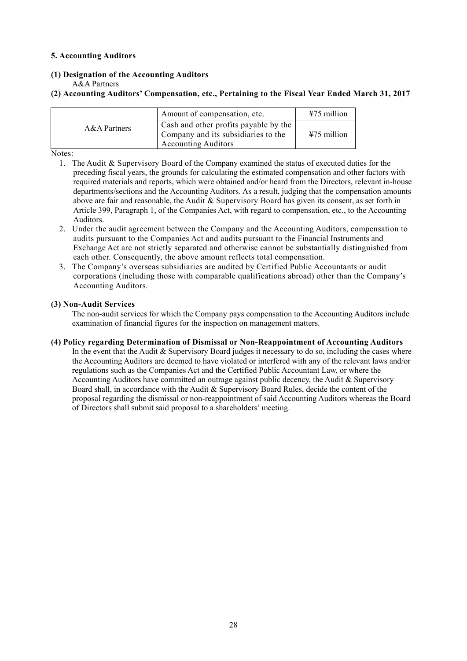# **5. Accounting Auditors**

**(1) Designation of the Accounting Auditors** 

A&A Partners

# **(2) Accounting Auditors' Compensation, etc., Pertaining to the Fiscal Year Ended March 31, 2017**

|              | Amount of compensation, etc.                                                                               | $475$ million |
|--------------|------------------------------------------------------------------------------------------------------------|---------------|
| A&A Partners | Cash and other profits payable by the<br>Company and its subsidiaries to the<br><b>Accounting Auditors</b> | $475$ million |

Notes:

- 1. The Audit & Supervisory Board of the Company examined the status of executed duties for the preceding fiscal years, the grounds for calculating the estimated compensation and other factors with required materials and reports, which were obtained and/or heard from the Directors, relevant in-house departments/sections and the Accounting Auditors. As a result, judging that the compensation amounts above are fair and reasonable, the Audit & Supervisory Board has given its consent, as set forth in Article 399, Paragraph 1, of the Companies Act, with regard to compensation, etc., to the Accounting Auditors.
- 2. Under the audit agreement between the Company and the Accounting Auditors, compensation to audits pursuant to the Companies Act and audits pursuant to the Financial Instruments and Exchange Act are not strictly separated and otherwise cannot be substantially distinguished from each other. Consequently, the above amount reflects total compensation.
- 3. The Company's overseas subsidiaries are audited by Certified Public Accountants or audit corporations (including those with comparable qualifications abroad) other than the Company's Accounting Auditors.

# **(3) Non-Audit Services**

The non-audit services for which the Company pays compensation to the Accounting Auditors include examination of financial figures for the inspection on management matters.

**(4) Policy regarding Determination of Dismissal or Non-Reappointment of Accounting Auditors** 

In the event that the Audit & Supervisory Board judges it necessary to do so, including the cases where the Accounting Auditors are deemed to have violated or interfered with any of the relevant laws and/or regulations such as the Companies Act and the Certified Public Accountant Law, or where the Accounting Auditors have committed an outrage against public decency, the Audit & Supervisory Board shall, in accordance with the Audit & Supervisory Board Rules, decide the content of the proposal regarding the dismissal or non-reappointment of said Accounting Auditors whereas the Board of Directors shall submit said proposal to a shareholders' meeting.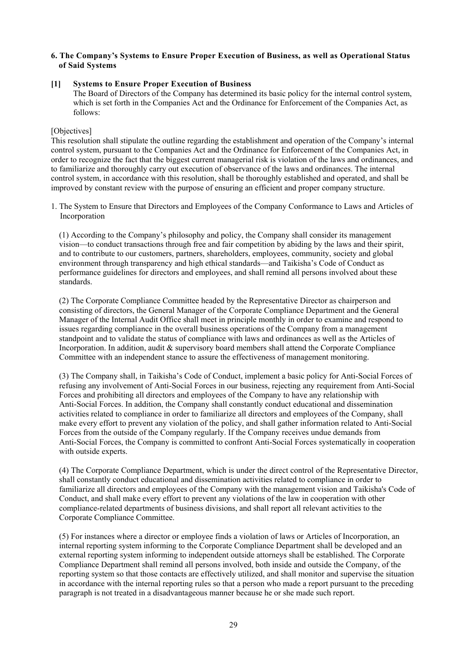## **6. The Company's Systems to Ensure Proper Execution of Business, as well as Operational Status of Said Systems**

#### **[1] Systems to Ensure Proper Execution of Business**

The Board of Directors of the Company has determined its basic policy for the internal control system, which is set forth in the Companies Act and the Ordinance for Enforcement of the Companies Act, as follows:

## [Objectives]

This resolution shall stipulate the outline regarding the establishment and operation of the Company's internal control system, pursuant to the Companies Act and the Ordinance for Enforcement of the Companies Act, in order to recognize the fact that the biggest current managerial risk is violation of the laws and ordinances, and to familiarize and thoroughly carry out execution of observance of the laws and ordinances. The internal control system, in accordance with this resolution, shall be thoroughly established and operated, and shall be improved by constant review with the purpose of ensuring an efficient and proper company structure.

1. The System to Ensure that Directors and Employees of the Company Conformance to Laws and Articles of Incorporation

(1) According to the Company's philosophy and policy, the Company shall consider its management vision—to conduct transactions through free and fair competition by abiding by the laws and their spirit, and to contribute to our customers, partners, shareholders, employees, community, society and global environment through transparency and high ethical standards—and Taikisha's Code of Conduct as performance guidelines for directors and employees, and shall remind all persons involved about these standards.

(2) The Corporate Compliance Committee headed by the Representative Director as chairperson and consisting of directors, the General Manager of the Corporate Compliance Department and the General Manager of the Internal Audit Office shall meet in principle monthly in order to examine and respond to issues regarding compliance in the overall business operations of the Company from a management standpoint and to validate the status of compliance with laws and ordinances as well as the Articles of Incorporation. In addition, audit & supervisory board members shall attend the Corporate Compliance Committee with an independent stance to assure the effectiveness of management monitoring.

(3) The Company shall, in Taikisha's Code of Conduct, implement a basic policy for Anti-Social Forces of refusing any involvement of Anti-Social Forces in our business, rejecting any requirement from Anti-Social Forces and prohibiting all directors and employees of the Company to have any relationship with Anti-Social Forces. In addition, the Company shall constantly conduct educational and dissemination activities related to compliance in order to familiarize all directors and employees of the Company, shall make every effort to prevent any violation of the policy, and shall gather information related to Anti-Social Forces from the outside of the Company regularly. If the Company receives undue demands from Anti-Social Forces, the Company is committed to confront Anti-Social Forces systematically in cooperation with outside experts.

(4) The Corporate Compliance Department, which is under the direct control of the Representative Director, shall constantly conduct educational and dissemination activities related to compliance in order to familiarize all directors and employees of the Company with the management vision and Taikisha's Code of Conduct, and shall make every effort to prevent any violations of the law in cooperation with other compliance-related departments of business divisions, and shall report all relevant activities to the Corporate Compliance Committee.

(5) For instances where a director or employee finds a violation of laws or Articles of Incorporation, an internal reporting system informing to the Corporate Compliance Department shall be developed and an external reporting system informing to independent outside attorneys shall be established. The Corporate Compliance Department shall remind all persons involved, both inside and outside the Company, of the reporting system so that those contacts are effectively utilized, and shall monitor and supervise the situation in accordance with the internal reporting rules so that a person who made a report pursuant to the preceding paragraph is not treated in a disadvantageous manner because he or she made such report.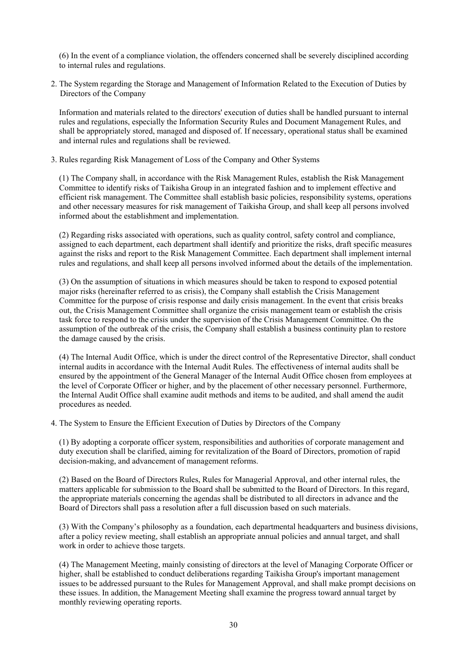(6) In the event of a compliance violation, the offenders concerned shall be severely disciplined according to internal rules and regulations.

2. The System regarding the Storage and Management of Information Related to the Execution of Duties by Directors of the Company

Information and materials related to the directors' execution of duties shall be handled pursuant to internal rules and regulations, especially the Information Security Rules and Document Management Rules, and shall be appropriately stored, managed and disposed of. If necessary, operational status shall be examined and internal rules and regulations shall be reviewed.

3. Rules regarding Risk Management of Loss of the Company and Other Systems

(1) The Company shall, in accordance with the Risk Management Rules, establish the Risk Management Committee to identify risks of Taikisha Group in an integrated fashion and to implement effective and efficient risk management. The Committee shall establish basic policies, responsibility systems, operations and other necessary measures for risk management of Taikisha Group, and shall keep all persons involved informed about the establishment and implementation.

(2) Regarding risks associated with operations, such as quality control, safety control and compliance, assigned to each department, each department shall identify and prioritize the risks, draft specific measures against the risks and report to the Risk Management Committee. Each department shall implement internal rules and regulations, and shall keep all persons involved informed about the details of the implementation.

(3) On the assumption of situations in which measures should be taken to respond to exposed potential major risks (hereinafter referred to as crisis), the Company shall establish the Crisis Management Committee for the purpose of crisis response and daily crisis management. In the event that crisis breaks out, the Crisis Management Committee shall organize the crisis management team or establish the crisis task force to respond to the crisis under the supervision of the Crisis Management Committee. On the assumption of the outbreak of the crisis, the Company shall establish a business continuity plan to restore the damage caused by the crisis.

(4) The Internal Audit Office, which is under the direct control of the Representative Director, shall conduct internal audits in accordance with the Internal Audit Rules. The effectiveness of internal audits shall be ensured by the appointment of the General Manager of the Internal Audit Office chosen from employees at the level of Corporate Officer or higher, and by the placement of other necessary personnel. Furthermore, the Internal Audit Office shall examine audit methods and items to be audited, and shall amend the audit procedures as needed.

4. The System to Ensure the Efficient Execution of Duties by Directors of the Company

(1) By adopting a corporate officer system, responsibilities and authorities of corporate management and duty execution shall be clarified, aiming for revitalization of the Board of Directors, promotion of rapid decision-making, and advancement of management reforms.

(2) Based on the Board of Directors Rules, Rules for Managerial Approval, and other internal rules, the matters applicable for submission to the Board shall be submitted to the Board of Directors. In this regard, the appropriate materials concerning the agendas shall be distributed to all directors in advance and the Board of Directors shall pass a resolution after a full discussion based on such materials.

(3) With the Company's philosophy as a foundation, each departmental headquarters and business divisions, after a policy review meeting, shall establish an appropriate annual policies and annual target, and shall work in order to achieve those targets.

(4) The Management Meeting, mainly consisting of directors at the level of Managing Corporate Officer or higher, shall be established to conduct deliberations regarding Taikisha Group's important management issues to be addressed pursuant to the Rules for Management Approval, and shall make prompt decisions on these issues. In addition, the Management Meeting shall examine the progress toward annual target by monthly reviewing operating reports.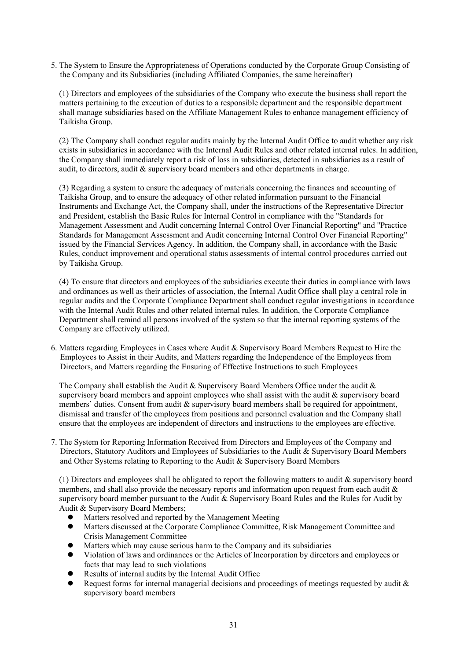5. The System to Ensure the Appropriateness of Operations conducted by the Corporate Group Consisting of the Company and its Subsidiaries (including Affiliated Companies, the same hereinafter)

(1) Directors and employees of the subsidiaries of the Company who execute the business shall report the matters pertaining to the execution of duties to a responsible department and the responsible department shall manage subsidiaries based on the Affiliate Management Rules to enhance management efficiency of Taikisha Group.

(2) The Company shall conduct regular audits mainly by the Internal Audit Office to audit whether any risk exists in subsidiaries in accordance with the Internal Audit Rules and other related internal rules. In addition, the Company shall immediately report a risk of loss in subsidiaries, detected in subsidiaries as a result of audit, to directors, audit & supervisory board members and other departments in charge.

(3) Regarding a system to ensure the adequacy of materials concerning the finances and accounting of Taikisha Group, and to ensure the adequacy of other related information pursuant to the Financial Instruments and Exchange Act, the Company shall, under the instructions of the Representative Director and President, establish the Basic Rules for Internal Control in compliance with the "Standards for Management Assessment and Audit concerning Internal Control Over Financial Reporting" and "Practice Standards for Management Assessment and Audit concerning Internal Control Over Financial Reporting" issued by the Financial Services Agency. In addition, the Company shall, in accordance with the Basic Rules, conduct improvement and operational status assessments of internal control procedures carried out by Taikisha Group.

(4) To ensure that directors and employees of the subsidiaries execute their duties in compliance with laws and ordinances as well as their articles of association, the Internal Audit Office shall play a central role in regular audits and the Corporate Compliance Department shall conduct regular investigations in accordance with the Internal Audit Rules and other related internal rules. In addition, the Corporate Compliance Department shall remind all persons involved of the system so that the internal reporting systems of the Company are effectively utilized.

6. Matters regarding Employees in Cases where Audit & Supervisory Board Members Request to Hire the Employees to Assist in their Audits, and Matters regarding the Independence of the Employees from Directors, and Matters regarding the Ensuring of Effective Instructions to such Employees

The Company shall establish the Audit & Supervisory Board Members Office under the audit & supervisory board members and appoint employees who shall assist with the audit & supervisory board members' duties. Consent from audit & supervisory board members shall be required for appointment, dismissal and transfer of the employees from positions and personnel evaluation and the Company shall ensure that the employees are independent of directors and instructions to the employees are effective.

7. The System for Reporting Information Received from Directors and Employees of the Company and Directors, Statutory Auditors and Employees of Subsidiaries to the Audit & Supervisory Board Members and Other Systems relating to Reporting to the Audit & Supervisory Board Members

(1) Directors and employees shall be obligated to report the following matters to audit & supervisory board members, and shall also provide the necessary reports and information upon request from each audit & supervisory board member pursuant to the Audit & Supervisory Board Rules and the Rules for Audit by Audit & Supervisory Board Members;

- Matters resolved and reported by the Management Meeting
- Matters discussed at the Corporate Compliance Committee, Risk Management Committee and Crisis Management Committee
- Matters which may cause serious harm to the Company and its subsidiaries
- Violation of laws and ordinances or the Articles of Incorporation by directors and employees or facts that may lead to such violations
- Results of internal audits by the Internal Audit Office
- Request forms for internal managerial decisions and proceedings of meetings requested by audit & supervisory board members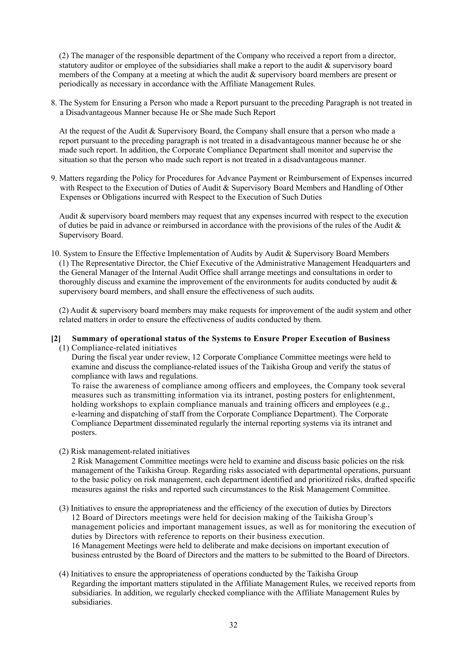(2) The manager of the responsible department of the Company who received a report from a director, statutory auditor or employee of the subsidiaries shall make a report to the audit & supervisory board members of the Company at a meeting at which the audit & supervisory board members are present or periodically as necessary in accordance with the Affiliate Management Rules.

8. The System for Ensuring a Person who made a Report pursuant to the preceding Paragraph is not treated in a Disadvantageous Manner because He or She made Such Report

At the request of the Audit & Supervisory Board, the Company shall ensure that a person who made a report pursuant to the preceding paragraph is not treated in a disadvantageous manner because he or she made such report. In addition, the Corporate Compliance Department shall monitor and supervise the situation so that the person who made such report is not treated in a disadvantageous manner.

9. Matters regarding the Policy for Procedures for Advance Payment or Reimbursement of Expenses incurred with Respect to the Execution of Duties of Audit & Supervisory Board Members and Handling of Other Expenses or Obligations incurred with Respect to the Execution of Such Duties

Audit & supervisory board members may request that any expenses incurred with respect to the execution of duties be paid in advance or reimbursed in accordance with the provisions of the rules of the Audit & Supervisory Board.

10. System to Ensure the Effective Implementation of Audits by Audit & Supervisory Board Members (1) The Representative Director, the Chief Executive of the Administrative Management Headquarters and the General Manager of the Internal Audit Office shall arrange meetings and consultations in order to thoroughly discuss and examine the improvement of the environments for audits conducted by audit & supervisory board members, and shall ensure the effectiveness of such audits.

(2) Audit & supervisory board members may make requests for improvement of the audit system and other related matters in order to ensure the effectiveness of audits conducted by them.

- **[2] Summary of operational status of the Systems to Ensure Proper Execution of Business** 
	- (1) Compliance-related initiatives

During the fiscal year under review, 12 Corporate Compliance Committee meetings were held to examine and discuss the compliance-related issues of the Taikisha Group and verify the status of compliance with laws and regulations.

To raise the awareness of compliance among officers and employees, the Company took several measures such as transmitting information via its intranet, posting posters for enlightenment, holding workshops to explain compliance manuals and training officers and employees (e.g., e-learning and dispatching of staff from the Corporate Compliance Department). The Corporate Compliance Department disseminated regularly the internal reporting systems via its intranet and posters.

(2) Risk management-related initiatives

2 Risk Management Committee meetings were held to examine and discuss basic policies on the risk management of the Taikisha Group. Regarding risks associated with departmental operations, pursuant to the basic policy on risk management, each department identified and prioritized risks, drafted specific measures against the risks and reported such circumstances to the Risk Management Committee.

- (3) Initiatives to ensure the appropriateness and the efficiency of the execution of duties by Directors 12 Board of Directors meetings were held for decision making of the Taikisha Group's management policies and important management issues, as well as for monitoring the execution of duties by Directors with reference to reports on their business execution. 16 Management Meetings were held to deliberate and make decisions on important execution of business entrusted by the Board of Directors and the matters to be submitted to the Board of Directors.
- (4) Initiatives to ensure the appropriateness of operations conducted by the Taikisha Group Regarding the important matters stipulated in the Affiliate Management Rules, we received reports from subsidiaries. In addition, we regularly checked compliance with the Affiliate Management Rules by subsidiaries.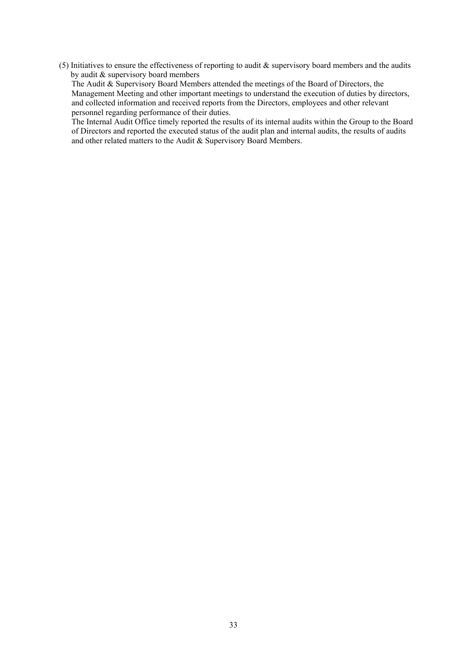(5) Initiatives to ensure the effectiveness of reporting to audit  $\&$  supervisory board members and the audits by audit & supervisory board members

The Audit & Supervisory Board Members attended the meetings of the Board of Directors, the Management Meeting and other important meetings to understand the execution of duties by directors, and collected information and received reports from the Directors, employees and other relevant personnel regarding performance of their duties.

The Internal Audit Office timely reported the results of its internal audits within the Group to the Board of Directors and reported the executed status of the audit plan and internal audits, the results of audits and other related matters to the Audit & Supervisory Board Members.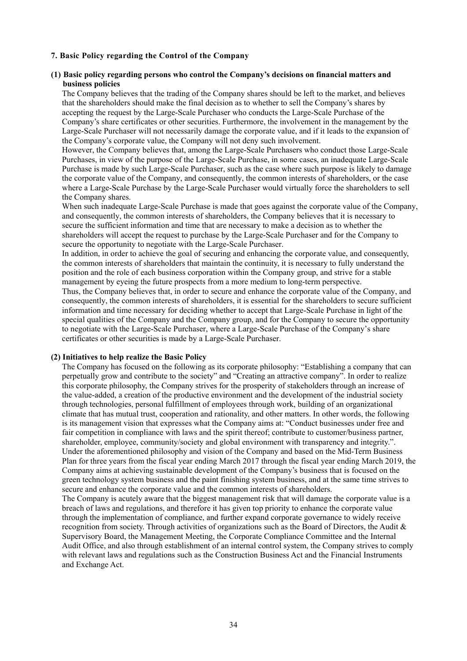#### **7. Basic Policy regarding the Control of the Company**

#### **(1) Basic policy regarding persons who control the Company's decisions on financial matters and business policies**

The Company believes that the trading of the Company shares should be left to the market, and believes that the shareholders should make the final decision as to whether to sell the Company's shares by accepting the request by the Large-Scale Purchaser who conducts the Large-Scale Purchase of the Company's share certificates or other securities. Furthermore, the involvement in the management by the Large-Scale Purchaser will not necessarily damage the corporate value, and if it leads to the expansion of the Company's corporate value, the Company will not deny such involvement.

However, the Company believes that, among the Large-Scale Purchasers who conduct those Large-Scale Purchases, in view of the purpose of the Large-Scale Purchase, in some cases, an inadequate Large-Scale Purchase is made by such Large-Scale Purchaser, such as the case where such purpose is likely to damage the corporate value of the Company, and consequently, the common interests of shareholders, or the case where a Large-Scale Purchase by the Large-Scale Purchaser would virtually force the shareholders to sell the Company shares.

When such inadequate Large-Scale Purchase is made that goes against the corporate value of the Company, and consequently, the common interests of shareholders, the Company believes that it is necessary to secure the sufficient information and time that are necessary to make a decision as to whether the shareholders will accept the request to purchase by the Large-Scale Purchaser and for the Company to secure the opportunity to negotiate with the Large-Scale Purchaser.

In addition, in order to achieve the goal of securing and enhancing the corporate value, and consequently, the common interests of shareholders that maintain the continuity, it is necessary to fully understand the position and the role of each business corporation within the Company group, and strive for a stable management by eyeing the future prospects from a more medium to long-term perspective.

Thus, the Company believes that, in order to secure and enhance the corporate value of the Company, and consequently, the common interests of shareholders, it is essential for the shareholders to secure sufficient information and time necessary for deciding whether to accept that Large-Scale Purchase in light of the special qualities of the Company and the Company group, and for the Company to secure the opportunity to negotiate with the Large-Scale Purchaser, where a Large-Scale Purchase of the Company's share certificates or other securities is made by a Large-Scale Purchaser.

## **(2) Initiatives to help realize the Basic Policy**

The Company has focused on the following as its corporate philosophy: "Establishing a company that can perpetually grow and contribute to the society" and "Creating an attractive company". In order to realize this corporate philosophy, the Company strives for the prosperity of stakeholders through an increase of the value-added, a creation of the productive environment and the development of the industrial society through technologies, personal fulfillment of employees through work, building of an organizational climate that has mutual trust, cooperation and rationality, and other matters. In other words, the following is its management vision that expresses what the Company aims at: "Conduct businesses under free and fair competition in compliance with laws and the spirit thereof; contribute to customer/business partner, shareholder, employee, community/society and global environment with transparency and integrity.". Under the aforementioned philosophy and vision of the Company and based on the Mid-Term Business Plan for three years from the fiscal year ending March 2017 through the fiscal year ending March 2019, the Company aims at achieving sustainable development of the Company's business that is focused on the green technology system business and the paint finishing system business, and at the same time strives to secure and enhance the corporate value and the common interests of shareholders.

The Company is acutely aware that the biggest management risk that will damage the corporate value is a breach of laws and regulations, and therefore it has given top priority to enhance the corporate value through the implementation of compliance, and further expand corporate governance to widely receive recognition from society. Through activities of organizations such as the Board of Directors, the Audit & Supervisory Board, the Management Meeting, the Corporate Compliance Committee and the Internal Audit Office, and also through establishment of an internal control system, the Company strives to comply with relevant laws and regulations such as the Construction Business Act and the Financial Instruments and Exchange Act.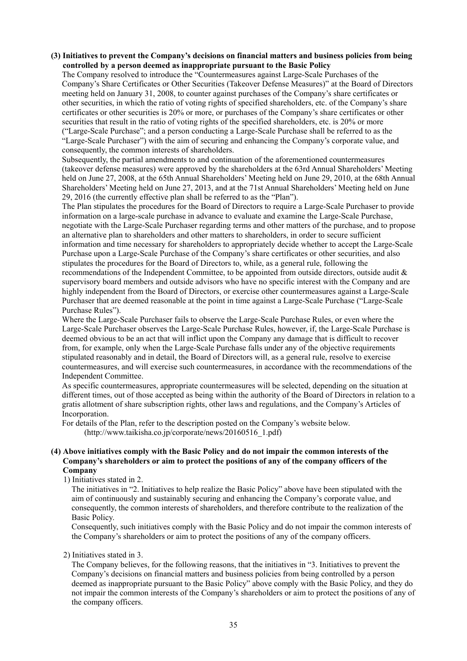## **(3) Initiatives to prevent the Company's decisions on financial matters and business policies from being controlled by a person deemed as inappropriate pursuant to the Basic Policy**

The Company resolved to introduce the "Countermeasures against Large-Scale Purchases of the Company's Share Certificates or Other Securities (Takeover Defense Measures)" at the Board of Directors meeting held on January 31, 2008, to counter against purchases of the Company's share certificates or other securities, in which the ratio of voting rights of specified shareholders, etc. of the Company's share certificates or other securities is 20% or more, or purchases of the Company's share certificates or other securities that result in the ratio of voting rights of the specified shareholders, etc. is 20% or more ("Large-Scale Purchase"; and a person conducting a Large-Scale Purchase shall be referred to as the "Large-Scale Purchaser") with the aim of securing and enhancing the Company's corporate value, and

consequently, the common interests of shareholders. Subsequently, the partial amendments to and continuation of the aforementioned countermeasures (takeover defense measures) were approved by the shareholders at the 63rd Annual Shareholders' Meeting held on June 27, 2008, at the 65th Annual Shareholders' Meeting held on June 29, 2010, at the 68th Annual Shareholders' Meeting held on June 27, 2013, and at the 71st Annual Shareholders' Meeting held on June 29, 2016 (the currently effective plan shall be referred to as the "Plan").

The Plan stipulates the procedures for the Board of Directors to require a Large-Scale Purchaser to provide information on a large-scale purchase in advance to evaluate and examine the Large-Scale Purchase, negotiate with the Large-Scale Purchaser regarding terms and other matters of the purchase, and to propose an alternative plan to shareholders and other matters to shareholders, in order to secure sufficient information and time necessary for shareholders to appropriately decide whether to accept the Large-Scale Purchase upon a Large-Scale Purchase of the Company's share certificates or other securities, and also stipulates the procedures for the Board of Directors to, while, as a general rule, following the recommendations of the Independent Committee, to be appointed from outside directors, outside audit & supervisory board members and outside advisors who have no specific interest with the Company and are highly independent from the Board of Directors, or exercise other countermeasures against a Large-Scale Purchaser that are deemed reasonable at the point in time against a Large-Scale Purchase ("Large-Scale Purchase Rules").

Where the Large-Scale Purchaser fails to observe the Large-Scale Purchase Rules, or even where the Large-Scale Purchaser observes the Large-Scale Purchase Rules, however, if, the Large-Scale Purchase is deemed obvious to be an act that will inflict upon the Company any damage that is difficult to recover from, for example, only when the Large-Scale Purchase falls under any of the objective requirements stipulated reasonably and in detail, the Board of Directors will, as a general rule, resolve to exercise countermeasures, and will exercise such countermeasures, in accordance with the recommendations of the Independent Committee.

As specific countermeasures, appropriate countermeasures will be selected, depending on the situation at different times, out of those accepted as being within the authority of the Board of Directors in relation to a gratis allotment of share subscription rights, other laws and regulations, and the Company's Articles of Incorporation.

For details of the Plan, refer to the description posted on the Company's website below. (http://www.taikisha.co.jp/corporate/news/20160516\_1.pdf)

#### **(4) Above initiatives comply with the Basic Policy and do not impair the common interests of the Company's shareholders or aim to protect the positions of any of the company officers of the Company**

1) Initiatives stated in 2.

The initiatives in "2. Initiatives to help realize the Basic Policy" above have been stipulated with the aim of continuously and sustainably securing and enhancing the Company's corporate value, and consequently, the common interests of shareholders, and therefore contribute to the realization of the Basic Policy.

Consequently, such initiatives comply with the Basic Policy and do not impair the common interests of the Company's shareholders or aim to protect the positions of any of the company officers.

#### 2) Initiatives stated in 3.

The Company believes, for the following reasons, that the initiatives in "3. Initiatives to prevent the Company's decisions on financial matters and business policies from being controlled by a person deemed as inappropriate pursuant to the Basic Policy" above comply with the Basic Policy, and they do not impair the common interests of the Company's shareholders or aim to protect the positions of any of the company officers.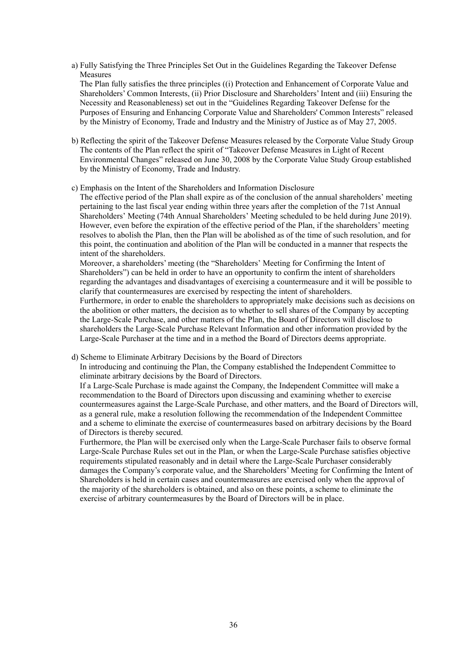a) Fully Satisfying the Three Principles Set Out in the Guidelines Regarding the Takeover Defense Measures

The Plan fully satisfies the three principles ((i) Protection and Enhancement of Corporate Value and Shareholders' Common Interests, (ii) Prior Disclosure and Shareholders' Intent and (iii) Ensuring the Necessity and Reasonableness) set out in the "Guidelines Regarding Takeover Defense for the Purposes of Ensuring and Enhancing Corporate Value and Shareholders' Common Interests" released by the Ministry of Economy, Trade and Industry and the Ministry of Justice as of May 27, 2005.

b) Reflecting the spirit of the Takeover Defense Measures released by the Corporate Value Study Group The contents of the Plan reflect the spirit of "Takeover Defense Measures in Light of Recent Environmental Changes" released on June 30, 2008 by the Corporate Value Study Group established by the Ministry of Economy, Trade and Industry.

#### c) Emphasis on the Intent of the Shareholders and Information Disclosure

The effective period of the Plan shall expire as of the conclusion of the annual shareholders' meeting pertaining to the last fiscal year ending within three years after the completion of the 71st Annual Shareholders' Meeting (74th Annual Shareholders' Meeting scheduled to be held during June 2019). However, even before the expiration of the effective period of the Plan, if the shareholders' meeting resolves to abolish the Plan, then the Plan will be abolished as of the time of such resolution, and for this point, the continuation and abolition of the Plan will be conducted in a manner that respects the intent of the shareholders.

Moreover, a shareholders' meeting (the "Shareholders' Meeting for Confirming the Intent of Shareholders") can be held in order to have an opportunity to confirm the intent of shareholders regarding the advantages and disadvantages of exercising a countermeasure and it will be possible to clarify that countermeasures are exercised by respecting the intent of shareholders. Furthermore, in order to enable the shareholders to appropriately make decisions such as decisions on the abolition or other matters, the decision as to whether to sell shares of the Company by accepting the Large-Scale Purchase, and other matters of the Plan, the Board of Directors will disclose to shareholders the Large-Scale Purchase Relevant Information and other information provided by the Large-Scale Purchaser at the time and in a method the Board of Directors deems appropriate.

d) Scheme to Eliminate Arbitrary Decisions by the Board of Directors

In introducing and continuing the Plan, the Company established the Independent Committee to eliminate arbitrary decisions by the Board of Directors.

If a Large-Scale Purchase is made against the Company, the Independent Committee will make a recommendation to the Board of Directors upon discussing and examining whether to exercise countermeasures against the Large-Scale Purchase, and other matters, and the Board of Directors will, as a general rule, make a resolution following the recommendation of the Independent Committee and a scheme to eliminate the exercise of countermeasures based on arbitrary decisions by the Board of Directors is thereby secured.

Furthermore, the Plan will be exercised only when the Large-Scale Purchaser fails to observe formal Large-Scale Purchase Rules set out in the Plan, or when the Large-Scale Purchase satisfies objective requirements stipulated reasonably and in detail where the Large-Scale Purchaser considerably damages the Company's corporate value, and the Shareholders' Meeting for Confirming the Intent of Shareholders is held in certain cases and countermeasures are exercised only when the approval of the majority of the shareholders is obtained, and also on these points, a scheme to eliminate the exercise of arbitrary countermeasures by the Board of Directors will be in place.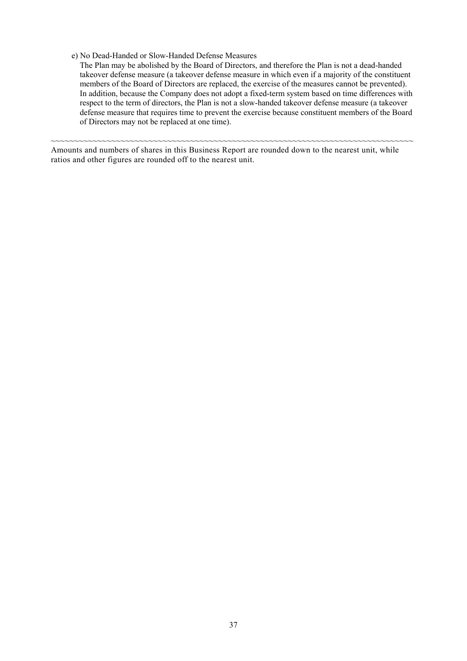e) No Dead-Handed or Slow-Handed Defense Measures

The Plan may be abolished by the Board of Directors, and therefore the Plan is not a dead-handed takeover defense measure (a takeover defense measure in which even if a majority of the constituent members of the Board of Directors are replaced, the exercise of the measures cannot be prevented). In addition, because the Company does not adopt a fixed-term system based on time differences with respect to the term of directors, the Plan is not a slow-handed takeover defense measure (a takeover defense measure that requires time to prevent the exercise because constituent members of the Board of Directors may not be replaced at one time).

Amounts and numbers of shares in this Business Report are rounded down to the nearest unit, while ratios and other figures are rounded off to the nearest unit.

~~~~~~~~~~~~~~~~~~~~~~~~~~~~~~~~~~~~~~~~~~~~~~~~~~~~~~~~~~~~~~~~~~~~~~~~~~~~~~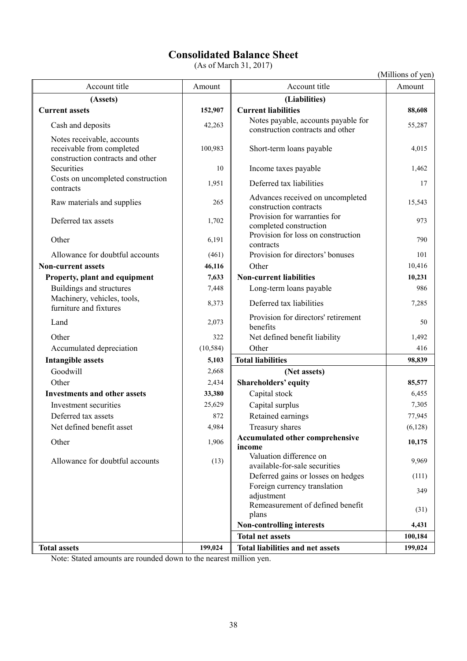# **Consolidated Balance Sheet**

(As of March 31, 2017)

(Millions of yen)

| Account title                                                                               | Amount    | Account title                                                           | Amount  |
|---------------------------------------------------------------------------------------------|-----------|-------------------------------------------------------------------------|---------|
| (Assets)                                                                                    |           | (Liabilities)                                                           |         |
| <b>Current assets</b>                                                                       | 152,907   | <b>Current liabilities</b>                                              | 88,608  |
| Cash and deposits                                                                           | 42,263    | Notes payable, accounts payable for<br>construction contracts and other | 55,287  |
| Notes receivable, accounts<br>receivable from completed<br>construction contracts and other | 100,983   | Short-term loans payable                                                | 4,015   |
| Securities                                                                                  | 10        | Income taxes payable                                                    | 1,462   |
| Costs on uncompleted construction<br>contracts                                              | 1,951     | Deferred tax liabilities                                                | 17      |
| Raw materials and supplies                                                                  | 265       | Advances received on uncompleted<br>construction contracts              | 15,543  |
| Deferred tax assets                                                                         | 1,702     | Provision for warranties for<br>completed construction                  | 973     |
| Other                                                                                       | 6,191     | Provision for loss on construction<br>contracts                         | 790     |
| Allowance for doubtful accounts                                                             | (461)     | Provision for directors' bonuses                                        | 101     |
| <b>Non-current assets</b>                                                                   | 46,116    | Other                                                                   | 10,416  |
| Property, plant and equipment                                                               | 7,633     | <b>Non-current liabilities</b>                                          | 10,231  |
| Buildings and structures                                                                    | 7,448     | Long-term loans payable                                                 | 986     |
| Machinery, vehicles, tools,<br>furniture and fixtures                                       | 8,373     | Deferred tax liabilities                                                | 7,285   |
| Land                                                                                        | 2,073     | Provision for directors' retirement<br>benefits                         | 50      |
| Other                                                                                       | 322       | Net defined benefit liability                                           | 1,492   |
| Accumulated depreciation                                                                    | (10, 584) | Other                                                                   | 416     |
| <b>Intangible assets</b>                                                                    | 5,103     | <b>Total liabilities</b>                                                | 98,839  |
| Goodwill                                                                                    | 2,668     | (Net assets)                                                            |         |
| Other                                                                                       | 2,434     | Shareholders' equity                                                    | 85,577  |
| <b>Investments and other assets</b>                                                         | 33,380    | Capital stock                                                           | 6,455   |
| Investment securities                                                                       | 25,629    | Capital surplus                                                         | 7,305   |
| Deferred tax assets                                                                         | 872       | Retained earnings                                                       | 77,945  |
| Net defined benefit asset                                                                   | 4,984     | Treasury shares                                                         | (6,128) |
| Other                                                                                       | 1,906     | Accumulated other comprehensive<br>income                               | 10,175  |
| Allowance for doubtful accounts                                                             | (13)      | Valuation difference on<br>available-for-sale securities                | 9,969   |
|                                                                                             |           | Deferred gains or losses on hedges                                      | (111)   |
|                                                                                             |           | Foreign currency translation<br>adjustment                              | 349     |
|                                                                                             |           | Remeasurement of defined benefit<br>plans                               | (31)    |
|                                                                                             |           | Non-controlling interests                                               | 4,431   |
|                                                                                             |           | <b>Total net assets</b>                                                 | 100,184 |
| <b>Total assets</b>                                                                         | 199,024   | <b>Total liabilities and net assets</b>                                 | 199,024 |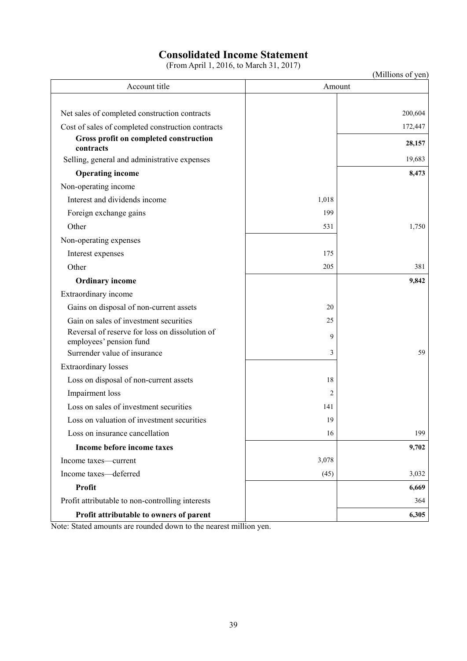# **Consolidated Income Statement**

(From April 1, 2016, to March 31, 2017)

| (Millions of yen) |
|-------------------|
|-------------------|

| Account title                                                             |       | $\mu$ minons of you<br>Amount |
|---------------------------------------------------------------------------|-------|-------------------------------|
|                                                                           |       |                               |
| Net sales of completed construction contracts                             |       | 200,604                       |
| Cost of sales of completed construction contracts                         |       | 172,447                       |
| Gross profit on completed construction<br>contracts                       |       | 28,157                        |
| Selling, general and administrative expenses                              |       | 19,683                        |
| <b>Operating income</b>                                                   |       | 8,473                         |
| Non-operating income                                                      |       |                               |
| Interest and dividends income                                             | 1,018 |                               |
| Foreign exchange gains                                                    | 199   |                               |
| Other                                                                     | 531   | 1,750                         |
| Non-operating expenses                                                    |       |                               |
| Interest expenses                                                         | 175   |                               |
| Other                                                                     | 205   | 381                           |
| <b>Ordinary income</b>                                                    |       | 9,842                         |
| Extraordinary income                                                      |       |                               |
| Gains on disposal of non-current assets                                   | 20    |                               |
| Gain on sales of investment securities                                    | 25    |                               |
| Reversal of reserve for loss on dissolution of<br>employees' pension fund | 9     |                               |
| Surrender value of insurance                                              | 3     | 59                            |
| <b>Extraordinary losses</b>                                               |       |                               |
| Loss on disposal of non-current assets                                    | 18    |                               |
| Impairment loss                                                           | 2     |                               |
| Loss on sales of investment securities                                    | 141   |                               |
| Loss on valuation of investment securities                                | 19    |                               |
| Loss on insurance cancellation                                            | 16    | 199                           |
| Income before income taxes                                                |       | 9,702                         |
| Income taxes—current                                                      | 3,078 |                               |
| Income taxes-deferred                                                     | (45)  | 3,032                         |
| <b>Profit</b>                                                             |       | 6,669                         |
| Profit attributable to non-controlling interests                          |       | 364                           |
| Profit attributable to owners of parent                                   |       | 6,305                         |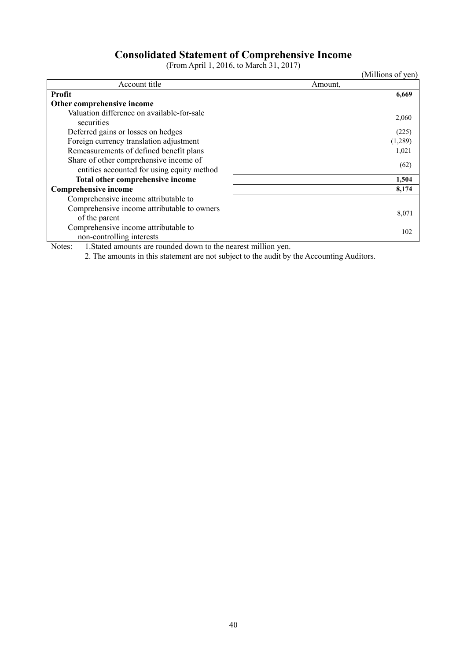# **Consolidated Statement of Comprehensive Income**

(From April 1, 2016, to March 31, 2017)

(Millions of yen)

| Account title                               | Amount, |
|---------------------------------------------|---------|
| <b>Profit</b>                               | 6,669   |
| Other comprehensive income                  |         |
| Valuation difference on available-for-sale  | 2,060   |
| securities                                  |         |
| Deferred gains or losses on hedges          | (225)   |
| Foreign currency translation adjustment     | (1,289) |
| Remeasurements of defined benefit plans     | 1,021   |
| Share of other comprehensive income of      | (62)    |
| entities accounted for using equity method  |         |
| Total other comprehensive income            | 1,504   |
| <b>Comprehensive income</b>                 | 8,174   |
| Comprehensive income attributable to        |         |
| Comprehensive income attributable to owners | 8,071   |
| of the parent                               |         |
| Comprehensive income attributable to        | 102     |
| non-controlling interests                   |         |

Notes: 1.Stated amounts are rounded down to the nearest million yen.

2. The amounts in this statement are not subject to the audit by the Accounting Auditors.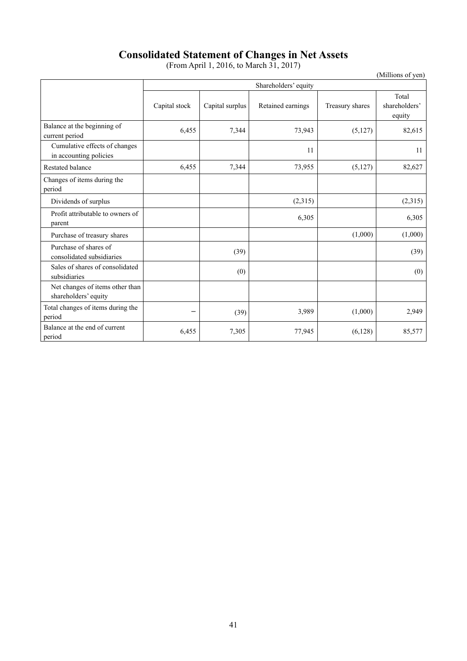# **Consolidated Statement of Changes in Net Assets**

(From April 1, 2016, to March 31, 2017)

(Millions of yen)

|                                                         |               | Shareholders' equity |                   |                 |                                  |  |  |
|---------------------------------------------------------|---------------|----------------------|-------------------|-----------------|----------------------------------|--|--|
|                                                         | Capital stock | Capital surplus      | Retained earnings | Treasury shares | Total<br>shareholders'<br>equity |  |  |
| Balance at the beginning of<br>current period           | 6,455         | 7,344                | 73,943            | (5,127)         | 82,615                           |  |  |
| Cumulative effects of changes<br>in accounting policies |               |                      | 11                |                 | 11                               |  |  |
| <b>Restated balance</b>                                 | 6,455         | 7,344                | 73,955            | (5,127)         | 82,627                           |  |  |
| Changes of items during the<br>period                   |               |                      |                   |                 |                                  |  |  |
| Dividends of surplus                                    |               |                      | (2,315)           |                 | (2,315)                          |  |  |
| Profit attributable to owners of<br>parent              |               |                      | 6,305             |                 | 6,305                            |  |  |
| Purchase of treasury shares                             |               |                      |                   | (1,000)         | (1,000)                          |  |  |
| Purchase of shares of<br>consolidated subsidiaries      |               | (39)                 |                   |                 | (39)                             |  |  |
| Sales of shares of consolidated<br>subsidiaries         |               | (0)                  |                   |                 | (0)                              |  |  |
| Net changes of items other than<br>shareholders' equity |               |                      |                   |                 |                                  |  |  |
| Total changes of items during the<br>period             |               | (39)                 | 3,989             | (1,000)         | 2,949                            |  |  |
| Balance at the end of current<br>period                 | 6,455         | 7,305                | 77,945            | (6,128)         | 85,577                           |  |  |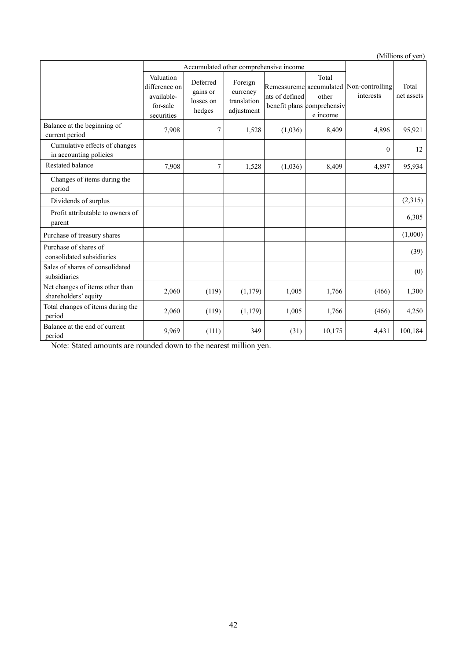(Millions of yen)

|                                                         |                                                                    |                                             |                                                  | Accumulated other comprehensive income |                                                          |                                                      |                     |
|---------------------------------------------------------|--------------------------------------------------------------------|---------------------------------------------|--------------------------------------------------|----------------------------------------|----------------------------------------------------------|------------------------------------------------------|---------------------|
|                                                         | Valuation<br>difference on<br>available-<br>for-sale<br>securities | Deferred<br>gains or<br>losses on<br>hedges | Foreign<br>currency<br>translation<br>adjustment | nts of defined                         | Total<br>other<br>benefit plans comprehensiv<br>e income | Remeasureme accumulated Non-controlling<br>interests | Total<br>net assets |
| Balance at the beginning of<br>current period           | 7,908                                                              | 7                                           | 1,528                                            | (1,036)                                | 8,409                                                    | 4,896                                                | 95,921              |
| Cumulative effects of changes<br>in accounting policies |                                                                    |                                             |                                                  |                                        |                                                          | $\overline{0}$                                       | 12                  |
| <b>Restated balance</b>                                 | 7,908                                                              | 7                                           | 1,528                                            | (1,036)                                | 8,409                                                    | 4,897                                                | 95,934              |
| Changes of items during the<br>period                   |                                                                    |                                             |                                                  |                                        |                                                          |                                                      |                     |
| Dividends of surplus                                    |                                                                    |                                             |                                                  |                                        |                                                          |                                                      | (2,315)             |
| Profit attributable to owners of<br>parent              |                                                                    |                                             |                                                  |                                        |                                                          |                                                      | 6,305               |
| Purchase of treasury shares                             |                                                                    |                                             |                                                  |                                        |                                                          |                                                      | (1,000)             |
| Purchase of shares of<br>consolidated subsidiaries      |                                                                    |                                             |                                                  |                                        |                                                          |                                                      | (39)                |
| Sales of shares of consolidated<br>subsidiaries         |                                                                    |                                             |                                                  |                                        |                                                          |                                                      | (0)                 |
| Net changes of items other than<br>shareholders' equity | 2,060                                                              | (119)                                       | (1, 179)                                         | 1,005                                  | 1,766                                                    | (466)                                                | 1,300               |
| Total changes of items during the<br>period             | 2,060                                                              | (119)                                       | (1, 179)                                         | 1,005                                  | 1,766                                                    | (466)                                                | 4,250               |
| Balance at the end of current<br>period                 | 9,969                                                              | (111)                                       | 349                                              | (31)                                   | 10,175                                                   | 4,431                                                | 100,184             |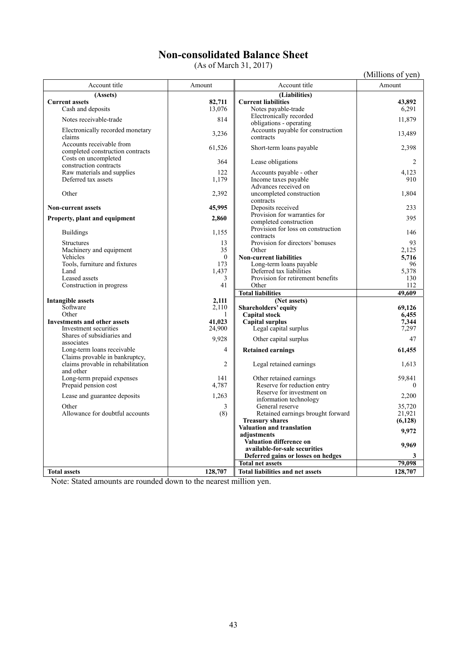# **Non-consolidated Balance Sheet**

(As of March 31, 2017)

| (Millions of yen) |  |  |
|-------------------|--|--|
|                   |  |  |
|                   |  |  |

|                                                |                |                                              | TAHIIDIIS OL YUIT |
|------------------------------------------------|----------------|----------------------------------------------|-------------------|
| Account title                                  | Amount         | Account title                                | Amount            |
| (Assets)                                       |                | (Liabilities)                                |                   |
| <b>Current assets</b>                          | 82,711         | <b>Current liabilities</b>                   | 43,892            |
| Cash and deposits                              | 13,076         | Notes payable-trade                          | 6,291             |
| Notes receivable-trade                         | 814            | Electronically recorded                      | 11,879            |
|                                                |                | obligations - operating                      |                   |
| Electronically recorded monetary               | 3,236          | Accounts payable for construction            | 13,489            |
| claims                                         |                | contracts                                    |                   |
| Accounts receivable from                       | 61,526         | Short-term loans payable                     | 2,398             |
| completed construction contracts               |                |                                              |                   |
| Costs on uncompleted                           | 364            | Lease obligations                            | 2                 |
| construction contracts                         |                |                                              |                   |
| Raw materials and supplies                     | 122            | Accounts payable - other                     | 4.123             |
| Deferred tax assets                            | 1,179          | Income taxes payable<br>Advances received on | 910               |
| Other                                          | 2,392          | uncompleted construction                     | 1,804             |
|                                                |                | contracts                                    |                   |
| <b>Non-current assets</b>                      | 45,995         | Deposits received                            | 233               |
|                                                |                | Provision for warranties for                 |                   |
| Property, plant and equipment                  | 2,860          | completed construction                       | 395               |
|                                                |                | Provision for loss on construction           |                   |
| <b>Buildings</b>                               | 1,155          | contracts                                    | 146               |
| Structures                                     | 13             | Provision for directors' bonuses             | 93                |
| Machinery and equipment                        | 35             | Other                                        | 2.125             |
| Vehicles                                       | $\theta$       | <b>Non-current liabilities</b>               | 5,716             |
| Tools, furniture and fixtures                  | 173            | Long-term loans payable                      | 96                |
| Land                                           | 1,437          | Deferred tax liabilities                     | 5,378             |
| Leased assets                                  | 3              | Provision for retirement benefits            | 130               |
| Construction in progress                       | 41             | Other                                        | 112               |
|                                                |                | <b>Total liabilities</b>                     | 49.609            |
| Intangible assets                              | 2,111          | (Net assets)                                 |                   |
| Software                                       | 2,110          | Shareholders' equity                         | 69.126            |
| Other                                          | 1              | <b>Capital stock</b>                         | 6,455             |
| Investments and other assets                   | 41,023         | Capital surplus                              | 7,344             |
| Investment securities                          | 24,900         | Legal capital surplus                        | 7,297             |
| Shares of subsidiaries and                     | 9,928          | Other capital surplus                        | 47                |
| associates                                     |                |                                              |                   |
| Long-term loans receivable                     | $\overline{4}$ | <b>Retained earnings</b>                     | 61,455            |
| Claims provable in bankruptcy,                 | $\overline{2}$ |                                              | 1.613             |
| claims provable in rehabilitation<br>and other |                | Legal retained earnings                      |                   |
| Long-term prepaid expenses                     | 141            | Other retained earnings                      | 59,841            |
| Prepaid pension cost                           | 4,787          | Reserve for reduction entry                  | $\theta$          |
|                                                |                | Reserve for investment on                    |                   |
| Lease and guarantee deposits                   | 1,263          | information technology                       | 2,200             |
| Other                                          | 3              | General reserve                              | 35,720            |
| Allowance for doubtful accounts                | (8)            | Retained earnings brought forward            | 21,921            |
|                                                |                | <b>Treasury shares</b>                       | (6,128)           |
|                                                |                | Valuation and translation                    |                   |
|                                                |                | adiustments                                  | 9,972             |
|                                                |                | <b>Valuation difference on</b>               | 9,969             |
|                                                |                | available-for-sale securities                |                   |
|                                                |                | Deferred gains or losses on hedges           |                   |
|                                                |                | <b>Total net assets</b>                      | 79.098            |
| <b>Total assets</b>                            | 128,707        | <b>Total liabilities and net assets</b>      | 128,707           |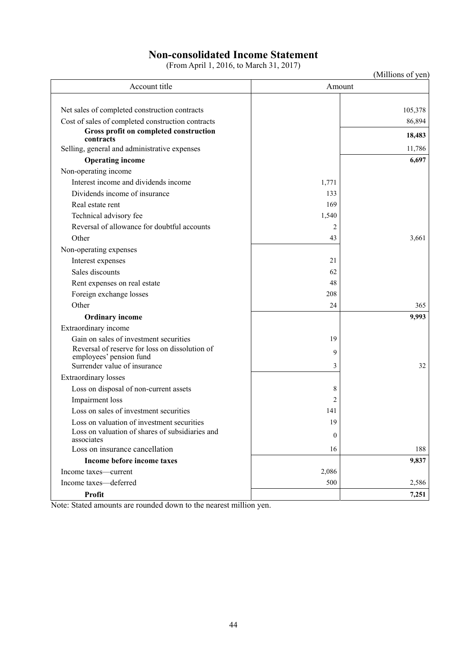# **Non-consolidated Income Statement**

(From April 1, 2016, to March 31, 2017)

| Account title<br>Amount<br>Net sales of completed construction contracts<br>105,378<br>Cost of sales of completed construction contracts<br>86,894<br>Gross profit on completed construction<br>contracts<br>Selling, general and administrative expenses<br><b>Operating income</b><br>Non-operating income<br>Interest income and dividends income<br>1,771<br>Dividends income of insurance<br>133<br>Real estate rent<br>169<br>Technical advisory fee<br>1,540<br>Reversal of allowance for doubtful accounts<br>$\overline{c}$<br>Other<br>43<br>Non-operating expenses<br>21<br>Interest expenses<br>Sales discounts<br>62<br>Rent expenses on real estate<br>48<br>Foreign exchange losses<br>208<br>Other<br>24<br><b>Ordinary income</b><br>Extraordinary income<br>Gain on sales of investment securities<br>19<br>Reversal of reserve for loss on dissolution of<br>9<br>employees' pension fund<br>Surrender value of insurance<br>32<br>3<br><b>Extraordinary losses</b><br>Loss on disposal of non-current assets<br>8<br>Impairment loss<br>2<br>Loss on sales of investment securities<br>141<br>Loss on valuation of investment securities<br>19<br>Loss on valuation of shares of subsidiaries and<br>$\boldsymbol{0}$<br>associates<br>Loss on insurance cancellation<br>16<br>188<br>Income before income taxes<br>9,837<br>2,086<br>Income taxes—current |  | (Millions of yen) |
|--------------------------------------------------------------------------------------------------------------------------------------------------------------------------------------------------------------------------------------------------------------------------------------------------------------------------------------------------------------------------------------------------------------------------------------------------------------------------------------------------------------------------------------------------------------------------------------------------------------------------------------------------------------------------------------------------------------------------------------------------------------------------------------------------------------------------------------------------------------------------------------------------------------------------------------------------------------------------------------------------------------------------------------------------------------------------------------------------------------------------------------------------------------------------------------------------------------------------------------------------------------------------------------------------------------------------------------------------------------------------------|--|-------------------|
|                                                                                                                                                                                                                                                                                                                                                                                                                                                                                                                                                                                                                                                                                                                                                                                                                                                                                                                                                                                                                                                                                                                                                                                                                                                                                                                                                                                |  |                   |
|                                                                                                                                                                                                                                                                                                                                                                                                                                                                                                                                                                                                                                                                                                                                                                                                                                                                                                                                                                                                                                                                                                                                                                                                                                                                                                                                                                                |  |                   |
|                                                                                                                                                                                                                                                                                                                                                                                                                                                                                                                                                                                                                                                                                                                                                                                                                                                                                                                                                                                                                                                                                                                                                                                                                                                                                                                                                                                |  |                   |
|                                                                                                                                                                                                                                                                                                                                                                                                                                                                                                                                                                                                                                                                                                                                                                                                                                                                                                                                                                                                                                                                                                                                                                                                                                                                                                                                                                                |  |                   |
|                                                                                                                                                                                                                                                                                                                                                                                                                                                                                                                                                                                                                                                                                                                                                                                                                                                                                                                                                                                                                                                                                                                                                                                                                                                                                                                                                                                |  | 18,483            |
|                                                                                                                                                                                                                                                                                                                                                                                                                                                                                                                                                                                                                                                                                                                                                                                                                                                                                                                                                                                                                                                                                                                                                                                                                                                                                                                                                                                |  | 11,786            |
|                                                                                                                                                                                                                                                                                                                                                                                                                                                                                                                                                                                                                                                                                                                                                                                                                                                                                                                                                                                                                                                                                                                                                                                                                                                                                                                                                                                |  | 6,697             |
|                                                                                                                                                                                                                                                                                                                                                                                                                                                                                                                                                                                                                                                                                                                                                                                                                                                                                                                                                                                                                                                                                                                                                                                                                                                                                                                                                                                |  |                   |
|                                                                                                                                                                                                                                                                                                                                                                                                                                                                                                                                                                                                                                                                                                                                                                                                                                                                                                                                                                                                                                                                                                                                                                                                                                                                                                                                                                                |  |                   |
|                                                                                                                                                                                                                                                                                                                                                                                                                                                                                                                                                                                                                                                                                                                                                                                                                                                                                                                                                                                                                                                                                                                                                                                                                                                                                                                                                                                |  |                   |
|                                                                                                                                                                                                                                                                                                                                                                                                                                                                                                                                                                                                                                                                                                                                                                                                                                                                                                                                                                                                                                                                                                                                                                                                                                                                                                                                                                                |  |                   |
|                                                                                                                                                                                                                                                                                                                                                                                                                                                                                                                                                                                                                                                                                                                                                                                                                                                                                                                                                                                                                                                                                                                                                                                                                                                                                                                                                                                |  |                   |
|                                                                                                                                                                                                                                                                                                                                                                                                                                                                                                                                                                                                                                                                                                                                                                                                                                                                                                                                                                                                                                                                                                                                                                                                                                                                                                                                                                                |  |                   |
|                                                                                                                                                                                                                                                                                                                                                                                                                                                                                                                                                                                                                                                                                                                                                                                                                                                                                                                                                                                                                                                                                                                                                                                                                                                                                                                                                                                |  | 3,661             |
|                                                                                                                                                                                                                                                                                                                                                                                                                                                                                                                                                                                                                                                                                                                                                                                                                                                                                                                                                                                                                                                                                                                                                                                                                                                                                                                                                                                |  |                   |
|                                                                                                                                                                                                                                                                                                                                                                                                                                                                                                                                                                                                                                                                                                                                                                                                                                                                                                                                                                                                                                                                                                                                                                                                                                                                                                                                                                                |  |                   |
|                                                                                                                                                                                                                                                                                                                                                                                                                                                                                                                                                                                                                                                                                                                                                                                                                                                                                                                                                                                                                                                                                                                                                                                                                                                                                                                                                                                |  |                   |
|                                                                                                                                                                                                                                                                                                                                                                                                                                                                                                                                                                                                                                                                                                                                                                                                                                                                                                                                                                                                                                                                                                                                                                                                                                                                                                                                                                                |  |                   |
|                                                                                                                                                                                                                                                                                                                                                                                                                                                                                                                                                                                                                                                                                                                                                                                                                                                                                                                                                                                                                                                                                                                                                                                                                                                                                                                                                                                |  |                   |
|                                                                                                                                                                                                                                                                                                                                                                                                                                                                                                                                                                                                                                                                                                                                                                                                                                                                                                                                                                                                                                                                                                                                                                                                                                                                                                                                                                                |  | 365               |
|                                                                                                                                                                                                                                                                                                                                                                                                                                                                                                                                                                                                                                                                                                                                                                                                                                                                                                                                                                                                                                                                                                                                                                                                                                                                                                                                                                                |  | 9,993             |
|                                                                                                                                                                                                                                                                                                                                                                                                                                                                                                                                                                                                                                                                                                                                                                                                                                                                                                                                                                                                                                                                                                                                                                                                                                                                                                                                                                                |  |                   |
|                                                                                                                                                                                                                                                                                                                                                                                                                                                                                                                                                                                                                                                                                                                                                                                                                                                                                                                                                                                                                                                                                                                                                                                                                                                                                                                                                                                |  |                   |
|                                                                                                                                                                                                                                                                                                                                                                                                                                                                                                                                                                                                                                                                                                                                                                                                                                                                                                                                                                                                                                                                                                                                                                                                                                                                                                                                                                                |  |                   |
|                                                                                                                                                                                                                                                                                                                                                                                                                                                                                                                                                                                                                                                                                                                                                                                                                                                                                                                                                                                                                                                                                                                                                                                                                                                                                                                                                                                |  |                   |
|                                                                                                                                                                                                                                                                                                                                                                                                                                                                                                                                                                                                                                                                                                                                                                                                                                                                                                                                                                                                                                                                                                                                                                                                                                                                                                                                                                                |  |                   |
|                                                                                                                                                                                                                                                                                                                                                                                                                                                                                                                                                                                                                                                                                                                                                                                                                                                                                                                                                                                                                                                                                                                                                                                                                                                                                                                                                                                |  |                   |
|                                                                                                                                                                                                                                                                                                                                                                                                                                                                                                                                                                                                                                                                                                                                                                                                                                                                                                                                                                                                                                                                                                                                                                                                                                                                                                                                                                                |  |                   |
|                                                                                                                                                                                                                                                                                                                                                                                                                                                                                                                                                                                                                                                                                                                                                                                                                                                                                                                                                                                                                                                                                                                                                                                                                                                                                                                                                                                |  |                   |
|                                                                                                                                                                                                                                                                                                                                                                                                                                                                                                                                                                                                                                                                                                                                                                                                                                                                                                                                                                                                                                                                                                                                                                                                                                                                                                                                                                                |  |                   |
|                                                                                                                                                                                                                                                                                                                                                                                                                                                                                                                                                                                                                                                                                                                                                                                                                                                                                                                                                                                                                                                                                                                                                                                                                                                                                                                                                                                |  |                   |
|                                                                                                                                                                                                                                                                                                                                                                                                                                                                                                                                                                                                                                                                                                                                                                                                                                                                                                                                                                                                                                                                                                                                                                                                                                                                                                                                                                                |  |                   |
|                                                                                                                                                                                                                                                                                                                                                                                                                                                                                                                                                                                                                                                                                                                                                                                                                                                                                                                                                                                                                                                                                                                                                                                                                                                                                                                                                                                |  |                   |
|                                                                                                                                                                                                                                                                                                                                                                                                                                                                                                                                                                                                                                                                                                                                                                                                                                                                                                                                                                                                                                                                                                                                                                                                                                                                                                                                                                                |  |                   |
| 500<br>Income taxes-deferred                                                                                                                                                                                                                                                                                                                                                                                                                                                                                                                                                                                                                                                                                                                                                                                                                                                                                                                                                                                                                                                                                                                                                                                                                                                                                                                                                   |  | 2,586             |
| <b>Profit</b>                                                                                                                                                                                                                                                                                                                                                                                                                                                                                                                                                                                                                                                                                                                                                                                                                                                                                                                                                                                                                                                                                                                                                                                                                                                                                                                                                                  |  | 7,251             |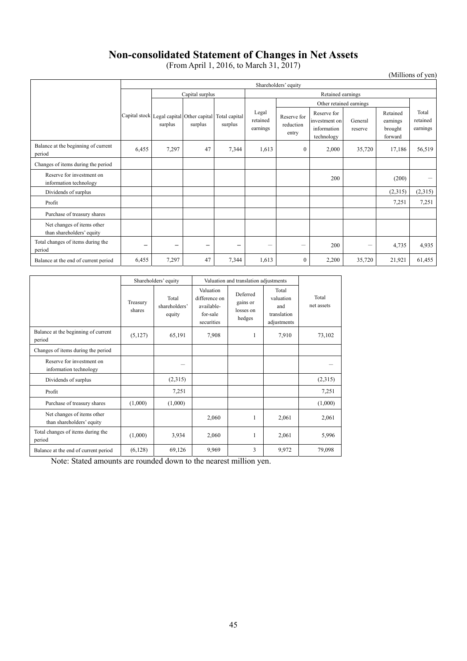# **Non-consolidated Statement of Changes in Net Assets**

(From April 1, 2016, to March 31, 2017)

# (Millions of yen)

|                                                         |                          | Shareholders' equity                                 |                          |                          |                               |                                   |                                                           |                    |                                            |                               |
|---------------------------------------------------------|--------------------------|------------------------------------------------------|--------------------------|--------------------------|-------------------------------|-----------------------------------|-----------------------------------------------------------|--------------------|--------------------------------------------|-------------------------------|
|                                                         |                          | Capital surplus                                      |                          |                          |                               | Retained earnings                 |                                                           |                    |                                            |                               |
|                                                         |                          |                                                      |                          |                          |                               | Other retained earnings           |                                                           |                    |                                            |                               |
|                                                         |                          | Capital stock Legal capital Other capital<br>surplus | surplus                  | Total capital<br>surplus | Legal<br>retained<br>earnings | Reserve for<br>reduction<br>entry | Reserve for<br>investment on<br>information<br>technology | General<br>reserve | Retained<br>earnings<br>brought<br>forward | Total<br>retained<br>earnings |
| Balance at the beginning of current<br>period           | 6,455                    | 7,297                                                | 47                       | 7,344                    | 1,613                         | $\mathbf{0}$                      | 2,000                                                     | 35,720             | 17,186                                     | 56,519                        |
| Changes of items during the period                      |                          |                                                      |                          |                          |                               |                                   |                                                           |                    |                                            |                               |
| Reserve for investment on<br>information technology     |                          |                                                      |                          |                          |                               |                                   | 200                                                       |                    | (200)                                      | -                             |
| Dividends of surplus                                    |                          |                                                      |                          |                          |                               |                                   |                                                           |                    | (2,315)                                    | (2,315)                       |
| Profit                                                  |                          |                                                      |                          |                          |                               |                                   |                                                           |                    | 7,251                                      | 7,251                         |
| Purchase of treasury shares                             |                          |                                                      |                          |                          |                               |                                   |                                                           |                    |                                            |                               |
| Net changes of items other<br>than shareholders' equity |                          |                                                      |                          |                          |                               |                                   |                                                           |                    |                                            |                               |
| Total changes of items during the<br>period             | $\overline{\phantom{0}}$ | $\overline{\phantom{0}}$                             | $\overline{\phantom{m}}$ |                          | $\overline{\phantom{0}}$      | $\qquad \qquad$                   | 200                                                       |                    | 4,735                                      | 4,935                         |
| Balance at the end of current period                    | 6,455                    | 7,297                                                | 47                       | 7,344                    | 1,613                         | $\mathbf{0}$                      | 2,200                                                     | 35,720             | 21,921                                     | 61,455                        |

|                                                         | Shareholders' equity |                                  |                                                                           | Valuation and translation adjustments       |                                                         |                     |  |
|---------------------------------------------------------|----------------------|----------------------------------|---------------------------------------------------------------------------|---------------------------------------------|---------------------------------------------------------|---------------------|--|
|                                                         | Treasury<br>shares   | Total<br>shareholders'<br>equity | <b>Valuation</b><br>difference on<br>available-<br>for-sale<br>securities | Deferred<br>gains or<br>losses on<br>hedges | Total<br>valuation<br>and<br>translation<br>adjustments | Total<br>net assets |  |
| Balance at the beginning of current<br>period           | (5,127)              | 65,191                           | 7,908                                                                     | 1                                           | 7,910                                                   | 73,102              |  |
| Changes of items during the period                      |                      |                                  |                                                                           |                                             |                                                         |                     |  |
| Reserve for investment on<br>information technology     |                      |                                  |                                                                           |                                             |                                                         |                     |  |
| Dividends of surplus                                    |                      | (2,315)                          |                                                                           |                                             |                                                         | (2,315)             |  |
| Profit                                                  |                      | 7,251                            |                                                                           |                                             |                                                         | 7,251               |  |
| Purchase of treasury shares                             | (1,000)              | (1,000)                          |                                                                           |                                             |                                                         | (1,000)             |  |
| Net changes of items other<br>than shareholders' equity |                      |                                  | 2,060                                                                     | 1                                           | 2,061                                                   | 2,061               |  |
| Total changes of items during the<br>period             | (1,000)              | 3,934                            | 2,060                                                                     | 1                                           | 2,061                                                   | 5,996               |  |
| Balance at the end of current period                    | (6,128)              | 69,126                           | 9.969                                                                     | 3                                           | 9,972                                                   | 79,098              |  |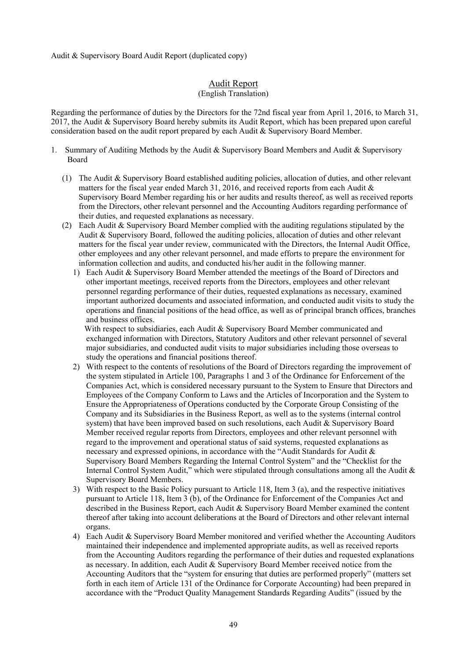Audit & Supervisory Board Audit Report (duplicated copy)

# Audit Report

# (English Translation)

Regarding the performance of duties by the Directors for the 72nd fiscal year from April 1, 2016, to March 31, 2017, the Audit & Supervisory Board hereby submits its Audit Report, which has been prepared upon careful consideration based on the audit report prepared by each Audit & Supervisory Board Member.

- 1. Summary of Auditing Methods by the Audit & Supervisory Board Members and Audit & Supervisory Board
	- (1) The Audit & Supervisory Board established auditing policies, allocation of duties, and other relevant matters for the fiscal year ended March 31, 2016, and received reports from each Audit & Supervisory Board Member regarding his or her audits and results thereof, as well as received reports from the Directors, other relevant personnel and the Accounting Auditors regarding performance of their duties, and requested explanations as necessary.
	- (2) Each Audit & Supervisory Board Member complied with the auditing regulations stipulated by the Audit & Supervisory Board, followed the auditing policies, allocation of duties and other relevant matters for the fiscal year under review, communicated with the Directors, the Internal Audit Office, other employees and any other relevant personnel, and made efforts to prepare the environment for information collection and audits, and conducted his/her audit in the following manner.
		- 1) Each Audit & Supervisory Board Member attended the meetings of the Board of Directors and other important meetings, received reports from the Directors, employees and other relevant personnel regarding performance of their duties, requested explanations as necessary, examined important authorized documents and associated information, and conducted audit visits to study the operations and financial positions of the head office, as well as of principal branch offices, branches and business offices.

With respect to subsidiaries, each Audit & Supervisory Board Member communicated and exchanged information with Directors, Statutory Auditors and other relevant personnel of several major subsidiaries, and conducted audit visits to major subsidiaries including those overseas to study the operations and financial positions thereof.

- 2) With respect to the contents of resolutions of the Board of Directors regarding the improvement of the system stipulated in Article 100, Paragraphs 1 and 3 of the Ordinance for Enforcement of the Companies Act, which is considered necessary pursuant to the System to Ensure that Directors and Employees of the Company Conform to Laws and the Articles of Incorporation and the System to Ensure the Appropriateness of Operations conducted by the Corporate Group Consisting of the Company and its Subsidiaries in the Business Report, as well as to the systems (internal control system) that have been improved based on such resolutions, each Audit & Supervisory Board Member received regular reports from Directors, employees and other relevant personnel with regard to the improvement and operational status of said systems, requested explanations as necessary and expressed opinions, in accordance with the "Audit Standards for Audit & Supervisory Board Members Regarding the Internal Control System" and the "Checklist for the Internal Control System Audit," which were stipulated through consultations among all the Audit & Supervisory Board Members.
- 3) With respect to the Basic Policy pursuant to Article 118, Item 3 (a), and the respective initiatives pursuant to Article 118, Item 3 (b), of the Ordinance for Enforcement of the Companies Act and described in the Business Report, each Audit & Supervisory Board Member examined the content thereof after taking into account deliberations at the Board of Directors and other relevant internal organs.
- 4) Each Audit & Supervisory Board Member monitored and verified whether the Accounting Auditors maintained their independence and implemented appropriate audits, as well as received reports from the Accounting Auditors regarding the performance of their duties and requested explanations as necessary. In addition, each Audit & Supervisory Board Member received notice from the Accounting Auditors that the "system for ensuring that duties are performed properly" (matters set forth in each item of Article 131 of the Ordinance for Corporate Accounting) had been prepared in accordance with the "Product Quality Management Standards Regarding Audits" (issued by the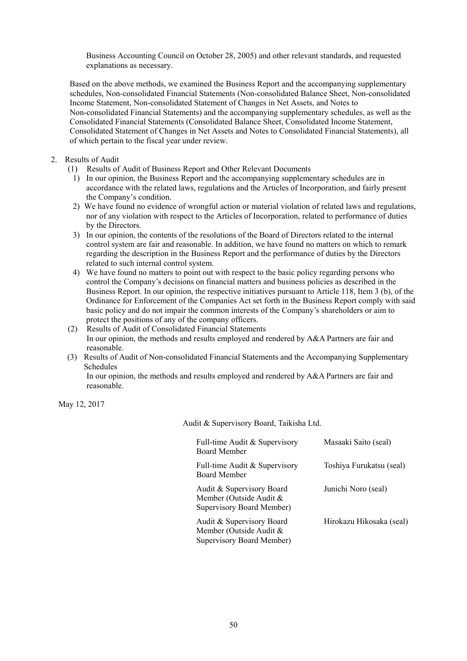Business Accounting Council on October 28, 2005) and other relevant standards, and requested explanations as necessary.

Based on the above methods, we examined the Business Report and the accompanying supplementary schedules, Non-consolidated Financial Statements (Non-consolidated Balance Sheet, Non-consolidated Income Statement, Non-consolidated Statement of Changes in Net Assets, and Notes to Non-consolidated Financial Statements) and the accompanying supplementary schedules, as well as the Consolidated Financial Statements (Consolidated Balance Sheet, Consolidated Income Statement, Consolidated Statement of Changes in Net Assets and Notes to Consolidated Financial Statements), all of which pertain to the fiscal year under review.

- 2. Results of Audit
	- (1) Results of Audit of Business Report and Other Relevant Documents
		- 1) In our opinion, the Business Report and the accompanying supplementary schedules are in accordance with the related laws, regulations and the Articles of Incorporation, and fairly present the Company's condition.
		- 2) We have found no evidence of wrongful action or material violation of related laws and regulations, nor of any violation with respect to the Articles of Incorporation, related to performance of duties by the Directors.
		- 3) In our opinion, the contents of the resolutions of the Board of Directors related to the internal control system are fair and reasonable. In addition, we have found no matters on which to remark regarding the description in the Business Report and the performance of duties by the Directors related to such internal control system.
		- 4) We have found no matters to point out with respect to the basic policy regarding persons who control the Company's decisions on financial matters and business policies as described in the Business Report. In our opinion, the respective initiatives pursuant to Article 118, Item 3 (b), of the Ordinance for Enforcement of the Companies Act set forth in the Business Report comply with said basic policy and do not impair the common interests of the Company's shareholders or aim to protect the positions of any of the company officers.
	- (2) Results of Audit of Consolidated Financial Statements In our opinion, the methods and results employed and rendered by A&A Partners are fair and reasonable.
	- (3) Results of Audit of Non-consolidated Financial Statements and the Accompanying Supplementary Schedules

In our opinion, the methods and results employed and rendered by A&A Partners are fair and reasonable.

May 12, 2017

Audit & Supervisory Board, Taikisha Ltd.

| Full-time Audit & Supervisory<br><b>Board Member</b>                                     | Masaaki Saito (seal)     |
|------------------------------------------------------------------------------------------|--------------------------|
| Full-time Audit & Supervisory<br><b>Board Member</b>                                     | Toshiya Furukatsu (seal) |
| Audit & Supervisory Board<br>Member (Outside Audit &<br>Supervisory Board Member)        | Junichi Noro (seal)      |
| Audit & Supervisory Board<br>Member (Outside Audit &<br><b>Supervisory Board Member)</b> | Hirokazu Hikosaka (seal) |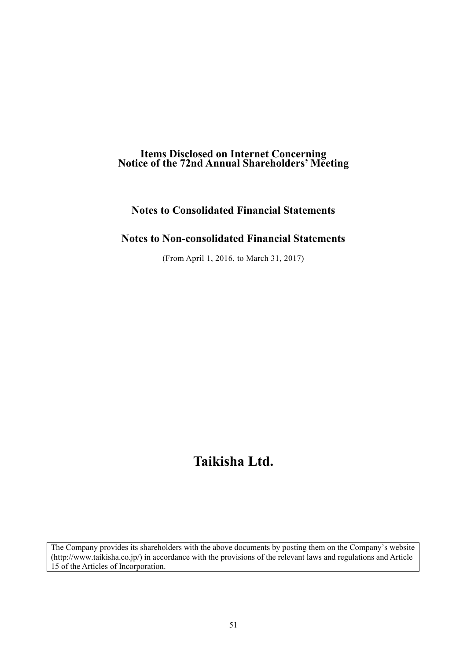# **Items Disclosed on Internet Concerning Notice of the 72nd Annual Shareholders' Meeting**

# **Notes to Consolidated Financial Statements**

# **Notes to Non-consolidated Financial Statements**

(From April 1, 2016, to March 31, 2017)

# **Taikisha Ltd.**

The Company provides its shareholders with the above documents by posting them on the Company's website (http://www.taikisha.co.jp/) in accordance with the provisions of the relevant laws and regulations and Article 15 of the Articles of Incorporation.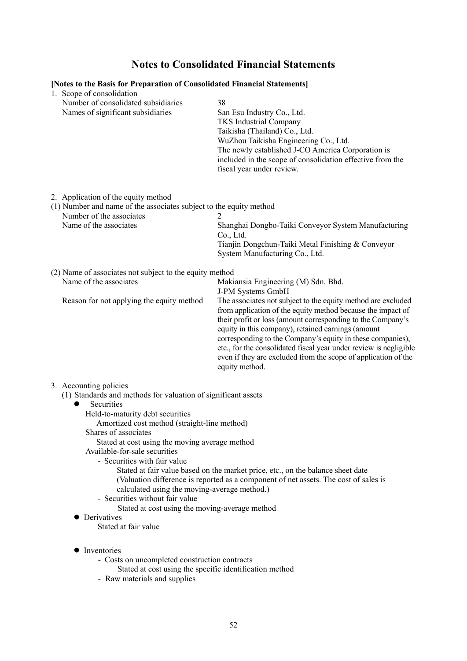# **Notes to Consolidated Financial Statements**

| [Notes to the Basis for Preparation of Consolidated Financial Statements]<br>1. Scope of consolidation                                                                                                                                                                                                                                                                                                                                                                                      |                                                                                                                                                                                                                                                                                                                                                                                                                                                                         |
|---------------------------------------------------------------------------------------------------------------------------------------------------------------------------------------------------------------------------------------------------------------------------------------------------------------------------------------------------------------------------------------------------------------------------------------------------------------------------------------------|-------------------------------------------------------------------------------------------------------------------------------------------------------------------------------------------------------------------------------------------------------------------------------------------------------------------------------------------------------------------------------------------------------------------------------------------------------------------------|
| Number of consolidated subsidiaries<br>Names of significant subsidiaries                                                                                                                                                                                                                                                                                                                                                                                                                    | 38<br>San Esu Industry Co., Ltd.<br><b>TKS</b> Industrial Company<br>Taikisha (Thailand) Co., Ltd.<br>WuZhou Taikisha Engineering Co., Ltd.<br>The newly established J-CO America Corporation is<br>included in the scope of consolidation effective from the<br>fiscal year under review.                                                                                                                                                                              |
| 2. Application of the equity method<br>(1) Number and name of the associates subject to the equity method<br>Number of the associates<br>Name of the associates                                                                                                                                                                                                                                                                                                                             | Shanghai Dongbo-Taiki Conveyor System Manufacturing                                                                                                                                                                                                                                                                                                                                                                                                                     |
|                                                                                                                                                                                                                                                                                                                                                                                                                                                                                             | Co., Ltd.<br>Tianjin Dongchun-Taiki Metal Finishing & Conveyor<br>System Manufacturing Co., Ltd.                                                                                                                                                                                                                                                                                                                                                                        |
| (2) Name of associates not subject to the equity method                                                                                                                                                                                                                                                                                                                                                                                                                                     |                                                                                                                                                                                                                                                                                                                                                                                                                                                                         |
| Name of the associates                                                                                                                                                                                                                                                                                                                                                                                                                                                                      | Makiansia Engineering (M) Sdn. Bhd.<br>J-PM Systems GmbH                                                                                                                                                                                                                                                                                                                                                                                                                |
| Reason for not applying the equity method                                                                                                                                                                                                                                                                                                                                                                                                                                                   | The associates not subject to the equity method are excluded<br>from application of the equity method because the impact of<br>their profit or loss (amount corresponding to the Company's<br>equity in this company), retained earnings (amount<br>corresponding to the Company's equity in these companies),<br>etc., for the consolidated fiscal year under review is negligible<br>even if they are excluded from the scope of application of the<br>equity method. |
| 3. Accounting policies                                                                                                                                                                                                                                                                                                                                                                                                                                                                      |                                                                                                                                                                                                                                                                                                                                                                                                                                                                         |
| (1) Standards and methods for valuation of significant assets<br>Securities<br>●<br>Held-to-maturity debt securities<br>Amortized cost method (straight-line method)<br>Shares of associates<br>Stated at cost using the moving average method<br>Available-for-sale securities<br>- Securities with fair value<br>calculated using the moving-average method.)<br>- Securities without fair value<br>Stated at cost using the moving-average method<br>Derivatives<br>Stated at fair value | Stated at fair value based on the market price, etc., on the balance sheet date<br>(Valuation difference is reported as a component of net assets. The cost of sales is                                                                                                                                                                                                                                                                                                 |

- Inventories
	- Costs on uncompleted construction contracts
		- Stated at cost using the specific identification method
	- Raw materials and supplies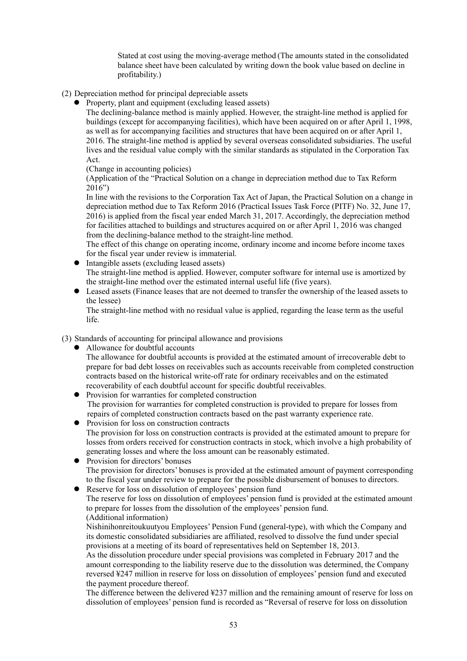Stated at cost using the moving-average method (The amounts stated in the consolidated balance sheet have been calculated by writing down the book value based on decline in profitability.)

- (2) Depreciation method for principal depreciable assets
	- Property, plant and equipment (excluding leased assets)

The declining-balance method is mainly applied. However, the straight-line method is applied for buildings (except for accompanying facilities), which have been acquired on or after April 1, 1998, as well as for accompanying facilities and structures that have been acquired on or after April 1, 2016. The straight-line method is applied by several overseas consolidated subsidiaries. The useful lives and the residual value comply with the similar standards as stipulated in the Corporation Tax Act.

(Change in accounting policies)

(Application of the "Practical Solution on a change in depreciation method due to Tax Reform 2016")

In line with the revisions to the Corporation Tax Act of Japan, the Practical Solution on a change in depreciation method due to Tax Reform 2016 (Practical Issues Task Force (PITF) No. 32, June 17, 2016) is applied from the fiscal year ended March 31, 2017. Accordingly, the depreciation method for facilities attached to buildings and structures acquired on or after April 1, 2016 was changed from the declining-balance method to the straight-line method.

The effect of this change on operating income, ordinary income and income before income taxes for the fiscal year under review is immaterial.

- Intangible assets (excluding leased assets) The straight-line method is applied. However, computer software for internal use is amortized by the straight-line method over the estimated internal useful life (five years).
- Leased assets (Finance leases that are not deemed to transfer the ownership of the leased assets to the lessee)

The straight-line method with no residual value is applied, regarding the lease term as the useful life.

(3) Standards of accounting for principal allowance and provisions

Allowance for doubtful accounts

The allowance for doubtful accounts is provided at the estimated amount of irrecoverable debt to prepare for bad debt losses on receivables such as accounts receivable from completed construction contracts based on the historical write-off rate for ordinary receivables and on the estimated recoverability of each doubtful account for specific doubtful receivables.

- **•** Provision for warranties for completed construction The provision for warranties for completed construction is provided to prepare for losses from repairs of completed construction contracts based on the past warranty experience rate.
- Provision for loss on construction contracts The provision for loss on construction contracts is provided at the estimated amount to prepare for losses from orders received for construction contracts in stock, which involve a high probability of generating losses and where the loss amount can be reasonably estimated.
- Provision for directors' bonuses The provision for directors' bonuses is provided at the estimated amount of payment corresponding to the fiscal year under review to prepare for the possible disbursement of bonuses to directors.
- Reserve for loss on dissolution of employees' pension fund

The reserve for loss on dissolution of employees' pension fund is provided at the estimated amount to prepare for losses from the dissolution of the employees' pension fund. (Additional information)

Nishinihonreitoukuutyou Employees' Pension Fund (general-type), with which the Company and its domestic consolidated subsidiaries are affiliated, resolved to dissolve the fund under special provisions at a meeting of its board of representatives held on September 18, 2013.

As the dissolution procedure under special provisions was completed in February 2017 and the amount corresponding to the liability reserve due to the dissolution was determined, the Company reversed ¥247 million in reserve for loss on dissolution of employees' pension fund and executed the payment procedure thereof.

The difference between the delivered ¥237 million and the remaining amount of reserve for loss on dissolution of employees' pension fund is recorded as "Reversal of reserve for loss on dissolution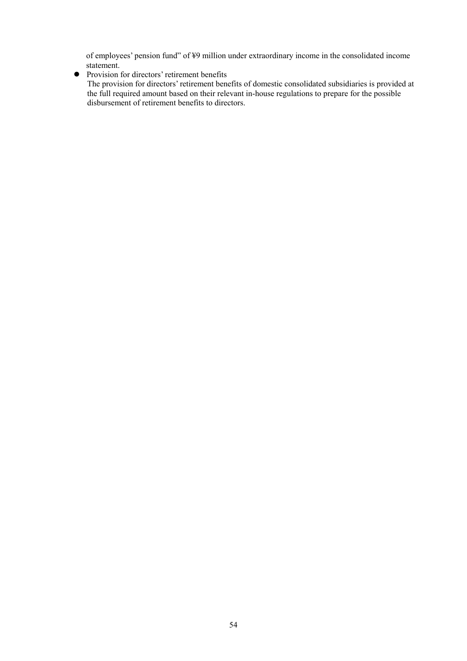of employees' pension fund" of ¥9 million under extraordinary income in the consolidated income statement.

• Provision for directors' retirement benefits

The provision for directors' retirement benefits of domestic consolidated subsidiaries is provided at the full required amount based on their relevant in-house regulations to prepare for the possible disbursement of retirement benefits to directors.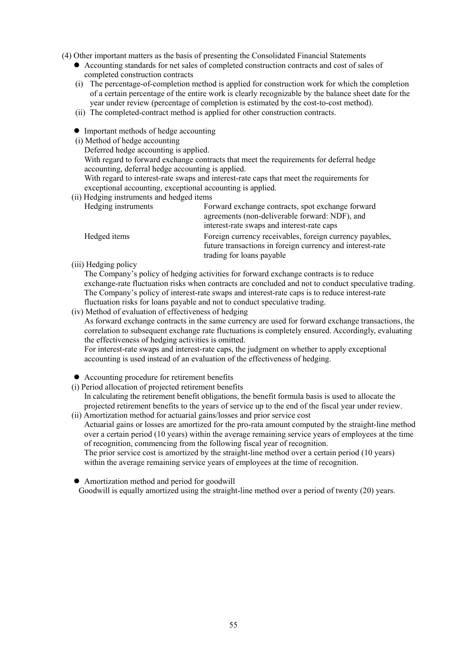(4) Other important matters as the basis of presenting the Consolidated Financial Statements

- Accounting standards for net sales of completed construction contracts and cost of sales of completed construction contracts
- (i) The percentage-of-completion method is applied for construction work for which the completion of a certain percentage of the entire work is clearly recognizable by the balance sheet date for the year under review (percentage of completion is estimated by the cost-to-cost method).
- (ii) The completed-contract method is applied for other construction contracts.
- Important methods of hedge accounting
- (i) Method of hedge accounting
	- Deferred hedge accounting is applied.

With regard to forward exchange contracts that meet the requirements for deferral hedge accounting, deferral hedge accounting is applied.

With regard to interest-rate swaps and interest-rate caps that meet the requirements for exceptional accounting, exceptional accounting is applied.

(ii) Hedging instruments and hedged items

| Hedging instruments | Forward exchange contracts, spot exchange forward         |
|---------------------|-----------------------------------------------------------|
|                     | agreements (non-deliverable forward: NDF), and            |
|                     | interest-rate swaps and interest-rate caps                |
| Hedged items        | Foreign currency receivables, foreign currency payables,  |
|                     | future transactions in foreign currency and interest-rate |
|                     | trading for loans payable                                 |

(iii) Hedging policy

The Company's policy of hedging activities for forward exchange contracts is to reduce exchange-rate fluctuation risks when contracts are concluded and not to conduct speculative trading. The Company's policy of interest-rate swaps and interest-rate caps is to reduce interest-rate fluctuation risks for loans payable and not to conduct speculative trading.

(iv) Method of evaluation of effectiveness of hedging

As forward exchange contracts in the same currency are used for forward exchange transactions, the correlation to subsequent exchange rate fluctuations is completely ensured. Accordingly, evaluating the effectiveness of hedging activities is omitted.

For interest-rate swaps and interest-rate caps, the judgment on whether to apply exceptional accounting is used instead of an evaluation of the effectiveness of hedging.

- Accounting procedure for retirement benefits
- (i) Period allocation of projected retirement benefits

In calculating the retirement benefit obligations, the benefit formula basis is used to allocate the projected retirement benefits to the years of service up to the end of the fiscal year under review.

(ii) Amortization method for actuarial gains/losses and prior service cost Actuarial gains or losses are amortized for the pro-rata amount computed by the straight-line method over a certain period (10 years) within the average remaining service years of employees at the time of recognition, commencing from the following fiscal year of recognition. The prior service cost is amortized by the straight-line method over a certain period (10 years)

within the average remaining service years of employees at the time of recognition.

Amortization method and period for goodwill

Goodwill is equally amortized using the straight-line method over a period of twenty (20) years.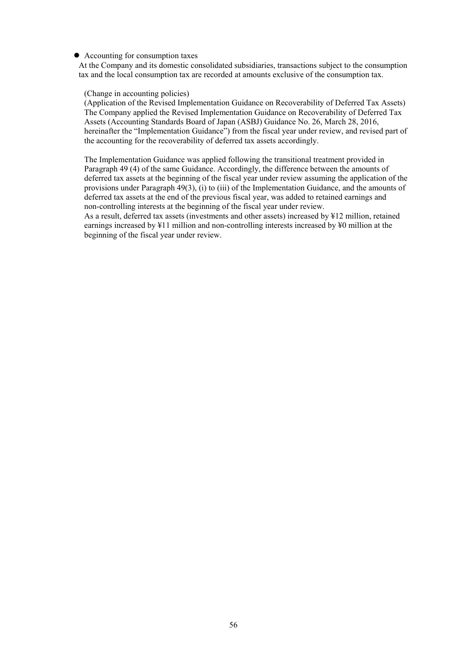#### Accounting for consumption taxes

At the Company and its domestic consolidated subsidiaries, transactions subject to the consumption tax and the local consumption tax are recorded at amounts exclusive of the consumption tax.

#### (Change in accounting policies)

(Application of the Revised Implementation Guidance on Recoverability of Deferred Tax Assets) The Company applied the Revised Implementation Guidance on Recoverability of Deferred Tax Assets (Accounting Standards Board of Japan (ASBJ) Guidance No. 26, March 28, 2016, hereinafter the "Implementation Guidance") from the fiscal year under review, and revised part of the accounting for the recoverability of deferred tax assets accordingly.

The Implementation Guidance was applied following the transitional treatment provided in Paragraph 49 (4) of the same Guidance. Accordingly, the difference between the amounts of deferred tax assets at the beginning of the fiscal year under review assuming the application of the provisions under Paragraph 49(3), (i) to (iii) of the Implementation Guidance, and the amounts of deferred tax assets at the end of the previous fiscal year, was added to retained earnings and non-controlling interests at the beginning of the fiscal year under review.

As a result, deferred tax assets (investments and other assets) increased by ¥12 million, retained earnings increased by ¥11 million and non-controlling interests increased by ¥0 million at the beginning of the fiscal year under review.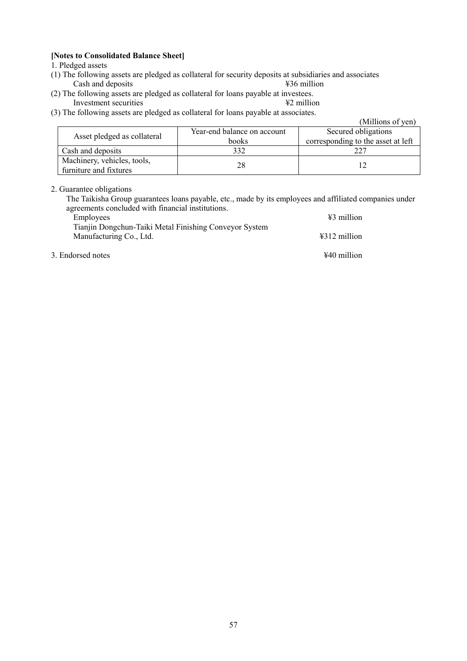# **[Notes to Consolidated Balance Sheet]**

1. Pledged assets

- (1) The following assets are pledged as collateral for security deposits at subsidiaries and associates Cash and deposits
- (2) The following assets are pledged as collateral for loans payable at investees.<br>Investment securities  $\angle$  #2 million Investment securities
- (3) The following assets are pledged as collateral for loans payable at associates.

|                                                       |                             | (Millions of yen)                  |  |
|-------------------------------------------------------|-----------------------------|------------------------------------|--|
| Asset pledged as collateral                           | Year-end balance on account | Secured obligations                |  |
|                                                       | books                       | corresponding to the asset at left |  |
| Cash and deposits                                     | 332                         | າາ'                                |  |
| Machinery, vehicles, tools,<br>furniture and fixtures | 28                          |                                    |  |

# 2. Guarantee obligations

The Taikisha Group guarantees loans payable, etc., made by its employees and affiliated companies under agreements concluded with financial institutions.

| Employees                                              | $\frac{12}{3}$ million |
|--------------------------------------------------------|------------------------|
| Tianjin Dongchun-Taiki Metal Finishing Conveyor System |                        |
| Manufacturing Co., Ltd.                                | $\text{\#312}$ million |
| 3. Endorsed notes                                      | $\text{\#}40$ million  |

57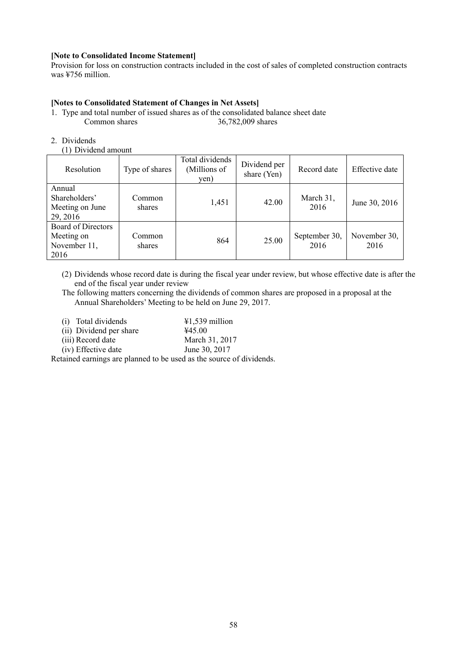## **[Note to Consolidated Income Statement]**

Provision for loss on construction contracts included in the cost of sales of completed construction contracts was ¥756 million.

# **[Notes to Consolidated Statement of Changes in Net Assets]**

- 1. Type and total number of issued shares as of the consolidated balance sheet date Common shares 36,782,009 shares
- 2. Dividends
	- (1) Dividend amount

| Resolution                                               | Type of shares   | Total dividends<br>(Millions of<br>yen) | Dividend per<br>share (Yen) | Record date           | Effective date       |
|----------------------------------------------------------|------------------|-----------------------------------------|-----------------------------|-----------------------|----------------------|
| Annual<br>Shareholders'<br>Meeting on June<br>29, 2016   | Common<br>shares | 1,451                                   | 42.00                       | March 31,<br>2016     | June 30, 2016        |
| Board of Directors<br>Meeting on<br>November 11,<br>2016 | Common<br>shares | 864                                     | 25.00                       | September 30,<br>2016 | November 30,<br>2016 |

(2) Dividends whose record date is during the fiscal year under review, but whose effective date is after the end of the fiscal year under review

The following matters concerning the dividends of common shares are proposed in a proposal at the Annual Shareholders' Meeting to be held on June 29, 2017.

| (i) Total dividends     | $\text{\#1,539}$ million |
|-------------------------|--------------------------|
| (ii) Dividend per share | 445.00                   |
| (iii) Record date       | March 31, 2017           |
| (iv) Effective date     | June 30, 2017            |

Retained earnings are planned to be used as the source of dividends.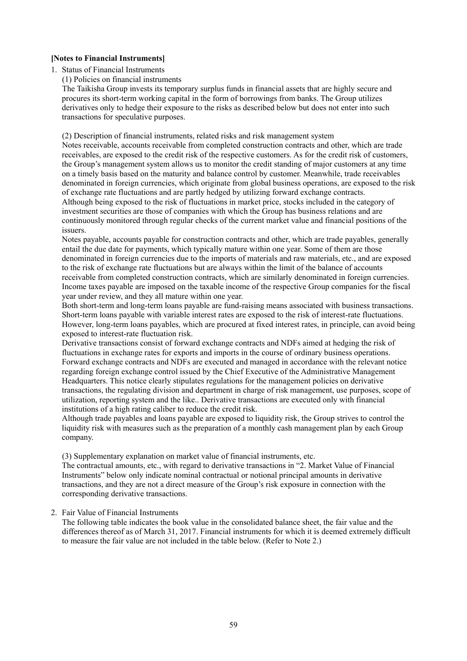#### **[Notes to Financial Instruments]**

1. Status of Financial Instruments

(1) Policies on financial instruments

The Taikisha Group invests its temporary surplus funds in financial assets that are highly secure and procures its short-term working capital in the form of borrowings from banks. The Group utilizes derivatives only to hedge their exposure to the risks as described below but does not enter into such transactions for speculative purposes.

(2) Description of financial instruments, related risks and risk management system

Notes receivable, accounts receivable from completed construction contracts and other, which are trade receivables, are exposed to the credit risk of the respective customers. As for the credit risk of customers, the Group's management system allows us to monitor the credit standing of major customers at any time on a timely basis based on the maturity and balance control by customer. Meanwhile, trade receivables denominated in foreign currencies, which originate from global business operations, are exposed to the risk of exchange rate fluctuations and are partly hedged by utilizing forward exchange contracts. Although being exposed to the risk of fluctuations in market price, stocks included in the category of investment securities are those of companies with which the Group has business relations and are continuously monitored through regular checks of the current market value and financial positions of the issuers.

Notes payable, accounts payable for construction contracts and other, which are trade payables, generally entail the due date for payments, which typically mature within one year. Some of them are those denominated in foreign currencies due to the imports of materials and raw materials, etc., and are exposed to the risk of exchange rate fluctuations but are always within the limit of the balance of accounts receivable from completed construction contracts, which are similarly denominated in foreign currencies. Income taxes payable are imposed on the taxable income of the respective Group companies for the fiscal year under review, and they all mature within one year.

Both short-term and long-term loans payable are fund-raising means associated with business transactions. Short-term loans payable with variable interest rates are exposed to the risk of interest-rate fluctuations. However, long-term loans payables, which are procured at fixed interest rates, in principle, can avoid being exposed to interest-rate fluctuation risk.

Derivative transactions consist of forward exchange contracts and NDFs aimed at hedging the risk of fluctuations in exchange rates for exports and imports in the course of ordinary business operations. Forward exchange contracts and NDFs are executed and managed in accordance with the relevant notice regarding foreign exchange control issued by the Chief Executive of the Administrative Management Headquarters. This notice clearly stipulates regulations for the management policies on derivative transactions, the regulating division and department in charge of risk management, use purposes, scope of utilization, reporting system and the like.. Derivative transactions are executed only with financial institutions of a high rating caliber to reduce the credit risk.

Although trade payables and loans payable are exposed to liquidity risk, the Group strives to control the liquidity risk with measures such as the preparation of a monthly cash management plan by each Group company.

(3) Supplementary explanation on market value of financial instruments, etc.

The contractual amounts, etc., with regard to derivative transactions in "2. Market Value of Financial Instruments" below only indicate nominal contractual or notional principal amounts in derivative transactions, and they are not a direct measure of the Group's risk exposure in connection with the corresponding derivative transactions.

# 2. Fair Value of Financial Instruments

The following table indicates the book value in the consolidated balance sheet, the fair value and the differences thereof as of March 31, 2017. Financial instruments for which it is deemed extremely difficult to measure the fair value are not included in the table below. (Refer to Note 2.)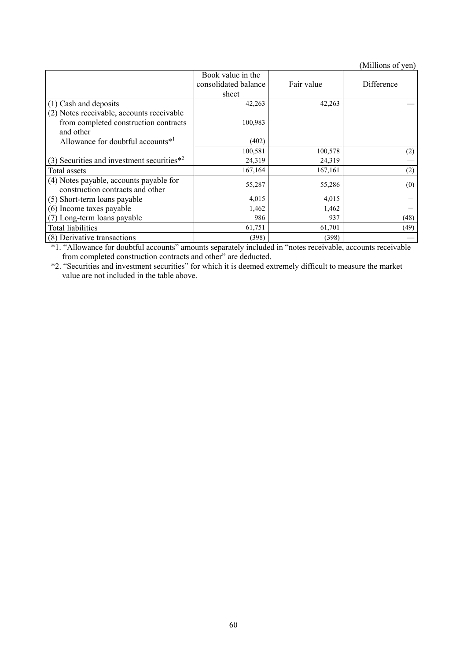(Millions of yen)

|                                                | Book value in the    |            |            |
|------------------------------------------------|----------------------|------------|------------|
|                                                | consolidated balance | Fair value | Difference |
|                                                | sheet                |            |            |
| (1) Cash and deposits                          | 42,263               | 42,263     |            |
| (2) Notes receivable, accounts receivable      |                      |            |            |
| from completed construction contracts          | 100,983              |            |            |
| and other                                      |                      |            |            |
| Allowance for doubtful accounts*1              | (402)                |            |            |
|                                                | 100,581              | 100,578    | (2)        |
| (3) Securities and investment securities $*^2$ | 24,319               | 24,319     |            |
| Total assets                                   | 167,164              | 167,161    | (2)        |
| (4) Notes payable, accounts payable for        | 55,287               | 55,286     |            |
| construction contracts and other               |                      |            | (0)        |
| (5) Short-term loans payable                   | 4,015                | 4,015      |            |
| (6) Income taxes payable                       | 1,462                | 1,462      |            |
| (7) Long-term loans payable                    | 986                  | 937        | (48)       |
| <b>Total liabilities</b>                       | 61,751               | 61,701     | (49)       |
| (8) Derivative transactions                    | (398)                | (398)      |            |

\*1. "Allowance for doubtful accounts" amounts separately included in "notes receivable, accounts receivable from completed construction contracts and other" are deducted.

\*2. "Securities and investment securities" for which it is deemed extremely difficult to measure the market value are not included in the table above.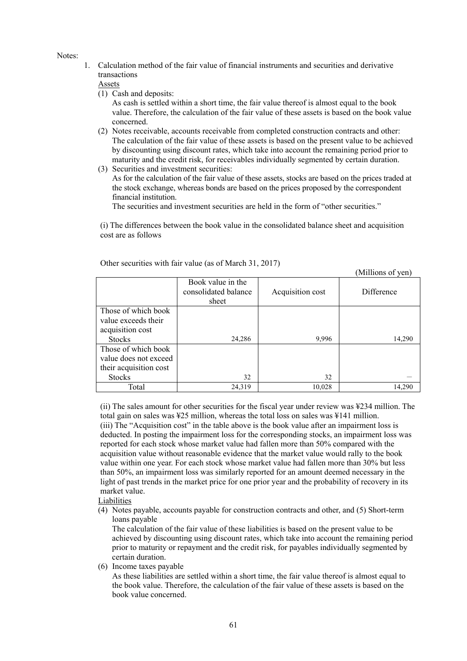Notes:

1. Calculation method of the fair value of financial instruments and securities and derivative transactions

Assets

(1) Cash and deposits:

As cash is settled within a short time, the fair value thereof is almost equal to the book value. Therefore, the calculation of the fair value of these assets is based on the book value concerned.

- (2) Notes receivable, accounts receivable from completed construction contracts and other: The calculation of the fair value of these assets is based on the present value to be achieved by discounting using discount rates, which take into account the remaining period prior to maturity and the credit risk, for receivables individually segmented by certain duration.
- (3) Securities and investment securities:

As for the calculation of the fair value of these assets, stocks are based on the prices traded at the stock exchange, whereas bonds are based on the prices proposed by the correspondent financial institution.

The securities and investment securities are held in the form of "other securities."

(i) The differences between the book value in the consolidated balance sheet and acquisition cost are as follows

|                        |                                                    |                  | Mullions of yen) |
|------------------------|----------------------------------------------------|------------------|------------------|
|                        | Book value in the<br>consolidated balance<br>sheet | Acquisition cost | Difference       |
| Those of which book    |                                                    |                  |                  |
| value exceeds their    |                                                    |                  |                  |
| acquisition cost       |                                                    |                  |                  |
| <b>Stocks</b>          | 24,286                                             | 9,996            | 14,290           |
| Those of which book    |                                                    |                  |                  |
| value does not exceed  |                                                    |                  |                  |
| their acquisition cost |                                                    |                  |                  |
| <b>Stocks</b>          | 32                                                 | 32               |                  |
| Total                  | 24,319                                             | 10.028           | 14,290           |

 $\alpha$  curve of  $\alpha$ 

Other securities with fair value (as of March 31, 2017)

(ii) The sales amount for other securities for the fiscal year under review was ¥234 million. The total gain on sales was ¥25 million, whereas the total loss on sales was ¥141 million. (iii) The "Acquisition cost" in the table above is the book value after an impairment loss is deducted. In posting the impairment loss for the corresponding stocks, an impairment loss was reported for each stock whose market value had fallen more than 50% compared with the acquisition value without reasonable evidence that the market value would rally to the book value within one year. For each stock whose market value had fallen more than 30% but less than 50%, an impairment loss was similarly reported for an amount deemed necessary in the light of past trends in the market price for one prior year and the probability of recovery in its

market value. Liabilities

(4) Notes payable, accounts payable for construction contracts and other, and (5) Short-term loans payable

The calculation of the fair value of these liabilities is based on the present value to be achieved by discounting using discount rates, which take into account the remaining period prior to maturity or repayment and the credit risk, for payables individually segmented by certain duration.

(6) Income taxes payable

As these liabilities are settled within a short time, the fair value thereof is almost equal to the book value. Therefore, the calculation of the fair value of these assets is based on the book value concerned.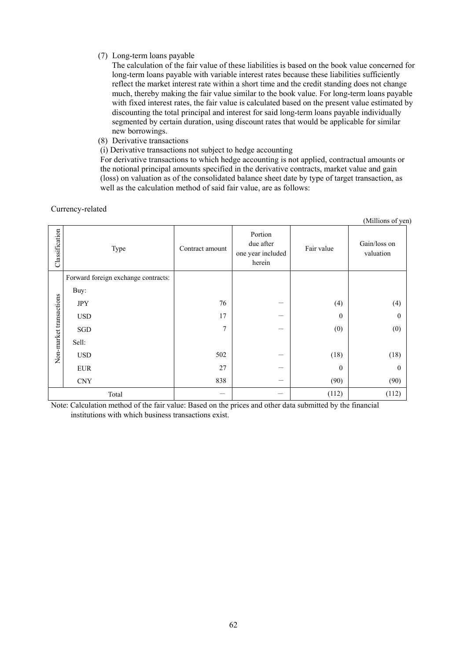# (7) Long-term loans payable

The calculation of the fair value of these liabilities is based on the book value concerned for long-term loans payable with variable interest rates because these liabilities sufficiently reflect the market interest rate within a short time and the credit standing does not change much, thereby making the fair value similar to the book value. For long-term loans payable with fixed interest rates, the fair value is calculated based on the present value estimated by discounting the total principal and interest for said long-term loans payable individually segmented by certain duration, using discount rates that would be applicable for similar new borrowings.

(8) Derivative transactions

(i) Derivative transactions not subject to hedge accounting

For derivative transactions to which hedge accounting is not applied, contractual amounts or the notional principal amounts specified in the derivative contracts, market value and gain (loss) on valuation as of the consolidated balance sheet date by type of target transaction, as well as the calculation method of said fair value, are as follows:

Currency-related

|                         |                                     |                 |                                                     |                  | (Millions of yen)         |
|-------------------------|-------------------------------------|-----------------|-----------------------------------------------------|------------------|---------------------------|
| Classification          | Type                                | Contract amount | Portion<br>due after<br>one year included<br>herein | Fair value       | Gain/loss on<br>valuation |
|                         | Forward foreign exchange contracts: |                 |                                                     |                  |                           |
|                         | Buy:                                |                 |                                                     |                  |                           |
|                         | <b>JPY</b>                          | 76              |                                                     | (4)              | (4)                       |
|                         | <b>USD</b>                          | 17              |                                                     | $\boldsymbol{0}$ | $\mathbf{0}$              |
| Non-market transactions | SGD                                 | $\tau$          | --                                                  | (0)              | (0)                       |
|                         | Sell:                               |                 |                                                     |                  |                           |
|                         | <b>USD</b>                          | 502             |                                                     | (18)             | (18)                      |
|                         | <b>EUR</b>                          | 27              |                                                     | $\boldsymbol{0}$ | $\mathbf{0}$              |
|                         | <b>CNY</b>                          | 838             |                                                     | (90)             | (90)                      |
|                         | Total                               |                 |                                                     | (112)            | (112)                     |

Note: Calculation method of the fair value: Based on the prices and other data submitted by the financial institutions with which business transactions exist.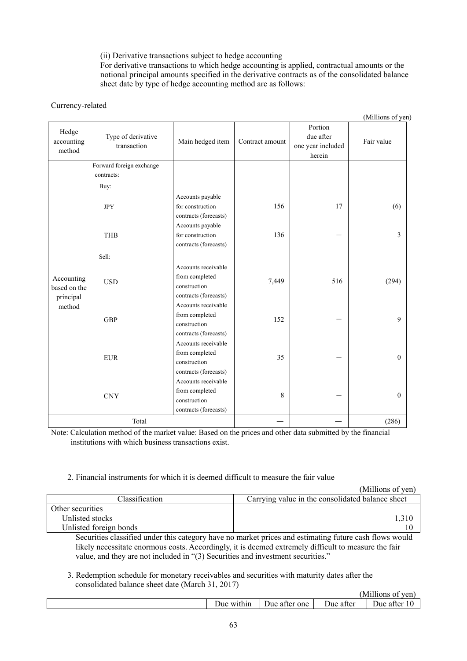(ii) Derivative transactions subject to hedge accounting

For derivative transactions to which hedge accounting is applied, contractual amounts or the notional principal amounts specified in the derivative contracts as of the consolidated balance sheet date by type of hedge accounting method are as follows:

# Currency-related

(Millions of yen)

| Hedge<br>accounting<br>method | Type of derivative<br>transaction | Main hedged item                      | Contract amount | Portion<br>due after<br>one year included<br>herein | Fair value   |
|-------------------------------|-----------------------------------|---------------------------------------|-----------------|-----------------------------------------------------|--------------|
|                               | Forward foreign exchange          |                                       |                 |                                                     |              |
|                               | contracts:                        |                                       |                 |                                                     |              |
|                               | Buy:                              |                                       |                 |                                                     |              |
|                               |                                   | Accounts payable                      |                 |                                                     |              |
|                               | <b>JPY</b>                        | for construction                      | 156             | 17                                                  | (6)          |
|                               |                                   | contracts (forecasts)                 |                 |                                                     |              |
|                               |                                   | Accounts payable                      |                 |                                                     |              |
|                               | <b>THB</b>                        | for construction                      | 136             |                                                     | 3            |
|                               |                                   | contracts (forecasts)                 |                 |                                                     |              |
|                               | Sell:                             |                                       |                 |                                                     |              |
|                               | <b>USD</b>                        | Accounts receivable                   |                 |                                                     |              |
| Accounting                    |                                   | from completed                        | 7,449           | 516                                                 | (294)        |
| based on the                  |                                   | construction                          |                 |                                                     |              |
| principal                     |                                   | contracts (forecasts)                 |                 |                                                     |              |
| method                        | GBP                               | Accounts receivable                   |                 |                                                     |              |
|                               |                                   | from completed                        | 152             |                                                     | $\mathbf{Q}$ |
|                               |                                   | construction                          |                 |                                                     |              |
|                               |                                   | contracts (forecasts)                 |                 |                                                     |              |
|                               |                                   | Accounts receivable                   |                 |                                                     |              |
|                               | <b>EUR</b>                        | from completed                        | 35              |                                                     | $\theta$     |
|                               |                                   | construction                          |                 |                                                     |              |
|                               |                                   | contracts (forecasts)                 |                 |                                                     |              |
|                               |                                   | Accounts receivable<br>from completed |                 |                                                     |              |
|                               | <b>CNY</b>                        | construction                          | 8               |                                                     | $\theta$     |
|                               |                                   | contracts (forecasts)                 |                 |                                                     |              |
|                               |                                   |                                       |                 |                                                     |              |
| Total                         |                                   |                                       |                 | (286)                                               |              |

Note: Calculation method of the market value: Based on the prices and other data submitted by the financial institutions with which business transactions exist.

# 2. Financial instruments for which it is deemed difficult to measure the fair value

|                        | (Millions of yen)                                |
|------------------------|--------------------------------------------------|
| <b>Classification</b>  | Carrying value in the consolidated balance sheet |
| Other securities       |                                                  |
| Unlisted stocks        |                                                  |
| Unlisted foreign bonds |                                                  |

Securities classified under this category have no market prices and estimating future cash flows would likely necessitate enormous costs. Accordingly, it is deemed extremely difficult to measure the fair value, and they are not included in "(3) Securities and investment securities."

3. Redemption schedule for monetary receivables and securities with maturity dates after the consolidated balance sheet date (March 31, 2017)

|                 |                    |             | $\cdots$<br>TPT<br>. Millions<br>'∪11    |
|-----------------|--------------------|-------------|------------------------------------------|
| ∘ within<br>Jue | one<br>atter<br>лю | atter<br>те | $\overline{\phantom{a}}$<br>Jue<br>atter |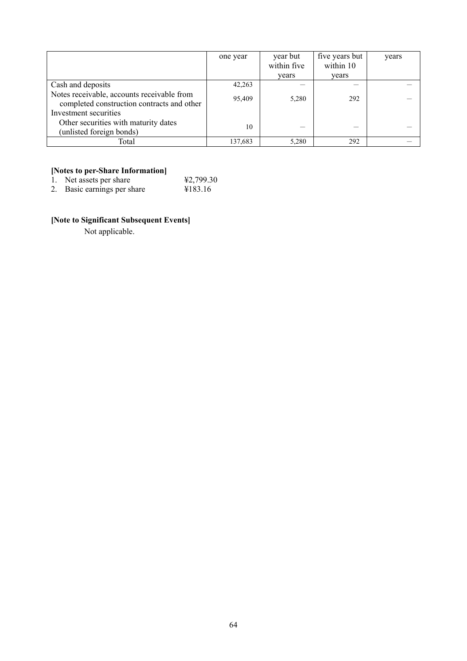|                                                                                          | one year | year but<br>within five | five years but<br>within 10 | years |
|------------------------------------------------------------------------------------------|----------|-------------------------|-----------------------------|-------|
|                                                                                          |          | vears                   | vears                       |       |
| Cash and deposits                                                                        | 42,263   |                         |                             |       |
| Notes receivable, accounts receivable from<br>completed construction contracts and other | 95,409   | 5,280                   | 292                         |       |
| Investment securities                                                                    |          |                         |                             |       |
| Other securities with maturity dates                                                     | 10       |                         |                             |       |
| (unlisted foreign bonds)                                                                 |          |                         |                             |       |
| Total                                                                                    | 137,683  | 5.280                   | 292                         |       |

#### **[Notes to per-Share Information]**

1. Net assets per share  $\text{\#2,799.30}$ 

2. Basic earnings per share ¥183.16

# **[Note to Significant Subsequent Events]**

Not applicable.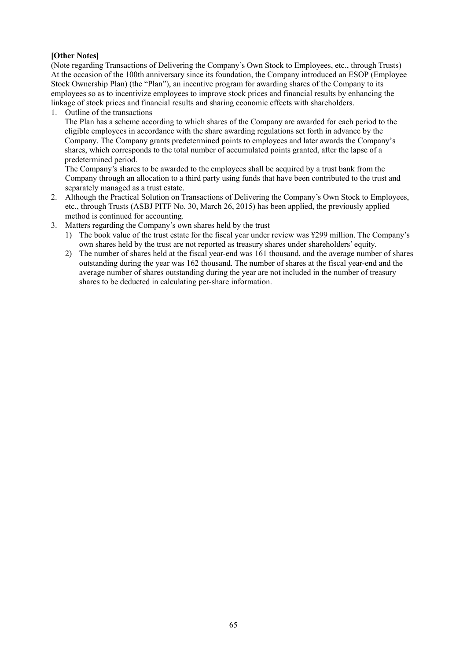# **[Other Notes]**

(Note regarding Transactions of Delivering the Company's Own Stock to Employees, etc., through Trusts) At the occasion of the 100th anniversary since its foundation, the Company introduced an ESOP (Employee Stock Ownership Plan) (the "Plan"), an incentive program for awarding shares of the Company to its employees so as to incentivize employees to improve stock prices and financial results by enhancing the linkage of stock prices and financial results and sharing economic effects with shareholders.

1. Outline of the transactions

The Plan has a scheme according to which shares of the Company are awarded for each period to the eligible employees in accordance with the share awarding regulations set forth in advance by the Company. The Company grants predetermined points to employees and later awards the Company's shares, which corresponds to the total number of accumulated points granted, after the lapse of a predetermined period.

The Company's shares to be awarded to the employees shall be acquired by a trust bank from the Company through an allocation to a third party using funds that have been contributed to the trust and separately managed as a trust estate.

- 2. Although the Practical Solution on Transactions of Delivering the Company's Own Stock to Employees, etc., through Trusts (ASBJ PITF No. 30, March 26, 2015) has been applied, the previously applied method is continued for accounting.
- 3. Matters regarding the Company's own shares held by the trust
	- 1) The book value of the trust estate for the fiscal year under review was ¥299 million. The Company's own shares held by the trust are not reported as treasury shares under shareholders' equity.
	- 2) The number of shares held at the fiscal year-end was 161 thousand, and the average number of shares outstanding during the year was 162 thousand. The number of shares at the fiscal year-end and the average number of shares outstanding during the year are not included in the number of treasury shares to be deducted in calculating per-share information.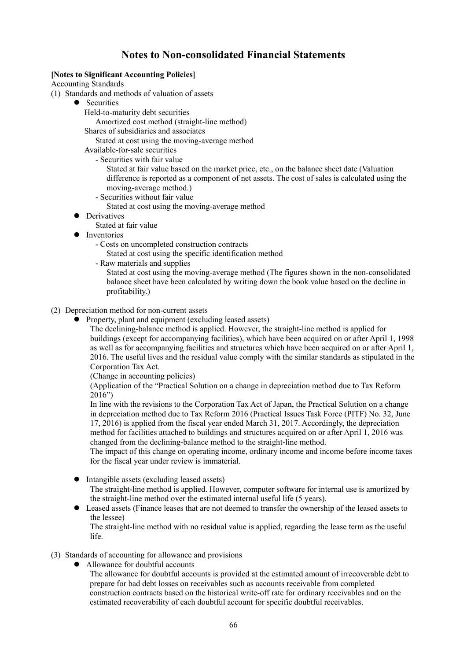# **Notes to Non-consolidated Financial Statements**

# **[Notes to Significant Accounting Policies]**

Accounting Standards

- (1) Standards and methods of valuation of assets
	- Securities
		- Held-to-maturity debt securities
		- Amortized cost method (straight-line method)

Shares of subsidiaries and associates

Stated at cost using the moving-average method

Available-for-sale securities

- Securities with fair value

Stated at fair value based on the market price, etc., on the balance sheet date (Valuation difference is reported as a component of net assets. The cost of sales is calculated using the moving-average method.)

- Securities without fair value
- Stated at cost using the moving-average method
- Derivatives
	- Stated at fair value
- Inventories
	- Costs on uncompleted construction contracts
		- Stated at cost using the specific identification method
	- Raw materials and supplies

Stated at cost using the moving-average method (The figures shown in the non-consolidated balance sheet have been calculated by writing down the book value based on the decline in profitability.)

#### (2) Depreciation method for non-current assets

• Property, plant and equipment (excluding leased assets)

The declining-balance method is applied. However, the straight-line method is applied for buildings (except for accompanying facilities), which have been acquired on or after April 1, 1998 as well as for accompanying facilities and structures which have been acquired on or after April 1, 2016. The useful lives and the residual value comply with the similar standards as stipulated in the Corporation Tax Act.

(Change in accounting policies)

(Application of the "Practical Solution on a change in depreciation method due to Tax Reform 2016")

In line with the revisions to the Corporation Tax Act of Japan, the Practical Solution on a change in depreciation method due to Tax Reform 2016 (Practical Issues Task Force (PITF) No. 32, June 17, 2016) is applied from the fiscal year ended March 31, 2017. Accordingly, the depreciation method for facilities attached to buildings and structures acquired on or after April 1, 2016 was changed from the declining-balance method to the straight-line method.

The impact of this change on operating income, ordinary income and income before income taxes for the fiscal year under review is immaterial.

• Intangible assets (excluding leased assets)

The straight-line method is applied. However, computer software for internal use is amortized by the straight-line method over the estimated internal useful life (5 years).

 Leased assets (Finance leases that are not deemed to transfer the ownership of the leased assets to the lessee)

The straight-line method with no residual value is applied, regarding the lease term as the useful life.

# (3) Standards of accounting for allowance and provisions

- Allowance for doubtful accounts
	- The allowance for doubtful accounts is provided at the estimated amount of irrecoverable debt to prepare for bad debt losses on receivables such as accounts receivable from completed construction contracts based on the historical write-off rate for ordinary receivables and on the estimated recoverability of each doubtful account for specific doubtful receivables.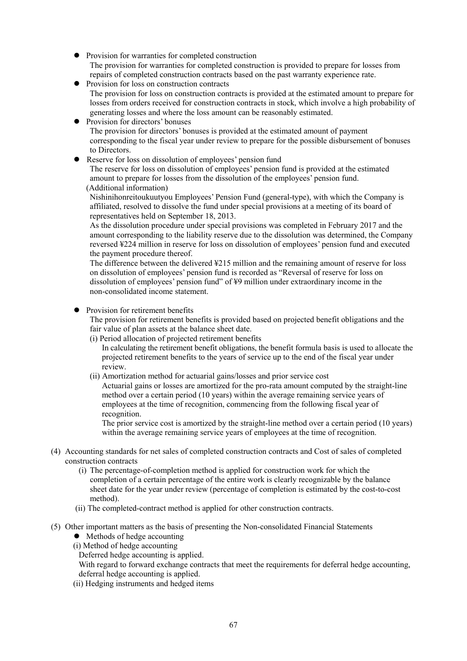- Provision for warranties for completed construction The provision for warranties for completed construction is provided to prepare for losses from repairs of completed construction contracts based on the past warranty experience rate.
- Provision for loss on construction contracts The provision for loss on construction contracts is provided at the estimated amount to prepare for losses from orders received for construction contracts in stock, which involve a high probability of generating losses and where the loss amount can be reasonably estimated.
- Provision for directors' bonuses The provision for directors' bonuses is provided at the estimated amount of payment corresponding to the fiscal year under review to prepare for the possible disbursement of bonuses to Directors.
- Reserve for loss on dissolution of employees' pension fund

The reserve for loss on dissolution of employees' pension fund is provided at the estimated amount to prepare for losses from the dissolution of the employees' pension fund. (Additional information)

Nishinihonreitoukuutyou Employees' Pension Fund (general-type), with which the Company is affiliated, resolved to dissolve the fund under special provisions at a meeting of its board of representatives held on September 18, 2013.

As the dissolution procedure under special provisions was completed in February 2017 and the amount corresponding to the liability reserve due to the dissolution was determined, the Company reversed ¥224 million in reserve for loss on dissolution of employees' pension fund and executed the payment procedure thereof.

The difference between the delivered ¥215 million and the remaining amount of reserve for loss on dissolution of employees' pension fund is recorded as "Reversal of reserve for loss on dissolution of employees' pension fund" of ¥9 million under extraordinary income in the non-consolidated income statement.

Provision for retirement benefits

The provision for retirement benefits is provided based on projected benefit obligations and the fair value of plan assets at the balance sheet date.

(i) Period allocation of projected retirement benefits

In calculating the retirement benefit obligations, the benefit formula basis is used to allocate the projected retirement benefits to the years of service up to the end of the fiscal year under review.

(ii) Amortization method for actuarial gains/losses and prior service cost

Actuarial gains or losses are amortized for the pro-rata amount computed by the straight-line method over a certain period (10 years) within the average remaining service years of employees at the time of recognition, commencing from the following fiscal year of recognition.

The prior service cost is amortized by the straight-line method over a certain period (10 years) within the average remaining service years of employees at the time of recognition.

- (4) Accounting standards for net sales of completed construction contracts and Cost of sales of completed construction contracts
	- (i) The percentage-of-completion method is applied for construction work for which the completion of a certain percentage of the entire work is clearly recognizable by the balance sheet date for the year under review (percentage of completion is estimated by the cost-to-cost method).
	- (ii) The completed-contract method is applied for other construction contracts.
- (5) Other important matters as the basis of presenting the Non-consolidated Financial Statements
	- $\bullet$  Methods of hedge accounting
	- (i) Method of hedge accounting

Deferred hedge accounting is applied.

With regard to forward exchange contracts that meet the requirements for deferral hedge accounting, deferral hedge accounting is applied.

(ii) Hedging instruments and hedged items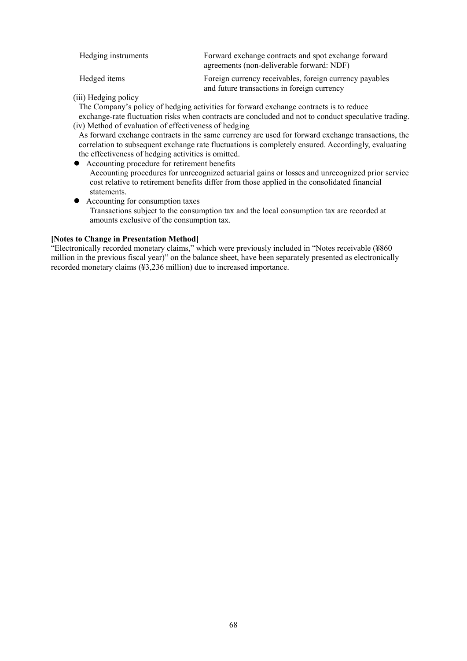| Hedging instruments | Forward exchange contracts and spot exchange forward<br>agreements (non-deliverable forward: NDF)      |
|---------------------|--------------------------------------------------------------------------------------------------------|
| Hedged items        | Foreign currency receivables, foreign currency payables<br>and future transactions in foreign currency |

(iii) Hedging policy

The Company's policy of hedging activities for forward exchange contracts is to reduce exchange-rate fluctuation risks when contracts are concluded and not to conduct speculative trading. (iv) Method of evaluation of effectiveness of hedging

As forward exchange contracts in the same currency are used for forward exchange transactions, the correlation to subsequent exchange rate fluctuations is completely ensured. Accordingly, evaluating the effectiveness of hedging activities is omitted.

- Accounting procedure for retirement benefits Accounting procedures for unrecognized actuarial gains or losses and unrecognized prior service cost relative to retirement benefits differ from those applied in the consolidated financial statements.
- Accounting for consumption taxes Transactions subject to the consumption tax and the local consumption tax are recorded at amounts exclusive of the consumption tax.

# **[Notes to Change in Presentation Method]**

"Electronically recorded monetary claims," which were previously included in "Notes receivable (¥860 million in the previous fiscal year)" on the balance sheet, have been separately presented as electronically recorded monetary claims (¥3,236 million) due to increased importance.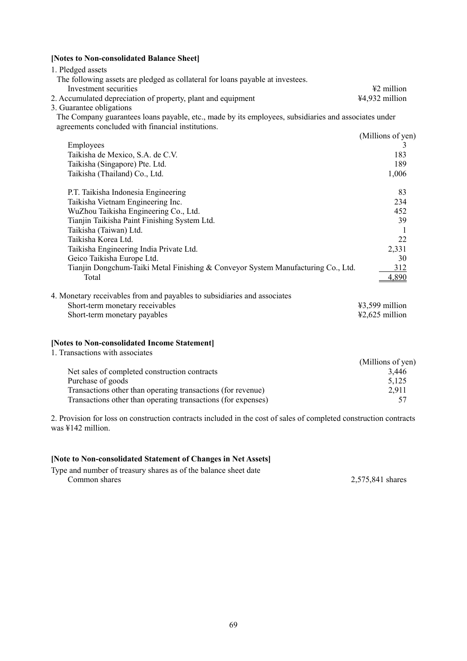# **[Notes to Non-consolidated Balance Sheet]**

| 1. Pledged assets                                                                                                                                         |                   |
|-----------------------------------------------------------------------------------------------------------------------------------------------------------|-------------------|
| The following assets are pledged as collateral for loans payable at investees.                                                                            |                   |
| Investment securities                                                                                                                                     | ¥2 million        |
| 2. Accumulated depreciation of property, plant and equipment                                                                                              | ¥4,932 million    |
| 3. Guarantee obligations                                                                                                                                  |                   |
| The Company guarantees loans payable, etc., made by its employees, subsidiaries and associates under<br>agreements concluded with financial institutions. |                   |
|                                                                                                                                                           | (Millions of yen) |
| Employees                                                                                                                                                 | 3                 |
| Taikisha de Mexico, S.A. de C.V.                                                                                                                          | 183               |
| Taikisha (Singapore) Pte. Ltd.                                                                                                                            | 189               |
| Taikisha (Thailand) Co., Ltd.                                                                                                                             | 1,006             |
|                                                                                                                                                           |                   |
| P.T. Taikisha Indonesia Engineering                                                                                                                       | 83                |
| Taikisha Vietnam Engineering Inc.                                                                                                                         | 234               |
| WuZhou Taikisha Engineering Co., Ltd.                                                                                                                     | 452               |
| Tianjin Taikisha Paint Finishing System Ltd.                                                                                                              | 39                |
| Taikisha (Taiwan) Ltd.                                                                                                                                    | $\mathbf{1}$      |
| Taikisha Korea Ltd.                                                                                                                                       | 22                |
| Taikisha Engineering India Private Ltd.                                                                                                                   | 2,331             |
| Geico Taikisha Europe Ltd.                                                                                                                                | 30                |
| Tianjin Dongchum-Taiki Metal Finishing & Conveyor System Manufacturing Co., Ltd.                                                                          | 312               |
| Total                                                                                                                                                     | 4,890             |
|                                                                                                                                                           |                   |
| 4. Monetary receivables from and payables to subsidiaries and associates                                                                                  |                   |
| Short-term monetary receivables                                                                                                                           | ¥3,599 million    |
| Short-term monetary payables                                                                                                                              | ¥2,625 million    |
|                                                                                                                                                           |                   |
| [Notes to Non-consolidated Income Statement]                                                                                                              |                   |
| 1. Transactions with associates                                                                                                                           |                   |
|                                                                                                                                                           | (Millions of yen) |
| Net sales of completed construction contracts                                                                                                             | 3,446             |
| Purchase of goods                                                                                                                                         | 5,125             |
| Transactions other than operating transactions (for revenue)                                                                                              | 2,911             |
| Transactions other than operating transactions (for expenses)                                                                                             | 57                |
|                                                                                                                                                           |                   |

2. Provision for loss on construction contracts included in the cost of sales of completed construction contracts was ¥142 million.

# **[Note to Non-consolidated Statement of Changes in Net Assets]**

Type and number of treasury shares as of the balance sheet date 2,575,841 shares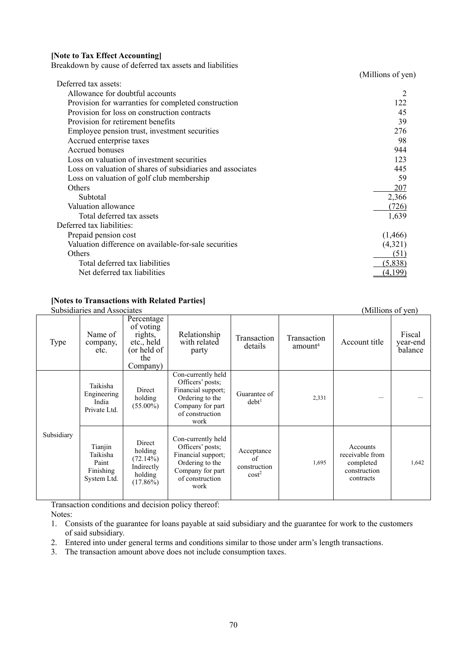#### **[Note to Tax Effect Accounting]**

Breakdown by cause of deferred tax assets and liabilities

(Millions of yen)

|                                                            | ---- -- 1 |
|------------------------------------------------------------|-----------|
| Deferred tax assets:                                       |           |
| Allowance for doubtful accounts                            |           |
| Provision for warranties for completed construction        | 122       |
| Provision for loss on construction contracts               | 45        |
| Provision for retirement benefits                          | 39        |
| Employee pension trust, investment securities              | 276       |
| Accrued enterprise taxes                                   | 98        |
| Accrued bonuses                                            | 944       |
| Loss on valuation of investment securities                 | 123       |
| Loss on valuation of shares of subsidiaries and associates | 445       |
| Loss on valuation of golf club membership                  | 59        |
| Others                                                     | 207       |
| Subtotal                                                   | 2,366     |
| Valuation allowance                                        | (726)     |
| Total deferred tax assets                                  | 1,639     |
| Deferred tax liabilities:                                  |           |
| Prepaid pension cost                                       | (1,466)   |
| Valuation difference on available-for-sale securities      | (4,321)   |
| Others                                                     | (51)      |
| Total deferred tax liabilities                             | (5,838)   |
| Net deferred tax liabilities                               |           |
|                                                            |           |

# **[Notes to Transactions with Related Parties]**

| Subsidiaries and Associates |                                                          |                                                                                    |                                                                                                                                |                                                |                                    | (Millions of yen)                                                     |                               |
|-----------------------------|----------------------------------------------------------|------------------------------------------------------------------------------------|--------------------------------------------------------------------------------------------------------------------------------|------------------------------------------------|------------------------------------|-----------------------------------------------------------------------|-------------------------------|
| Type                        | Name of<br>company,<br>etc.                              | Percentage<br>of voting<br>rights,<br>etc., held<br>(or held of<br>the<br>Company) | Relationship<br>with related<br>party                                                                                          | Transaction<br>details                         | Transaction<br>amount <sup>4</sup> | Account title                                                         | Fiscal<br>year-end<br>balance |
|                             | Taikisha<br>Engineering<br>India<br>Private Ltd.         | Direct<br>holding<br>$(55.00\%)$                                                   | Con-currently held<br>Officers' posts;<br>Financial support;<br>Ordering to the<br>Company for part<br>of construction<br>work | Guarantee of<br>debt <sup>1</sup>              | 2,331                              |                                                                       |                               |
| Subsidiary                  | Tianjin<br>Taikisha<br>Paint<br>Finishing<br>System Ltd. | Direct<br>holding<br>$(72.14\%)$<br>Indirectly<br>holding<br>$(17.86\%)$           | Con-currently held<br>Officers' posts;<br>Financial support;<br>Ordering to the<br>Company for part<br>of construction<br>work | Acceptance<br>of<br>construction<br>$\cos t^2$ | 1,695                              | Accounts<br>receivable from<br>completed<br>construction<br>contracts | 1,642                         |

Transaction conditions and decision policy thereof:

Notes:

- 1. Consists of the guarantee for loans payable at said subsidiary and the guarantee for work to the customers of said subsidiary.
- 2. Entered into under general terms and conditions similar to those under arm's length transactions.
- 3. The transaction amount above does not include consumption taxes.